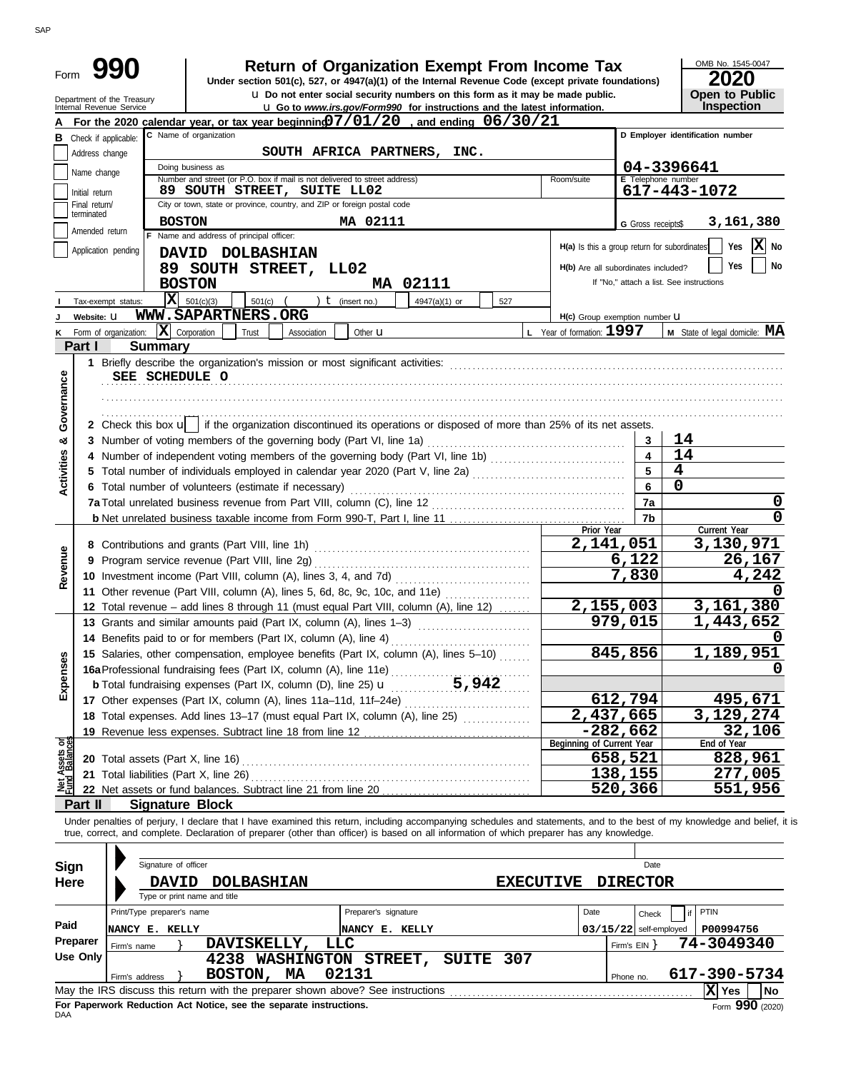| Form                  |                                                      |                                                                                          |                                                                                                                                                                            | <b>Return of Organization Exempt From Income Tax</b><br>Under section 501(c), 527, or 4947(a)(1) of the Internal Revenue Code (except private foundations)       |                  |                                              |                          | OMB No. 1545-0047<br><b>2020</b>         |
|-----------------------|------------------------------------------------------|------------------------------------------------------------------------------------------|----------------------------------------------------------------------------------------------------------------------------------------------------------------------------|------------------------------------------------------------------------------------------------------------------------------------------------------------------|------------------|----------------------------------------------|--------------------------|------------------------------------------|
|                       |                                                      | Department of the Treasury<br>Internal Revenue Service                                   |                                                                                                                                                                            | u Do not enter social security numbers on this form as it may be made public.<br><b>u</b> Go to www.irs.gov/Form990 for instructions and the latest information. |                  |                                              |                          | Open to Public<br><b>Inspection</b>      |
|                       |                                                      |                                                                                          | For the 2020 calendar year, or tax year beginning $07/01/20$ , and ending $06/30/21$                                                                                       |                                                                                                                                                                  |                  |                                              |                          |                                          |
|                       |                                                      | <b>B</b> Check if applicable:                                                            | C Name of organization                                                                                                                                                     |                                                                                                                                                                  |                  |                                              |                          | D Employer identification number         |
|                       | Address change                                       |                                                                                          |                                                                                                                                                                            | SOUTH AFRICA PARTNERS, INC.                                                                                                                                      |                  |                                              |                          |                                          |
|                       | Name change                                          |                                                                                          | Doing business as<br>Number and street (or P.O. box if mail is not delivered to street address)                                                                            |                                                                                                                                                                  |                  | Room/suite                                   | E Telephone number       | 04-3396641                               |
|                       | Initial return                                       |                                                                                          | 89 SOUTH STREET, SUITE LL02                                                                                                                                                |                                                                                                                                                                  |                  |                                              |                          | 617-443-1072                             |
|                       | Final return/<br>terminated                          |                                                                                          | City or town, state or province, country, and ZIP or foreign postal code                                                                                                   |                                                                                                                                                                  |                  |                                              |                          |                                          |
|                       | Amended return                                       | <b>BOSTON</b>                                                                            |                                                                                                                                                                            | MA 02111                                                                                                                                                         |                  |                                              | G Gross receipts\$       | 3,161,380                                |
|                       |                                                      |                                                                                          | F Name and address of principal officer:                                                                                                                                   |                                                                                                                                                                  |                  | H(a) Is this a group return for subordinates |                          | $ \mathbf{X} $ No<br>Yes                 |
|                       |                                                      | Application pending<br><b>DAVID</b>                                                      | <b>DOLBASHIAN</b>                                                                                                                                                          |                                                                                                                                                                  |                  | H(b) Are all subordinates included?          |                          | Yes<br>No                                |
|                       |                                                      | <b>BOSTON</b>                                                                            | 89 SOUTH STREET, LL02                                                                                                                                                      | MA 02111                                                                                                                                                         |                  |                                              |                          | If "No," attach a list. See instructions |
|                       |                                                      | Tax-exempt status:                                                                       | $ \mathbf{\overline{X}} $ 501(c)(3)<br>501(c)                                                                                                                              | $t$ (insert no.)<br>4947(a)(1) or                                                                                                                                | 527              |                                              |                          |                                          |
|                       | Website: U                                           |                                                                                          | <b>WWW.SAPARTNERS.ORG</b>                                                                                                                                                  |                                                                                                                                                                  |                  | $H(c)$ Group exemption number $U$            |                          |                                          |
|                       |                                                      | X Corporation<br>Form of organization:                                                   | Trust<br>Association                                                                                                                                                       | Other <b>u</b>                                                                                                                                                   |                  | L Year of formation: 1997                    |                          | M State of legal domicile: MA            |
|                       | Part I                                               | <b>Summary</b>                                                                           |                                                                                                                                                                            |                                                                                                                                                                  |                  |                                              |                          |                                          |
|                       |                                                      |                                                                                          |                                                                                                                                                                            |                                                                                                                                                                  |                  |                                              |                          |                                          |
|                       |                                                      | SEE SCHEDULE O                                                                           |                                                                                                                                                                            |                                                                                                                                                                  |                  |                                              |                          |                                          |
| Governance            |                                                      |                                                                                          |                                                                                                                                                                            |                                                                                                                                                                  |                  |                                              |                          |                                          |
|                       |                                                      |                                                                                          |                                                                                                                                                                            |                                                                                                                                                                  |                  |                                              |                          |                                          |
|                       |                                                      |                                                                                          | 2 Check this box u   if the organization discontinued its operations or disposed of more than 25% of its net assets.                                                       |                                                                                                                                                                  |                  |                                              |                          |                                          |
| න්                    |                                                      |                                                                                          | 3 Number of voting members of the governing body (Part VI, line 1a)                                                                                                        |                                                                                                                                                                  |                  |                                              | 3                        | 14                                       |
|                       |                                                      |                                                                                          | 4 Number of independent voting members of the governing body (Part VI, line 1b)                                                                                            |                                                                                                                                                                  |                  |                                              |                          | 14<br>$\overline{\mathbf{4}}$            |
| <b>Activities</b>     | 6 Total number of volunteers (estimate if necessary) |                                                                                          |                                                                                                                                                                            |                                                                                                                                                                  |                  |                                              |                          | 0                                        |
|                       |                                                      |                                                                                          |                                                                                                                                                                            |                                                                                                                                                                  |                  |                                              |                          | 0                                        |
|                       |                                                      |                                                                                          |                                                                                                                                                                            |                                                                                                                                                                  |                  |                                              | 7a<br>7b                 | $\mathbf 0$                              |
|                       |                                                      |                                                                                          |                                                                                                                                                                            |                                                                                                                                                                  |                  | Prior Year                                   |                          | Current Year                             |
|                       |                                                      | 2,141,051<br>11 Other revenue (Part VIII, column (A), lines 5, 6d, 8c, 9c, 10c, and 11e) |                                                                                                                                                                            |                                                                                                                                                                  |                  |                                              |                          | 3,130,971                                |
| Revenue               |                                                      |                                                                                          |                                                                                                                                                                            |                                                                                                                                                                  |                  |                                              |                          | 26,167                                   |
|                       |                                                      |                                                                                          |                                                                                                                                                                            |                                                                                                                                                                  |                  |                                              |                          | 4,242<br>O                               |
|                       |                                                      |                                                                                          | 12 Total revenue - add lines 8 through 11 (must equal Part VIII, column (A), line 12)                                                                                      |                                                                                                                                                                  |                  | 2,155,003                                    |                          | 3,161,380                                |
|                       |                                                      |                                                                                          | 13 Grants and similar amounts paid (Part IX, column (A), lines 1-3)                                                                                                        |                                                                                                                                                                  |                  |                                              | 979,015                  | 1,443,652                                |
|                       |                                                      |                                                                                          | 14 Benefits paid to or for members (Part IX, column (A), line 4)                                                                                                           |                                                                                                                                                                  |                  |                                              |                          | 0                                        |
|                       |                                                      |                                                                                          | 15 Salaries, other compensation, employee benefits (Part IX, column (A), lines 5-10)                                                                                       |                                                                                                                                                                  |                  |                                              | 845,856                  | 1,189,951                                |
| Expenses              |                                                      |                                                                                          | 16a Professional fundraising fees (Part IX, column (A), line 11e)                                                                                                          |                                                                                                                                                                  |                  |                                              |                          |                                          |
|                       |                                                      |                                                                                          |                                                                                                                                                                            |                                                                                                                                                                  |                  |                                              |                          |                                          |
|                       |                                                      |                                                                                          |                                                                                                                                                                            |                                                                                                                                                                  |                  |                                              | 612,794                  | <u>495,671</u>                           |
|                       |                                                      |                                                                                          | 18 Total expenses. Add lines 13-17 (must equal Part IX, column (A), line 25) [                                                                                             |                                                                                                                                                                  |                  | $\overline{2,437,665}$                       |                          | 3, 129, 274                              |
| हूँ                   |                                                      |                                                                                          |                                                                                                                                                                            |                                                                                                                                                                  |                  | Beginning of Current Year                    | $-282,662$               | 32,106<br>End of Year                    |
|                       |                                                      |                                                                                          | 20 Total assets (Part X, line 16) Mathematical and Total and Total assets (Part X, line 16)                                                                                |                                                                                                                                                                  |                  |                                              | 658,521                  | 828,961                                  |
| Assets<br>1<br>Balanc |                                                      | 21 Total liabilities (Part X, line 26)                                                   |                                                                                                                                                                            |                                                                                                                                                                  |                  |                                              | 138,155                  | 277,005                                  |
| Det <sub>re</sub>     |                                                      |                                                                                          |                                                                                                                                                                            |                                                                                                                                                                  |                  |                                              | 520,366                  | 551,956                                  |
|                       | Part II                                              | <b>Signature Block</b>                                                                   |                                                                                                                                                                            |                                                                                                                                                                  |                  |                                              |                          |                                          |
|                       |                                                      |                                                                                          | Under penalties of perjury, I declare that I have examined this return, including accompanying schedules and statements, and to the best of my knowledge and belief, it is |                                                                                                                                                                  |                  |                                              |                          |                                          |
|                       |                                                      |                                                                                          | true, correct, and complete. Declaration of preparer (other than officer) is based on all information of which preparer has any knowledge.                                 |                                                                                                                                                                  |                  |                                              |                          |                                          |
|                       |                                                      |                                                                                          |                                                                                                                                                                            |                                                                                                                                                                  |                  |                                              |                          |                                          |
| Sign                  |                                                      | Signature of officer                                                                     |                                                                                                                                                                            |                                                                                                                                                                  |                  |                                              | Date                     |                                          |
| <b>Here</b>           |                                                      | <b>DAVID</b><br>Type or print name and title                                             | <b>DOLBASHIAN</b>                                                                                                                                                          |                                                                                                                                                                  | <b>EXECUTIVE</b> |                                              | <b>DIRECTOR</b>          |                                          |
|                       |                                                      | Print/Type preparer's name                                                               |                                                                                                                                                                            | Preparer's signature                                                                                                                                             |                  | Date                                         | Check                    | PTIN                                     |
| Paid                  |                                                      | NANCY E. KELLY                                                                           |                                                                                                                                                                            | NANCY E. KELLY                                                                                                                                                   |                  |                                              | $03/15/22$ self-employed | P00994756                                |
|                       | Preparer                                             | Firm's name                                                                              | DAVISKELLY,<br><b>TTC</b>                                                                                                                                                  |                                                                                                                                                                  |                  |                                              | Firm's EIN }             | 74-3049340                               |
|                       | <b>Use Only</b>                                      |                                                                                          |                                                                                                                                                                            | 4238 WASHINGTON STREET, SUITE 307                                                                                                                                |                  |                                              |                          |                                          |
|                       |                                                      | Firm's address                                                                           | BOSTON, MA                                                                                                                                                                 | 02131                                                                                                                                                            |                  |                                              | Phone no.                | 617-390-5734                             |
|                       |                                                      |                                                                                          |                                                                                                                                                                            |                                                                                                                                                                  |                  |                                              |                          | X Yes<br><b>No</b>                       |

| Sign            |                                                                                                     |                            | Signature of officer         |                   |                   |                       |  |                  |              |           | Date                     |              |  |
|-----------------|-----------------------------------------------------------------------------------------------------|----------------------------|------------------------------|-------------------|-------------------|-----------------------|--|------------------|--------------|-----------|--------------------------|--------------|--|
| Here            |                                                                                                     |                            | <b>DAVID</b>                 | <b>DOLBASHIAN</b> |                   |                       |  | <b>EXECUTIVE</b> |              |           | <b>DIRECTOR</b>          |              |  |
|                 |                                                                                                     |                            | Type or print name and title |                   |                   |                       |  |                  |              |           |                          |              |  |
|                 |                                                                                                     | Print/Type preparer's name |                              |                   |                   | Preparer's signature  |  |                  | Date         |           | Check                    | <b>PTIN</b>  |  |
| Paid            |                                                                                                     | NANCY E. KELLY             |                              |                   |                   | <b>NANCY E. KELLY</b> |  |                  |              |           | $03/15/22$ self-employed | P00994756    |  |
| Preparer        | DAVISKELLY,<br>LLC<br>Firm's name                                                                   |                            |                              |                   |                   |                       |  |                  | Firm's $EIN$ |           | 74-3049340               |              |  |
| <b>Use Only</b> |                                                                                                     |                            |                              | 4238              | <b>WASHINGTON</b> | STREET,               |  | SUITE 307        |              |           |                          |              |  |
|                 |                                                                                                     | Firm's address             |                              | BOSTON,           | МA                | 02131                 |  |                  |              | Phone no. |                          | 617-390-5734 |  |
|                 | May the IRS discuss this return with the preparer shown above? See instructions<br>No<br><b>Yes</b> |                            |                              |                   |                   |                       |  |                  |              |           |                          |              |  |
| DAA             | Form $990$ (2020)<br>For Paperwork Reduction Act Notice, see the separate instructions.             |                            |                              |                   |                   |                       |  |                  |              |           |                          |              |  |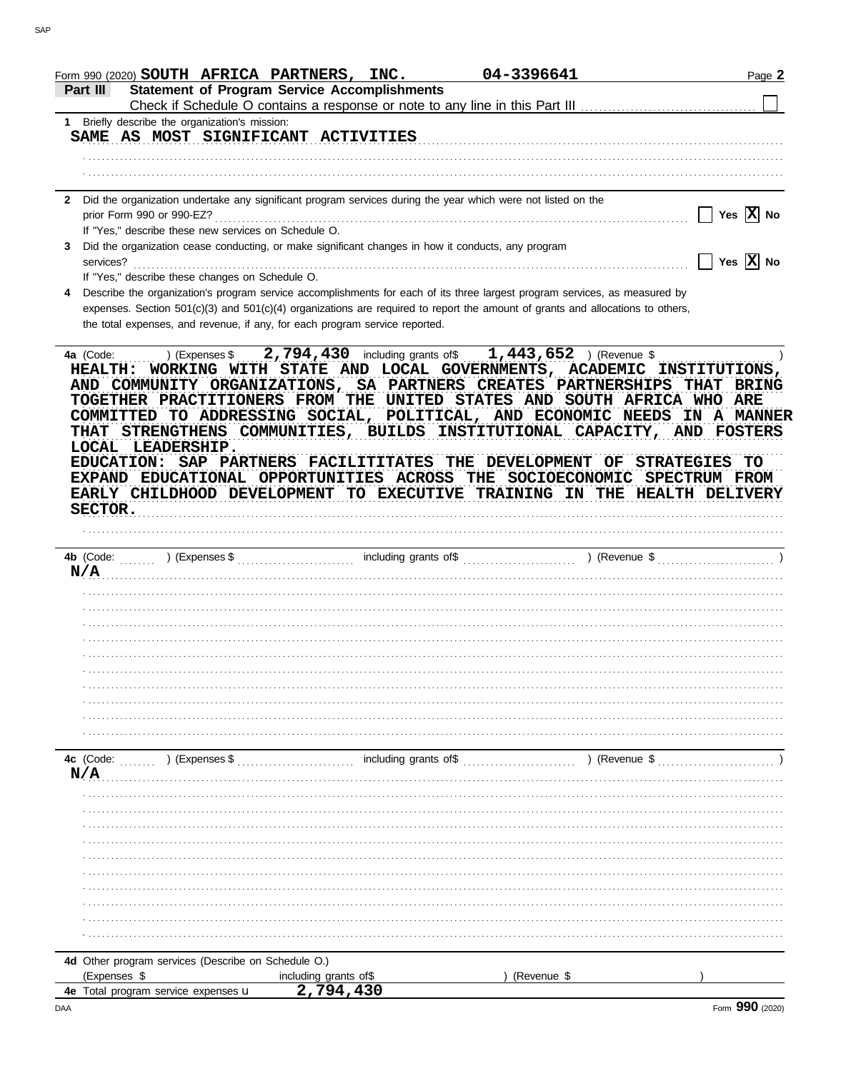| Form 990 (2020) SOUTH AFRICA PARTNERS, INC.                                                                                                                                                                                                                                                                                                               |                       | 04-3396641                                                          | Page 2                |
|-----------------------------------------------------------------------------------------------------------------------------------------------------------------------------------------------------------------------------------------------------------------------------------------------------------------------------------------------------------|-----------------------|---------------------------------------------------------------------|-----------------------|
| <b>Statement of Program Service Accomplishments</b><br>Part III                                                                                                                                                                                                                                                                                           |                       |                                                                     |                       |
| 1 Briefly describe the organization's mission:                                                                                                                                                                                                                                                                                                            |                       |                                                                     |                       |
| SAME AS MOST SIGNIFICANT ACTIVITIES                                                                                                                                                                                                                                                                                                                       |                       |                                                                     |                       |
|                                                                                                                                                                                                                                                                                                                                                           |                       |                                                                     |                       |
|                                                                                                                                                                                                                                                                                                                                                           |                       |                                                                     |                       |
| 2 Did the organization undertake any significant program services during the year which were not listed on the                                                                                                                                                                                                                                            |                       |                                                                     |                       |
| prior Form 990 or 990-EZ?                                                                                                                                                                                                                                                                                                                                 |                       |                                                                     | Yes $ X $ No          |
| If "Yes," describe these new services on Schedule O.                                                                                                                                                                                                                                                                                                      |                       |                                                                     |                       |
| Did the organization cease conducting, or make significant changes in how it conducts, any program<br>3                                                                                                                                                                                                                                                   |                       |                                                                     | Yes $\overline{X}$ No |
| services?<br>If "Yes," describe these changes on Schedule O.                                                                                                                                                                                                                                                                                              |                       |                                                                     |                       |
| Describe the organization's program service accomplishments for each of its three largest program services, as measured by                                                                                                                                                                                                                                |                       |                                                                     |                       |
| expenses. Section 501(c)(3) and 501(c)(4) organizations are required to report the amount of grants and allocations to others,                                                                                                                                                                                                                            |                       |                                                                     |                       |
| the total expenses, and revenue, if any, for each program service reported.                                                                                                                                                                                                                                                                               |                       |                                                                     |                       |
| COMMITTED TO ADDRESSING SOCIAL, POLITICAL, AND ECONOMIC NEEDS IN A MANNER<br><b>THAT</b><br>LOCAL LEADERSHIP.<br>EDUCATION: SAP PARTNERS FACILITITATES THE DEVELOPMENT OF STRATEGIES TO<br>EXPAND EDUCATIONAL OPPORTUNITIES ACROSS THE SOCIOECONOMIC SPECTRUM FROM<br>EARLY CHILDHOOD DEVELOPMENT TO EXECUTIVE TRAINING IN THE HEALTH DELIVERY<br>SECTOR. |                       | STRENGTHENS COMMUNITIES, BUILDS INSTITUTIONAL CAPACITY, AND FOSTERS |                       |
| N/A                                                                                                                                                                                                                                                                                                                                                       |                       |                                                                     |                       |
|                                                                                                                                                                                                                                                                                                                                                           |                       |                                                                     |                       |
|                                                                                                                                                                                                                                                                                                                                                           |                       |                                                                     |                       |
|                                                                                                                                                                                                                                                                                                                                                           |                       |                                                                     |                       |
|                                                                                                                                                                                                                                                                                                                                                           |                       |                                                                     |                       |
|                                                                                                                                                                                                                                                                                                                                                           |                       |                                                                     |                       |
|                                                                                                                                                                                                                                                                                                                                                           |                       |                                                                     |                       |
|                                                                                                                                                                                                                                                                                                                                                           |                       |                                                                     |                       |
|                                                                                                                                                                                                                                                                                                                                                           |                       |                                                                     |                       |
|                                                                                                                                                                                                                                                                                                                                                           |                       |                                                                     |                       |
| 4c (Code:<br>) (Expenses \$                                                                                                                                                                                                                                                                                                                               | including grants of\$ | ) (Revenue \$                                                       |                       |
| N/A                                                                                                                                                                                                                                                                                                                                                       |                       |                                                                     |                       |
|                                                                                                                                                                                                                                                                                                                                                           |                       |                                                                     |                       |
|                                                                                                                                                                                                                                                                                                                                                           |                       |                                                                     |                       |
|                                                                                                                                                                                                                                                                                                                                                           |                       |                                                                     |                       |
|                                                                                                                                                                                                                                                                                                                                                           |                       |                                                                     |                       |
|                                                                                                                                                                                                                                                                                                                                                           |                       |                                                                     |                       |
|                                                                                                                                                                                                                                                                                                                                                           |                       |                                                                     |                       |
|                                                                                                                                                                                                                                                                                                                                                           |                       |                                                                     |                       |
|                                                                                                                                                                                                                                                                                                                                                           |                       |                                                                     |                       |
|                                                                                                                                                                                                                                                                                                                                                           |                       |                                                                     |                       |
| 4d Other program services (Describe on Schedule O.)                                                                                                                                                                                                                                                                                                       |                       |                                                                     |                       |
| (Expenses \$                                                                                                                                                                                                                                                                                                                                              | including grants of\$ | (Revenue \$                                                         |                       |
| 4e Total program service expenses u                                                                                                                                                                                                                                                                                                                       | 2,794,430             |                                                                     |                       |

SAP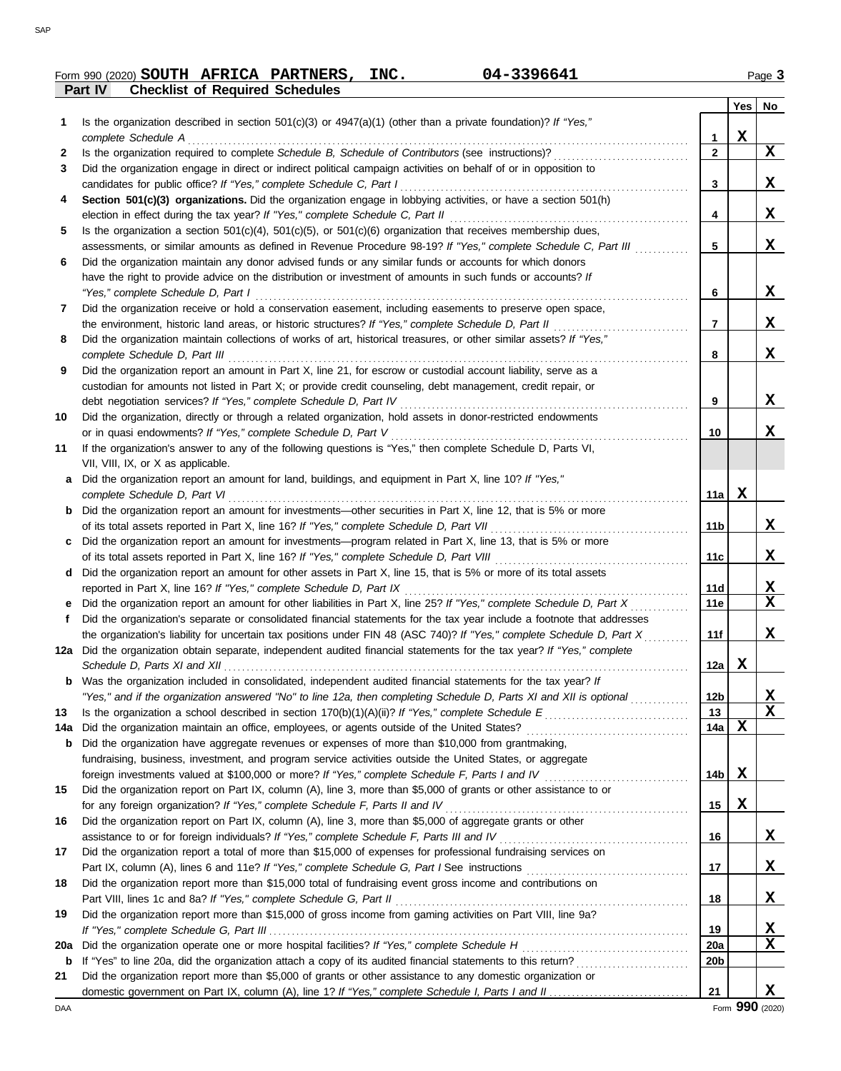| Form 990 (2020) SOUTH AFRICA PARTNERS |                                        | INC. | 04-3396641 | Page |
|---------------------------------------|----------------------------------------|------|------------|------|
| <b>Part IV</b>                        | <b>Checklist of Required Schedules</b> |      |            |      |

|             | ו מונוע<br>Oncential of Reduited Ochedules                                                                              |                 |             |             |
|-------------|-------------------------------------------------------------------------------------------------------------------------|-----------------|-------------|-------------|
|             |                                                                                                                         |                 | Yes         | No          |
| 1.          | Is the organization described in section $501(c)(3)$ or $4947(a)(1)$ (other than a private foundation)? If "Yes,"       |                 |             |             |
|             | complete Schedule A                                                                                                     | 1               | $\mathbf X$ |             |
| 2           | Is the organization required to complete Schedule B, Schedule of Contributors (see instructions)?                       | $\mathbf{2}$    |             | X           |
| 3           | Did the organization engage in direct or indirect political campaign activities on behalf of or in opposition to        |                 |             |             |
|             | candidates for public office? If "Yes," complete Schedule C, Part I                                                     | 3               |             | X           |
| 4           | Section 501(c)(3) organizations. Did the organization engage in lobbying activities, or have a section 501(h)           |                 |             |             |
|             | election in effect during the tax year? If "Yes," complete Schedule C, Part II                                          | 4               |             | X           |
| 5           | Is the organization a section $501(c)(4)$ , $501(c)(5)$ , or $501(c)(6)$ organization that receives membership dues,    |                 |             |             |
|             | assessments, or similar amounts as defined in Revenue Procedure 98-19? If "Yes," complete Schedule C, Part III          | 5               |             | X           |
| 6           | Did the organization maintain any donor advised funds or any similar funds or accounts for which donors                 |                 |             |             |
|             | have the right to provide advice on the distribution or investment of amounts in such funds or accounts? If             |                 |             |             |
|             | "Yes," complete Schedule D, Part I                                                                                      | 6               |             | X           |
| 7           | Did the organization receive or hold a conservation easement, including easements to preserve open space,               |                 |             |             |
|             | the environment, historic land areas, or historic structures? If "Yes," complete Schedule D, Part II                    | $\overline{7}$  |             | X           |
| 8           | Did the organization maintain collections of works of art, historical treasures, or other similar assets? If "Yes,"     |                 |             |             |
|             | complete Schedule D, Part III                                                                                           | 8               |             | X           |
| 9           | Did the organization report an amount in Part X, line 21, for escrow or custodial account liability, serve as a         |                 |             |             |
|             | custodian for amounts not listed in Part X; or provide credit counseling, debt management, credit repair, or            |                 |             |             |
|             | debt negotiation services? If "Yes," complete Schedule D, Part IV                                                       | 9               |             | X           |
| 10          | Did the organization, directly or through a related organization, hold assets in donor-restricted endowments            |                 |             |             |
|             | or in quasi endowments? If "Yes," complete Schedule D, Part V                                                           | 10              |             | X           |
| 11          | If the organization's answer to any of the following questions is "Yes," then complete Schedule D, Parts VI,            |                 |             |             |
|             | VII, VIII, IX, or X as applicable.                                                                                      |                 |             |             |
|             | Did the organization report an amount for land, buildings, and equipment in Part X, line 10? If "Yes,"                  |                 |             |             |
|             | complete Schedule D, Part VI                                                                                            | 11a             | X           |             |
| b           | Did the organization report an amount for investments-other securities in Part X, line 12, that is 5% or more           |                 |             |             |
|             | of its total assets reported in Part X, line 16? If "Yes," complete Schedule D, Part VII                                | 11b             |             | X           |
|             | Did the organization report an amount for investments—program related in Part X, line 13, that is 5% or more            |                 |             |             |
|             |                                                                                                                         | 11c             |             | X           |
| d           | Did the organization report an amount for other assets in Part X, line 15, that is 5% or more of its total assets       |                 |             |             |
|             | reported in Part X, line 16? If "Yes," complete Schedule D, Part IX                                                     | 11d             |             | X           |
|             | Did the organization report an amount for other liabilities in Part X, line 25? If "Yes," complete Schedule D, Part X   | 11e             |             | X           |
| f           | Did the organization's separate or consolidated financial statements for the tax year include a footnote that addresses |                 |             |             |
|             | the organization's liability for uncertain tax positions under FIN 48 (ASC 740)? If "Yes," complete Schedule D, Part X  | 11f             |             | X           |
|             | 12a Did the organization obtain separate, independent audited financial statements for the tax year? If "Yes," complete |                 |             |             |
|             |                                                                                                                         | 12a             | X           |             |
| b           | Was the organization included in consolidated, independent audited financial statements for the tax year? If            |                 |             |             |
|             | "Yes," and if the organization answered "No" to line 12a, then completing Schedule D, Parts XI and XII is optional      | 12 <sub>b</sub> |             | X           |
| 13          |                                                                                                                         | 13              |             | $\mathbf x$ |
| 14a         | Did the organization maintain an office, employees, or agents outside of the United States?                             | 14a             | X           |             |
| b           | Did the organization have aggregate revenues or expenses of more than \$10,000 from grantmaking,                        |                 |             |             |
|             | fundraising, business, investment, and program service activities outside the United States, or aggregate               |                 |             |             |
|             |                                                                                                                         | 14b             | X           |             |
| 15          | Did the organization report on Part IX, column (A), line 3, more than \$5,000 of grants or other assistance to or       |                 |             |             |
|             | for any foreign organization? If "Yes," complete Schedule F, Parts II and IV                                            | 15              | X           |             |
| 16          | Did the organization report on Part IX, column (A), line 3, more than \$5,000 of aggregate grants or other              |                 |             |             |
|             | assistance to or for foreign individuals? If "Yes," complete Schedule F, Parts III and IV                               | 16              |             | X           |
| 17          | Did the organization report a total of more than \$15,000 of expenses for professional fundraising services on          |                 |             |             |
|             |                                                                                                                         | 17              |             | X           |
| 18          | Did the organization report more than \$15,000 total of fundraising event gross income and contributions on             |                 |             |             |
|             | Part VIII, lines 1c and 8a? If "Yes," complete Schedule G, Part II                                                      | 18              |             | X           |
| 19          | Did the organization report more than \$15,000 of gross income from gaming activities on Part VIII, line 9a?            |                 |             |             |
|             |                                                                                                                         | 19              |             | X           |
| 20a         |                                                                                                                         | 20a             |             | $\mathbf X$ |
| $\mathbf b$ |                                                                                                                         | 20 <sub>b</sub> |             |             |
| 21          | Did the organization report more than \$5,000 of grants or other assistance to any domestic organization or             |                 |             |             |
|             |                                                                                                                         | 21              |             | X,          |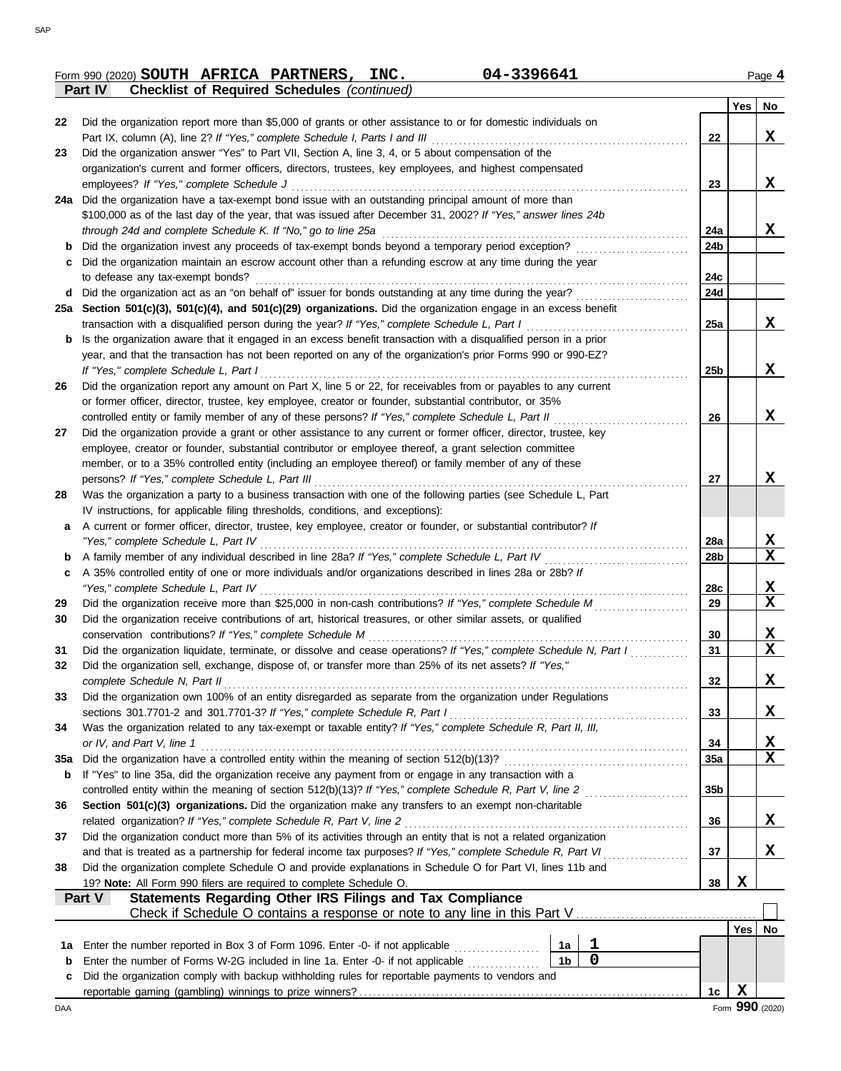### Form 990 (2020) **SOUTH AFRICA PARTNERS, INC.** 04-3396641 Page 4 **SOUTH AFRICA PARTNERS, INC. 04-3396641**

|     | <b>Checklist of Required Schedules (continued)</b><br>Part IV                                                                                                                                                              |                 |     |             |
|-----|----------------------------------------------------------------------------------------------------------------------------------------------------------------------------------------------------------------------------|-----------------|-----|-------------|
|     |                                                                                                                                                                                                                            |                 | Yes | No          |
| 22  | Did the organization report more than \$5,000 of grants or other assistance to or for domestic individuals on                                                                                                              |                 |     |             |
|     | Part IX, column (A), line 2? If "Yes," complete Schedule I, Parts I and III                                                                                                                                                | 22              |     | X           |
| 23  | Did the organization answer "Yes" to Part VII, Section A, line 3, 4, or 5 about compensation of the                                                                                                                        |                 |     |             |
|     | organization's current and former officers, directors, trustees, key employees, and highest compensated                                                                                                                    |                 |     |             |
|     | employees? If "Yes," complete Schedule J                                                                                                                                                                                   | 23              |     | X           |
|     | 24a Did the organization have a tax-exempt bond issue with an outstanding principal amount of more than                                                                                                                    |                 |     |             |
|     | \$100,000 as of the last day of the year, that was issued after December 31, 2002? If "Yes," answer lines 24b                                                                                                              |                 |     | X           |
|     | through 24d and complete Schedule K. If "No," go to line 25a<br>Did the organization invest any proceeds of tax-exempt bonds beyond a temporary period exception?                                                          | 24a<br>24b      |     |             |
| b   | Did the organization maintain an escrow account other than a refunding escrow at any time during the year                                                                                                                  |                 |     |             |
|     | to defease any tax-exempt bonds?                                                                                                                                                                                           | 24c             |     |             |
| d   | Did the organization act as an "on behalf of" issuer for bonds outstanding at any time during the year?                                                                                                                    | 24d             |     |             |
|     | 25a Section 501(c)(3), 501(c)(4), and 501(c)(29) organizations. Did the organization engage in an excess benefit                                                                                                           |                 |     |             |
|     | transaction with a disqualified person during the year? If "Yes," complete Schedule L, Part I                                                                                                                              | 25a             |     | X           |
| b   | Is the organization aware that it engaged in an excess benefit transaction with a disqualified person in a prior                                                                                                           |                 |     |             |
|     | year, and that the transaction has not been reported on any of the organization's prior Forms 990 or 990-EZ?                                                                                                               |                 |     |             |
|     | If "Yes," complete Schedule L, Part I                                                                                                                                                                                      | 25b             |     | X           |
| 26  | Did the organization report any amount on Part X, line 5 or 22, for receivables from or payables to any current                                                                                                            |                 |     |             |
|     | or former officer, director, trustee, key employee, creator or founder, substantial contributor, or 35%                                                                                                                    |                 |     |             |
|     | controlled entity or family member of any of these persons? If "Yes," complete Schedule L, Part II                                                                                                                         | 26              |     | X           |
| 27  | Did the organization provide a grant or other assistance to any current or former officer, director, trustee, key                                                                                                          |                 |     |             |
|     | employee, creator or founder, substantial contributor or employee thereof, a grant selection committee                                                                                                                     |                 |     |             |
|     | member, or to a 35% controlled entity (including an employee thereof) or family member of any of these                                                                                                                     |                 |     |             |
|     | persons? If "Yes," complete Schedule L, Part III                                                                                                                                                                           | 27              |     | x           |
| 28  | Was the organization a party to a business transaction with one of the following parties (see Schedule L, Part                                                                                                             |                 |     |             |
|     | IV instructions, for applicable filing thresholds, conditions, and exceptions):                                                                                                                                            |                 |     |             |
| a   | A current or former officer, director, trustee, key employee, creator or founder, or substantial contributor? If                                                                                                           |                 |     |             |
|     | "Yes," complete Schedule L, Part IV                                                                                                                                                                                        | 28a             |     | <u>x</u>    |
| b   |                                                                                                                                                                                                                            | 28b             |     | $\mathbf X$ |
| c   | A 35% controlled entity of one or more individuals and/or organizations described in lines 28a or 28b? If                                                                                                                  |                 |     |             |
|     | "Yes," complete Schedule L, Part IV                                                                                                                                                                                        | 28c             |     | <u>x</u>    |
| 29  | Did the organization receive more than \$25,000 in non-cash contributions? If "Yes," complete Schedule M                                                                                                                   | 29              |     | $\mathbf X$ |
| 30  | Did the organization receive contributions of art, historical treasures, or other similar assets, or qualified                                                                                                             |                 |     |             |
|     | conservation contributions? If "Yes," complete Schedule M                                                                                                                                                                  | 30              |     | X           |
| 31  | Did the organization liquidate, terminate, or dissolve and cease operations? If "Yes," complete Schedule N, Part I                                                                                                         | 31              |     | $\mathbf x$ |
| 32  | Did the organization sell, exchange, dispose of, or transfer more than 25% of its net assets? If "Yes,"                                                                                                                    |                 |     |             |
|     | complete Schedule N, Part II                                                                                                                                                                                               | 32              |     | X           |
| 33  | Did the organization own 100% of an entity disregarded as separate from the organization under Regulations                                                                                                                 |                 |     |             |
|     | sections 301.7701-2 and 301.7701-3? If "Yes," complete Schedule R, Part I                                                                                                                                                  | 33              |     | X           |
| 34  | Was the organization related to any tax-exempt or taxable entity? If "Yes," complete Schedule R, Part II, III,                                                                                                             |                 |     |             |
|     | or IV, and Part V, line 1                                                                                                                                                                                                  | 34              |     | <u>х</u>    |
| 35a |                                                                                                                                                                                                                            | 35a             |     | X           |
| b   | If "Yes" to line 35a, did the organization receive any payment from or engage in any transaction with a                                                                                                                    |                 |     |             |
|     | controlled entity within the meaning of section 512(b)(13)? If "Yes," complete Schedule R, Part V, line 2                                                                                                                  | 35 <sub>b</sub> |     |             |
| 36  | Section 501(c)(3) organizations. Did the organization make any transfers to an exempt non-charitable                                                                                                                       |                 |     |             |
|     | related organization? If "Yes," complete Schedule R, Part V, line 2                                                                                                                                                        | 36              |     | X           |
| 37  | Did the organization conduct more than 5% of its activities through an entity that is not a related organization                                                                                                           |                 |     | X           |
| 38  | and that is treated as a partnership for federal income tax purposes? If "Yes," complete Schedule R, Part VI<br>Did the organization complete Schedule O and provide explanations in Schedule O for Part VI, lines 11b and | 37              |     |             |
|     | 19? Note: All Form 990 filers are required to complete Schedule O.                                                                                                                                                         | 38              | X   |             |
|     | Statements Regarding Other IRS Filings and Tax Compliance<br>Part V                                                                                                                                                        |                 |     |             |
|     | Check if Schedule O contains a response or note to any line in this Part V                                                                                                                                                 |                 |     |             |
|     |                                                                                                                                                                                                                            |                 | Yes | No          |
| 1a  | 1<br>Enter the number reported in Box 3 of Form 1096. Enter -0- if not applicable<br>1a                                                                                                                                    |                 |     |             |
| b   | 0<br>1 <sub>b</sub><br>Enter the number of Forms W-2G included in line 1a. Enter -0- if not applicable                                                                                                                     |                 |     |             |
| c   | Did the organization comply with backup withholding rules for reportable payments to vendors and                                                                                                                           |                 |     |             |
|     |                                                                                                                                                                                                                            | 1c              | X   |             |
|     |                                                                                                                                                                                                                            |                 |     |             |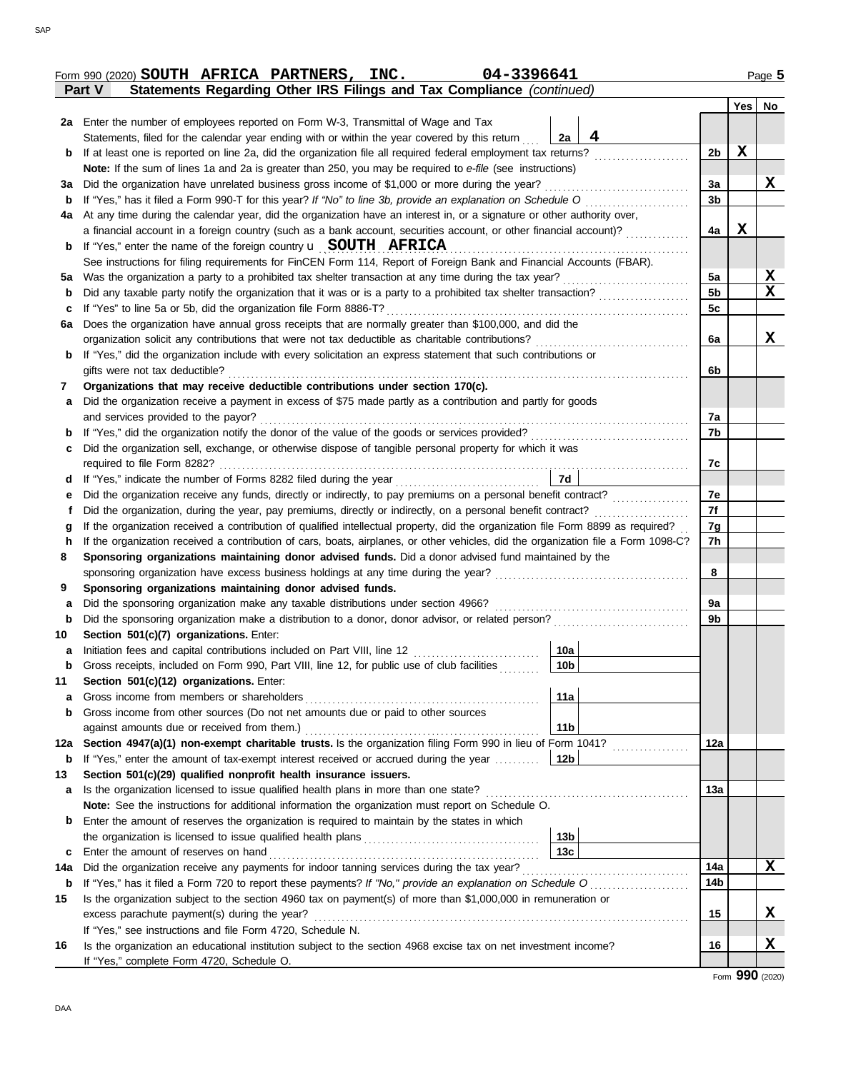| Part V<br>b<br>За<br>b<br>4a<br>$\mathbf b$ | Statements Regarding Other IRS Filings and Tax Compliance (continued)<br>2a Enter the number of employees reported on Form W-3, Transmittal of Wage and Tax<br>Statements, filed for the calendar year ending with or within the year covered by this return<br>If at least one is reported on line 2a, did the organization file all required federal employment tax returns?<br>Note: If the sum of lines 1a and 2a is greater than 250, you may be required to e-file (see instructions)<br>Did the organization have unrelated business gross income of \$1,000 or more during the year? | 4<br>2a         |                |             | Yes   No |
|---------------------------------------------|----------------------------------------------------------------------------------------------------------------------------------------------------------------------------------------------------------------------------------------------------------------------------------------------------------------------------------------------------------------------------------------------------------------------------------------------------------------------------------------------------------------------------------------------------------------------------------------------|-----------------|----------------|-------------|----------|
|                                             |                                                                                                                                                                                                                                                                                                                                                                                                                                                                                                                                                                                              |                 |                |             |          |
|                                             |                                                                                                                                                                                                                                                                                                                                                                                                                                                                                                                                                                                              |                 |                |             |          |
|                                             |                                                                                                                                                                                                                                                                                                                                                                                                                                                                                                                                                                                              |                 |                |             |          |
|                                             |                                                                                                                                                                                                                                                                                                                                                                                                                                                                                                                                                                                              |                 |                |             |          |
|                                             |                                                                                                                                                                                                                                                                                                                                                                                                                                                                                                                                                                                              |                 | 2 <sub>b</sub> | $\mathbf X$ |          |
|                                             |                                                                                                                                                                                                                                                                                                                                                                                                                                                                                                                                                                                              |                 |                |             |          |
|                                             |                                                                                                                                                                                                                                                                                                                                                                                                                                                                                                                                                                                              |                 | 3a             |             | X        |
|                                             | If "Yes," has it filed a Form 990-T for this year? If "No" to line 3b, provide an explanation on Schedule O                                                                                                                                                                                                                                                                                                                                                                                                                                                                                  |                 | 3b             |             |          |
|                                             | At any time during the calendar year, did the organization have an interest in, or a signature or other authority over,                                                                                                                                                                                                                                                                                                                                                                                                                                                                      |                 |                |             |          |
|                                             | a financial account in a foreign country (such as a bank account, securities account, or other financial account)?                                                                                                                                                                                                                                                                                                                                                                                                                                                                           |                 | 4a             | X           |          |
|                                             | If "Yes," enter the name of the foreign country <b>u SOUTH</b> AFRICA                                                                                                                                                                                                                                                                                                                                                                                                                                                                                                                        |                 |                |             |          |
|                                             | See instructions for filing requirements for FinCEN Form 114, Report of Foreign Bank and Financial Accounts (FBAR).                                                                                                                                                                                                                                                                                                                                                                                                                                                                          |                 |                |             |          |
| 5а                                          | Was the organization a party to a prohibited tax shelter transaction at any time during the tax year?                                                                                                                                                                                                                                                                                                                                                                                                                                                                                        |                 | 5a             |             | X        |
| b                                           |                                                                                                                                                                                                                                                                                                                                                                                                                                                                                                                                                                                              |                 | 5b             |             | X        |
| c                                           | If "Yes" to line 5a or 5b, did the organization file Form 8886-T?                                                                                                                                                                                                                                                                                                                                                                                                                                                                                                                            |                 | 5c             |             |          |
| 6a                                          | Does the organization have annual gross receipts that are normally greater than \$100,000, and did the                                                                                                                                                                                                                                                                                                                                                                                                                                                                                       |                 |                |             |          |
|                                             | organization solicit any contributions that were not tax deductible as charitable contributions?                                                                                                                                                                                                                                                                                                                                                                                                                                                                                             |                 | 6а             |             | X        |
| b                                           | If "Yes," did the organization include with every solicitation an express statement that such contributions or                                                                                                                                                                                                                                                                                                                                                                                                                                                                               |                 |                |             |          |
|                                             | gifts were not tax deductible?                                                                                                                                                                                                                                                                                                                                                                                                                                                                                                                                                               |                 | 6b             |             |          |
| 7                                           | Organizations that may receive deductible contributions under section 170(c).                                                                                                                                                                                                                                                                                                                                                                                                                                                                                                                |                 |                |             |          |
| a                                           | Did the organization receive a payment in excess of \$75 made partly as a contribution and partly for goods                                                                                                                                                                                                                                                                                                                                                                                                                                                                                  |                 |                |             |          |
|                                             | and services provided to the payor?                                                                                                                                                                                                                                                                                                                                                                                                                                                                                                                                                          |                 | 7a             |             |          |
| b                                           |                                                                                                                                                                                                                                                                                                                                                                                                                                                                                                                                                                                              |                 | 7b             |             |          |
| c                                           | Did the organization sell, exchange, or otherwise dispose of tangible personal property for which it was                                                                                                                                                                                                                                                                                                                                                                                                                                                                                     |                 |                |             |          |
|                                             |                                                                                                                                                                                                                                                                                                                                                                                                                                                                                                                                                                                              |                 | 7c             |             |          |
| d                                           | If "Yes," indicate the number of Forms 8282 filed during the year<br>[[[[[[[[[[[[[]]]]]]                                                                                                                                                                                                                                                                                                                                                                                                                                                                                                     | 7d              |                |             |          |
| е                                           |                                                                                                                                                                                                                                                                                                                                                                                                                                                                                                                                                                                              |                 | 7e             |             |          |
| f                                           | Did the organization, during the year, pay premiums, directly or indirectly, on a personal benefit contract?                                                                                                                                                                                                                                                                                                                                                                                                                                                                                 |                 | 7f             |             |          |
| g                                           | If the organization received a contribution of qualified intellectual property, did the organization file Form 8899 as required?                                                                                                                                                                                                                                                                                                                                                                                                                                                             |                 | 7g             |             |          |
| h                                           | If the organization received a contribution of cars, boats, airplanes, or other vehicles, did the organization file a Form 1098-C?                                                                                                                                                                                                                                                                                                                                                                                                                                                           |                 | 7h             |             |          |
| 8                                           | Sponsoring organizations maintaining donor advised funds. Did a donor advised fund maintained by the                                                                                                                                                                                                                                                                                                                                                                                                                                                                                         |                 |                |             |          |
|                                             | sponsoring organization have excess business holdings at any time during the year?                                                                                                                                                                                                                                                                                                                                                                                                                                                                                                           |                 | 8              |             |          |
| 9                                           | Sponsoring organizations maintaining donor advised funds.                                                                                                                                                                                                                                                                                                                                                                                                                                                                                                                                    |                 |                |             |          |
| a                                           | Did the sponsoring organization make any taxable distributions under section 4966?                                                                                                                                                                                                                                                                                                                                                                                                                                                                                                           |                 | 9a             |             |          |
| b                                           |                                                                                                                                                                                                                                                                                                                                                                                                                                                                                                                                                                                              |                 | 9b             |             |          |
| 10                                          | Section 501(c)(7) organizations. Enter:                                                                                                                                                                                                                                                                                                                                                                                                                                                                                                                                                      |                 |                |             |          |
|                                             | Initiation fees and capital contributions included on Part VIII, line 12 [11] [11] [12] [11] [11] [12] [11] [1                                                                                                                                                                                                                                                                                                                                                                                                                                                                               | 10a             |                |             |          |
| b                                           | Gross receipts, included on Form 990, Part VIII, line 12, for public use of club facilities                                                                                                                                                                                                                                                                                                                                                                                                                                                                                                  | 10b             |                |             |          |
| 11                                          | Section 501(c)(12) organizations. Enter:                                                                                                                                                                                                                                                                                                                                                                                                                                                                                                                                                     |                 |                |             |          |
| a                                           | Gross income from members or shareholders                                                                                                                                                                                                                                                                                                                                                                                                                                                                                                                                                    | 11a             |                |             |          |
| b                                           | Gross income from other sources (Do not net amounts due or paid to other sources                                                                                                                                                                                                                                                                                                                                                                                                                                                                                                             |                 |                |             |          |
|                                             | against amounts due or received from them.)                                                                                                                                                                                                                                                                                                                                                                                                                                                                                                                                                  | 11 <sub>b</sub> |                |             |          |
| 12a                                         | Section 4947(a)(1) non-exempt charitable trusts. Is the organization filing Form 990 in lieu of Form 1041?                                                                                                                                                                                                                                                                                                                                                                                                                                                                                   |                 | 12a            |             |          |
| b                                           | If "Yes," enter the amount of tax-exempt interest received or accrued during the year                                                                                                                                                                                                                                                                                                                                                                                                                                                                                                        | 12 <sub>b</sub> |                |             |          |
| 13                                          | Section 501(c)(29) qualified nonprofit health insurance issuers.                                                                                                                                                                                                                                                                                                                                                                                                                                                                                                                             |                 |                |             |          |
| a                                           | Is the organization licensed to issue qualified health plans in more than one state?                                                                                                                                                                                                                                                                                                                                                                                                                                                                                                         |                 | 13а            |             |          |
|                                             | Note: See the instructions for additional information the organization must report on Schedule O.                                                                                                                                                                                                                                                                                                                                                                                                                                                                                            |                 |                |             |          |
| b                                           | Enter the amount of reserves the organization is required to maintain by the states in which                                                                                                                                                                                                                                                                                                                                                                                                                                                                                                 |                 |                |             |          |
|                                             |                                                                                                                                                                                                                                                                                                                                                                                                                                                                                                                                                                                              | 13b             |                |             |          |
| c                                           | Enter the amount of reserves on hand                                                                                                                                                                                                                                                                                                                                                                                                                                                                                                                                                         | 13c             |                |             |          |
| 14a                                         | Did the organization receive any payments for indoor tanning services during the tax year?                                                                                                                                                                                                                                                                                                                                                                                                                                                                                                   |                 | 14a            |             | X        |
| b                                           | If "Yes," has it filed a Form 720 to report these payments? If "No," provide an explanation on Schedule O                                                                                                                                                                                                                                                                                                                                                                                                                                                                                    |                 | 14b            |             |          |
| 15                                          | Is the organization subject to the section 4960 tax on payment(s) of more than \$1,000,000 in remuneration or                                                                                                                                                                                                                                                                                                                                                                                                                                                                                |                 |                |             |          |
|                                             | excess parachute payment(s) during the year?                                                                                                                                                                                                                                                                                                                                                                                                                                                                                                                                                 |                 | 15             |             | X        |
|                                             | If "Yes," see instructions and file Form 4720, Schedule N.                                                                                                                                                                                                                                                                                                                                                                                                                                                                                                                                   |                 |                |             |          |
| 16                                          | Is the organization an educational institution subject to the section 4968 excise tax on net investment income?                                                                                                                                                                                                                                                                                                                                                                                                                                                                              |                 | 16             |             | X        |

DAA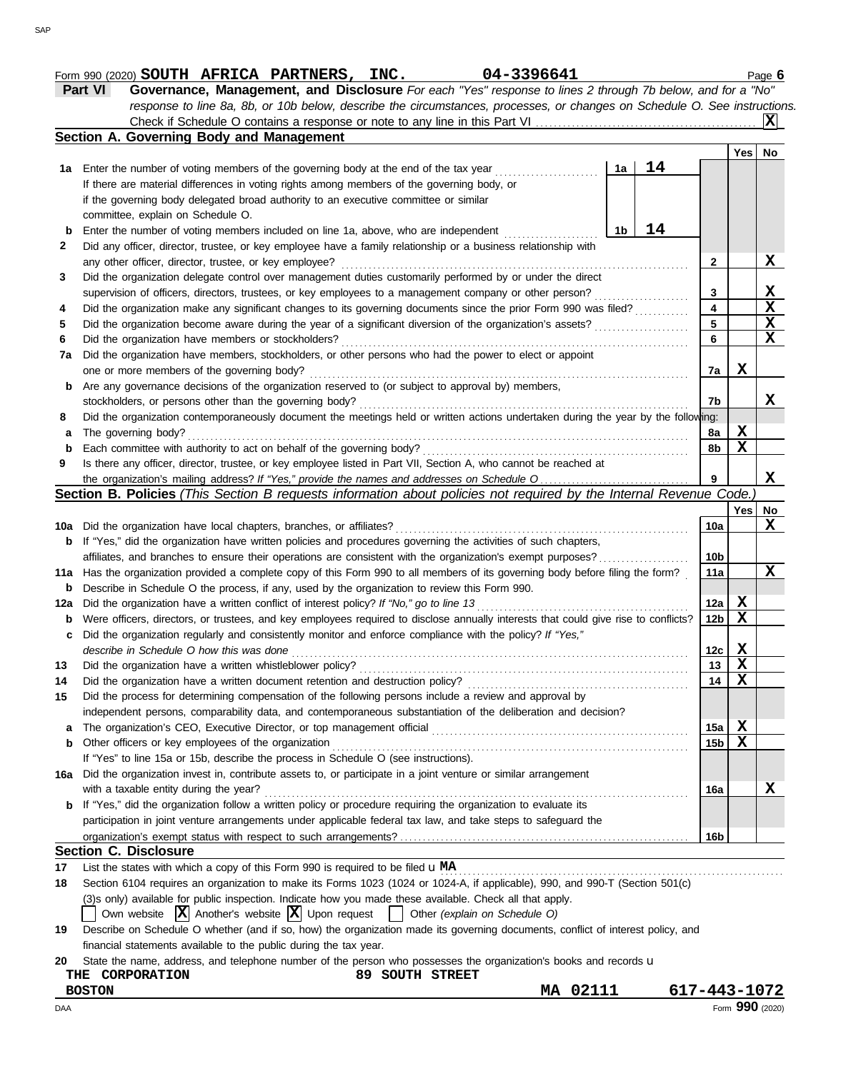# **Form 990 (2020) SOUTH AFRICA PARTNERS, INC.** 04-3396641 Page 6

|         | response to line 8a, 8b, or 10b below, describe the circumstances, processes, or changes on Schedule O. See instructions. |
|---------|---------------------------------------------------------------------------------------------------------------------------|
| Part VI | <b>Governance, Management, and Disclosure</b> For each "Yes" response to lines 2 through 7b below, and for a "No"         |

|             | Section A. Governing Body and Management                                                                                            |    |    |                 |             |                         |
|-------------|-------------------------------------------------------------------------------------------------------------------------------------|----|----|-----------------|-------------|-------------------------|
|             |                                                                                                                                     |    |    |                 | Yes         | No                      |
| 1а          | Enter the number of voting members of the governing body at the end of the tax year                                                 | 1a | 14 |                 |             |                         |
|             | If there are material differences in voting rights among members of the governing body, or                                          |    |    |                 |             |                         |
|             | if the governing body delegated broad authority to an executive committee or similar                                                |    |    |                 |             |                         |
|             | committee, explain on Schedule O.                                                                                                   |    |    |                 |             |                         |
| b           | Enter the number of voting members included on line 1a, above, who are independent                                                  | 1b | 14 |                 |             |                         |
| 2           | Did any officer, director, trustee, or key employee have a family relationship or a business relationship with                      |    |    |                 |             |                         |
|             | any other officer, director, trustee, or key employee?                                                                              |    |    | $\mathbf{2}$    |             | X                       |
| 3           | Did the organization delegate control over management duties customarily performed by or under the direct                           |    |    |                 |             |                         |
|             | supervision of officers, directors, trustees, or key employees to a management company or other person?                             |    | .  | 3               |             | X                       |
| 4           | Did the organization make any significant changes to its governing documents since the prior Form 990 was filed?                    |    |    | 4               |             | $\overline{\mathbf{x}}$ |
| 5           | Did the organization become aware during the year of a significant diversion of the organization's assets?                          |    |    | 5               |             | X                       |
| 6           | Did the organization have members or stockholders?                                                                                  |    |    | 6               |             | $\mathbf x$             |
| 7a          | Did the organization have members, stockholders, or other persons who had the power to elect or appoint                             |    |    |                 |             |                         |
|             | one or more members of the governing body?                                                                                          |    |    | 7a              | X           |                         |
| b           | Are any governance decisions of the organization reserved to (or subject to approval by) members,                                   |    |    |                 |             |                         |
|             | stockholders, or persons other than the governing body?                                                                             |    |    | 7b              |             | X.                      |
| 8           | Did the organization contemporaneously document the meetings held or written actions undertaken during the year by the following:   |    |    |                 |             |                         |
| а           | The governing body?                                                                                                                 |    |    | 8a              | X           |                         |
| $\mathbf b$ | Each committee with authority to act on behalf of the governing body?                                                               |    |    | 8b              | $\mathbf X$ |                         |
| 9           | Is there any officer, director, trustee, or key employee listed in Part VII, Section A, who cannot be reached at                    |    |    |                 |             |                         |
|             |                                                                                                                                     |    |    | 9               |             | X                       |
|             | Section B. Policies (This Section B requests information about policies not required by the Internal Revenue Code.                  |    |    |                 |             |                         |
|             |                                                                                                                                     |    |    |                 | Yes         | No                      |
| 10a         | Did the organization have local chapters, branches, or affiliates?                                                                  |    |    | 10a             |             | X                       |
| b           | If "Yes," did the organization have written policies and procedures governing the activities of such chapters,                      |    |    |                 |             |                         |
|             | affiliates, and branches to ensure their operations are consistent with the organization's exempt purposes?                         |    |    | 10b             |             |                         |
| 11a         | Has the organization provided a complete copy of this Form 990 to all members of its governing body before filing the form?         |    |    | 11a             |             | X                       |
| b           | Describe in Schedule O the process, if any, used by the organization to review this Form 990.                                       |    |    |                 |             |                         |
| 12a         | Did the organization have a written conflict of interest policy? If "No," go to line 13                                             |    |    | <u>12a</u>      | X           |                         |
| b           | Were officers, directors, or trustees, and key employees required to disclose annually interests that could give rise to conflicts? |    |    | 12 <sub>b</sub> | $\mathbf x$ |                         |
| c           | Did the organization regularly and consistently monitor and enforce compliance with the policy? If "Yes,"                           |    |    |                 |             |                         |
|             | describe in Schedule O how this was done                                                                                            |    |    | 12c             | X           |                         |
| 13          | Did the organization have a written whistleblower policy?                                                                           |    |    | 13              | $\mathbf x$ |                         |
| 14          | Did the organization have a written document retention and destruction policy?                                                      |    |    | 14              | $\mathbf x$ |                         |
| 15          | Did the process for determining compensation of the following persons include a review and approval by                              |    |    |                 |             |                         |
|             | independent persons, comparability data, and contemporaneous substantiation of the deliberation and decision?                       |    |    |                 |             |                         |
| a           |                                                                                                                                     |    |    | 15a             | X           |                         |
| b           | Other officers or key employees of the organization                                                                                 |    |    | 15b             | $\mathbf x$ |                         |
|             | If "Yes" to line 15a or 15b, describe the process in Schedule O (see instructions).                                                 |    |    |                 |             |                         |
| 16а         | Did the organization invest in, contribute assets to, or participate in a joint venture or similar arrangement                      |    |    |                 |             |                         |
|             | with a taxable entity during the year?                                                                                              |    |    | 16a             |             | X,                      |
| b           | If "Yes," did the organization follow a written policy or procedure requiring the organization to evaluate its                      |    |    |                 |             |                         |
|             | participation in joint venture arrangements under applicable federal tax law, and take steps to safeguard the                       |    |    |                 |             |                         |
|             |                                                                                                                                     |    |    | 16 <sub>b</sub> |             |                         |
|             | <b>Section C. Disclosure</b>                                                                                                        |    |    |                 |             |                         |
| 17          | List the states with which a copy of this Form 990 is required to be filed $\mathbf{u} \mathbf{M}$ A                                |    |    |                 |             |                         |
| 18          | Section 6104 requires an organization to make its Forms 1023 (1024 or 1024-A, if applicable), 990, and 990-T (Section 501(c)        |    |    |                 |             |                         |

(3)s only) available for public inspection. Indicate how you made these available. Check all that apply.

|  |  |  |  |  |  | Own website $\mathbf{X}$ Another's website $\mathbf{X}$ Upon request |  |  |  | Other (explain on Schedule O) |  |
|--|--|--|--|--|--|----------------------------------------------------------------------|--|--|--|-------------------------------|--|
|--|--|--|--|--|--|----------------------------------------------------------------------|--|--|--|-------------------------------|--|

| 19 Describe on Schedule O whether (and if so, how) the organization made its governing documents, conflict of interest policy, and |
|------------------------------------------------------------------------------------------------------------------------------------|
| financial statements available to the public during the tax year.                                                                  |

|  |  |  |  |  |  |  |  | 20 State the name, address, and telephone number of the person who possesses the organization's books and records <b>u</b> |
|--|--|--|--|--|--|--|--|----------------------------------------------------------------------------------------------------------------------------|
|--|--|--|--|--|--|--|--|----------------------------------------------------------------------------------------------------------------------------|

**BOSTON MA 02111 617-443-1072**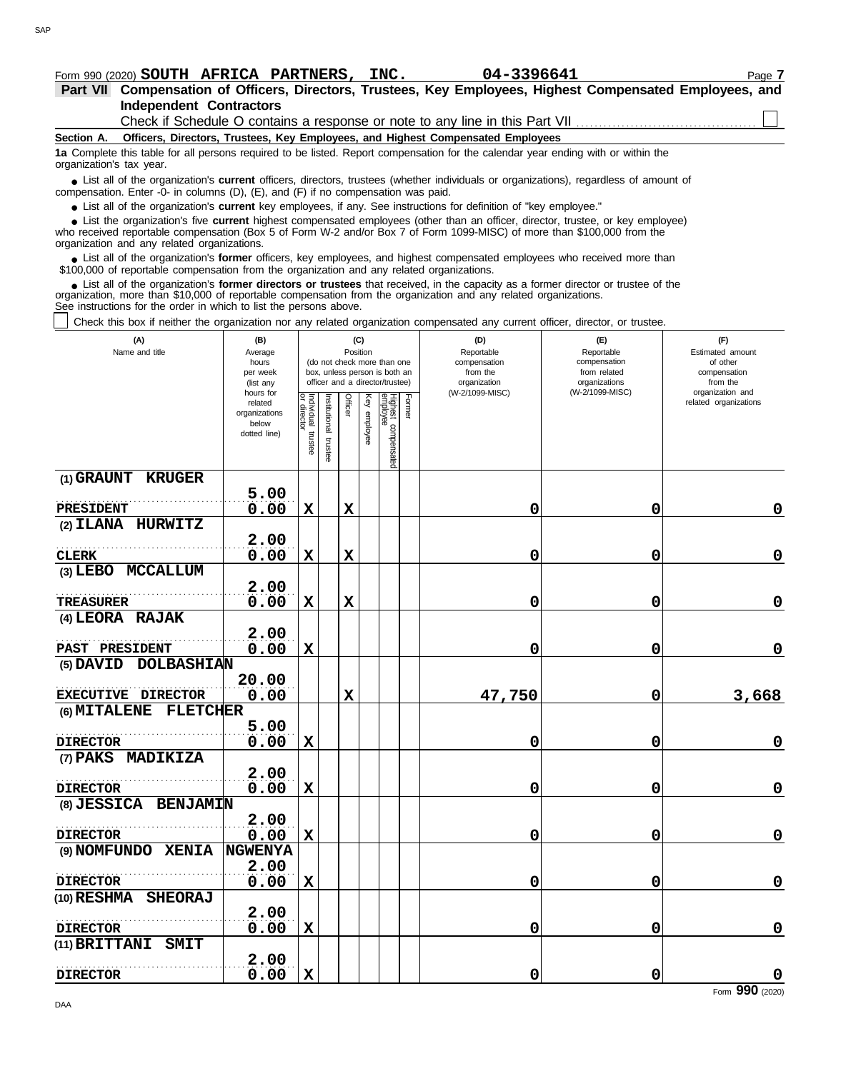SAP

**Independent Contractors Part VII Compensation of Officers, Directors, Trustees, Key Employees, Highest Compensated Employees, and Form 990 (2020) SOUTH AFRICA PARTNERS, INC. 04-3396641** Page 7 Check if Schedule O contains a response or note to any line in this Part VII

#### **Section A. Officers, Directors, Trustees, Key Employees, and Highest Compensated Employees**

**1a** Complete this table for all persons required to be listed. Report compensation for the calendar year ending with or within the organization's tax year.

■ List all of the organization's **current** officers, directors, trustees (whether individuals or organizations), regardless of amount of the organization Enter -0- in columns (D), (E), and (E) if no compensation was paid compensation. Enter -0- in columns (D), (E), and (F) if no compensation was paid.

● List all of the organization's **current** key employees, if any. See instructions for definition of "key employee."

who received reportable compensation (Box 5 of Form W-2 and/or Box 7 of Form 1099-MISC) of more than \$100,000 from the organization and any related organizations. ■ List the organization's five **current** highest compensated employees (other than an officer, director, trustee, or key employee)<br>
a received reportable compensation (Box 5 of Form W-2 and/or Box 7 of Form 1099-MISC) of

■ List all of the organization's **former** officers, key employees, and highest compensated employees who received more than<br>00,000 of reportable compensation from the organization and any related organizations \$100,000 of reportable compensation from the organization and any related organizations.

■ List all of the organization's **former directors or trustees** that received, in the capacity as a former director or trustee of the<br>enization, more than \$10,000 of reportable compensation from the organization and any r organization, more than \$10,000 of reportable compensation from the organization and any related organizations. See instructions for the order in which to list the persons above.

Check this box if neither the organization nor any related organization compensated any current officer, director, or trustee.

| (A)<br>Name and title                      | (C)<br>(B)<br>Position<br>Average<br>hours<br>(do not check more than one<br>per week<br>box, unless person is both an<br>officer and a director/trustee)<br>(list any |                                   |                         |             |                 | (D)<br>Reportable<br>compensation<br>from the<br>organization | (E)<br>Reportable<br>compensation<br>from related<br>organizations<br>(W-2/1099-MISC) | (F)<br>Estimated amount<br>of other<br>compensation<br>from the |   |                                           |
|--------------------------------------------|------------------------------------------------------------------------------------------------------------------------------------------------------------------------|-----------------------------------|-------------------------|-------------|-----------------|---------------------------------------------------------------|---------------------------------------------------------------------------------------|-----------------------------------------------------------------|---|-------------------------------------------|
|                                            | hours for<br>related<br>organizations<br>below<br>dotted line)                                                                                                         | Individual trustee<br>or director | nstitutional<br>trustee | Officer     | Key<br>employee | Highest compensated<br>employee                               | Former                                                                                | (W-2/1099-MISC)                                                 |   | organization and<br>related organizations |
| (1) GRAUNT KRUGER                          |                                                                                                                                                                        |                                   |                         |             |                 |                                                               |                                                                                       |                                                                 |   |                                           |
| <b>PRESIDENT</b>                           | 5.00<br>0.00                                                                                                                                                           | $\mathbf x$                       |                         | $\mathbf x$ |                 |                                                               |                                                                                       | 0                                                               | 0 | $\mathbf 0$                               |
| (2) ILANA HURWITZ                          |                                                                                                                                                                        |                                   |                         |             |                 |                                                               |                                                                                       |                                                                 |   |                                           |
|                                            | 2.00                                                                                                                                                                   |                                   |                         |             |                 |                                                               |                                                                                       |                                                                 |   |                                           |
| <b>CLERK</b>                               | 0.00                                                                                                                                                                   | $\mathbf x$                       |                         | $\mathbf x$ |                 |                                                               |                                                                                       | 0                                                               | 0 | $\mathbf 0$                               |
| <b>MCCALLUM</b><br>$(3)$ LEBO              |                                                                                                                                                                        |                                   |                         |             |                 |                                                               |                                                                                       |                                                                 |   |                                           |
|                                            | 2.00                                                                                                                                                                   |                                   |                         |             |                 |                                                               |                                                                                       |                                                                 |   |                                           |
| <b>TREASURER</b>                           | 0.00                                                                                                                                                                   | $\mathbf X$                       |                         | $\mathbf x$ |                 |                                                               |                                                                                       | 0                                                               | 0 | $\mathbf 0$                               |
| (4) LEORA RAJAK                            |                                                                                                                                                                        |                                   |                         |             |                 |                                                               |                                                                                       |                                                                 |   |                                           |
|                                            | 2.00                                                                                                                                                                   |                                   |                         |             |                 |                                                               |                                                                                       |                                                                 |   |                                           |
| <b>PAST PRESIDENT</b><br><b>DOLBASHIAN</b> | 0.00                                                                                                                                                                   | $\mathbf x$                       |                         |             |                 |                                                               |                                                                                       | 0                                                               | 0 | $\mathbf 0$                               |
| $(5)$ DAVID                                | 20.00                                                                                                                                                                  |                                   |                         |             |                 |                                                               |                                                                                       |                                                                 |   |                                           |
| EXECUTIVE DIRECTOR                         | 0.00                                                                                                                                                                   |                                   |                         | X           |                 |                                                               |                                                                                       | 47,750                                                          | 0 | 3,668                                     |
| (6) MITALENE<br><b>FLETCHER</b>            |                                                                                                                                                                        |                                   |                         |             |                 |                                                               |                                                                                       |                                                                 |   |                                           |
|                                            | 5.00                                                                                                                                                                   |                                   |                         |             |                 |                                                               |                                                                                       |                                                                 |   |                                           |
| <b>DIRECTOR</b>                            | 0.00                                                                                                                                                                   | $\mathbf X$                       |                         |             |                 |                                                               |                                                                                       | 0                                                               | 0 | $\mathbf 0$                               |
| (7) PAKS MADIKIZA                          |                                                                                                                                                                        |                                   |                         |             |                 |                                                               |                                                                                       |                                                                 |   |                                           |
|                                            | 2.00                                                                                                                                                                   |                                   |                         |             |                 |                                                               |                                                                                       |                                                                 |   |                                           |
| <b>DIRECTOR</b>                            | 0.00                                                                                                                                                                   | X                                 |                         |             |                 |                                                               |                                                                                       | 0                                                               | 0 | $\mathbf 0$                               |
| (8) JESSICA BENJAMIN                       |                                                                                                                                                                        |                                   |                         |             |                 |                                                               |                                                                                       |                                                                 |   |                                           |
|                                            | 2.00                                                                                                                                                                   |                                   |                         |             |                 |                                                               |                                                                                       |                                                                 |   |                                           |
| <b>DIRECTOR</b>                            | 0.00                                                                                                                                                                   | $\mathbf x$                       |                         |             |                 |                                                               |                                                                                       | 0                                                               | 0 | $\mathbf 0$                               |
| <b>XENIA</b><br>(9) NOMFUNDO               | <b>NGWENYA</b>                                                                                                                                                         |                                   |                         |             |                 |                                                               |                                                                                       |                                                                 |   |                                           |
|                                            | 2.00                                                                                                                                                                   |                                   |                         |             |                 |                                                               |                                                                                       |                                                                 |   |                                           |
| <b>DIRECTOR</b>                            | 0.00                                                                                                                                                                   | X                                 |                         |             |                 |                                                               |                                                                                       | 0                                                               | 0 | $\mathbf 0$                               |
| (10) RESHMA<br><b>SHEORAJ</b>              | 2.00                                                                                                                                                                   |                                   |                         |             |                 |                                                               |                                                                                       |                                                                 |   |                                           |
| <b>DIRECTOR</b>                            | 0.00                                                                                                                                                                   | $\mathbf x$                       |                         |             |                 |                                                               |                                                                                       | 0                                                               | 0 | $\mathbf 0$                               |
| (11) BRITTANI<br><b>SMIT</b>               |                                                                                                                                                                        |                                   |                         |             |                 |                                                               |                                                                                       |                                                                 |   |                                           |
|                                            | 2.00                                                                                                                                                                   |                                   |                         |             |                 |                                                               |                                                                                       |                                                                 |   |                                           |
| <b>DIRECTOR</b>                            | 0.00                                                                                                                                                                   | $\mathbf X$                       |                         |             |                 |                                                               |                                                                                       | 0                                                               | 0 | 0                                         |
|                                            |                                                                                                                                                                        |                                   |                         |             |                 |                                                               |                                                                                       |                                                                 |   | Form 990 (2020)                           |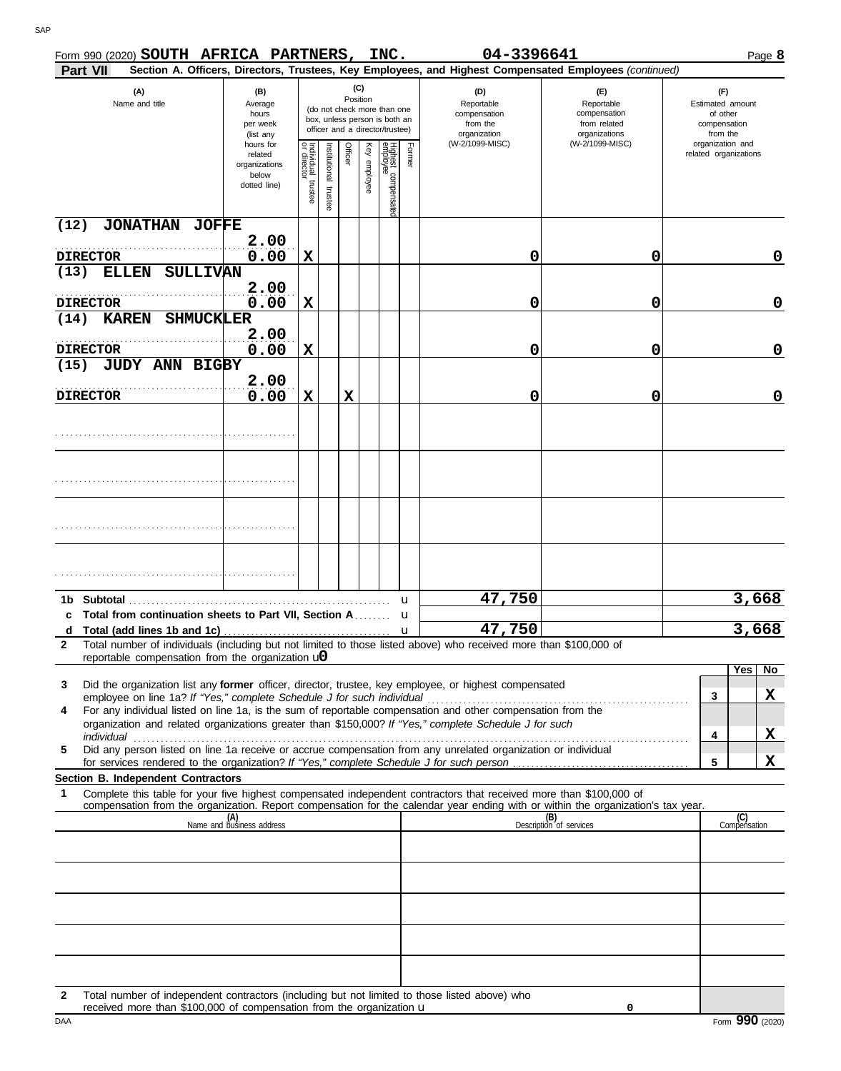| Form 990 (2020) SOUTH AFRICA PARTNERS,                             |                                                                |                                      |                          |                 |              | INC.                                                                                            |        | 04-3396641                                                                                                                                                                                                           |                                                                                                                                  |                                                                 | Page 8              |
|--------------------------------------------------------------------|----------------------------------------------------------------|--------------------------------------|--------------------------|-----------------|--------------|-------------------------------------------------------------------------------------------------|--------|----------------------------------------------------------------------------------------------------------------------------------------------------------------------------------------------------------------------|----------------------------------------------------------------------------------------------------------------------------------|-----------------------------------------------------------------|---------------------|
| Part VII                                                           |                                                                |                                      |                          |                 |              |                                                                                                 |        |                                                                                                                                                                                                                      | Section A. Officers, Directors, Trustees, Key Employees, and Highest Compensated Employees (continued)                           |                                                                 |                     |
| (A)<br>Name and title                                              | (B)<br>Average<br>hours<br>per week<br>(list any               |                                      |                          | (C)<br>Position |              | (do not check more than one<br>box, unless person is both an<br>officer and a director/trustee) |        | (D)<br>Reportable<br>compensation<br>from the<br>organization                                                                                                                                                        | (E)<br>Reportable<br>compensation<br>from related<br>organizations                                                               | (F)<br>Estimated amount<br>of other<br>compensation<br>from the |                     |
|                                                                    | hours for<br>related<br>organizations<br>below<br>dotted line) | Individual<br>or director<br>trustee | Institutional<br>trustee | Officer         | Key employee | Highest compensatec<br>employee                                                                 | Former | (W-2/1099-MISC)                                                                                                                                                                                                      | (W-2/1099-MISC)                                                                                                                  | organization and<br>related organizations                       |                     |
| (12)<br><b>JONATHAN JOFFE</b>                                      |                                                                |                                      |                          |                 |              |                                                                                                 |        |                                                                                                                                                                                                                      |                                                                                                                                  |                                                                 |                     |
| <b>DIRECTOR</b>                                                    | 2.00<br>0.00                                                   | $\mathbf x$                          |                          |                 |              |                                                                                                 |        | 0                                                                                                                                                                                                                    | 0                                                                                                                                |                                                                 | 0                   |
| (13)<br><b>ELLEN</b>                                               | <b>SULLIVAN</b>                                                |                                      |                          |                 |              |                                                                                                 |        |                                                                                                                                                                                                                      |                                                                                                                                  |                                                                 |                     |
| <b>DIRECTOR</b>                                                    | 2.00<br>0.00                                                   | $\mathbf x$                          |                          |                 |              |                                                                                                 |        | 0                                                                                                                                                                                                                    | 0                                                                                                                                |                                                                 | $\mathbf 0$         |
| <b>KAREN</b><br>(14)                                               | <b>SHMUCKLER</b>                                               |                                      |                          |                 |              |                                                                                                 |        |                                                                                                                                                                                                                      |                                                                                                                                  |                                                                 |                     |
| <b>DIRECTOR</b>                                                    | 2.00<br>0.00                                                   | $\mathbf x$                          |                          |                 |              |                                                                                                 |        | 0                                                                                                                                                                                                                    | 0                                                                                                                                |                                                                 | 0                   |
| <b>JUDY ANN BIGBY</b><br>(15)                                      | 2.00                                                           |                                      |                          |                 |              |                                                                                                 |        |                                                                                                                                                                                                                      |                                                                                                                                  |                                                                 |                     |
| <b>DIRECTOR</b>                                                    | 0.00                                                           | $\mathbf x$                          |                          | X               |              |                                                                                                 |        | 0                                                                                                                                                                                                                    | 0                                                                                                                                |                                                                 | $\mathbf 0$         |
|                                                                    |                                                                |                                      |                          |                 |              |                                                                                                 |        |                                                                                                                                                                                                                      |                                                                                                                                  |                                                                 |                     |
|                                                                    |                                                                |                                      |                          |                 |              |                                                                                                 |        |                                                                                                                                                                                                                      |                                                                                                                                  |                                                                 |                     |
|                                                                    |                                                                |                                      |                          |                 |              |                                                                                                 |        |                                                                                                                                                                                                                      |                                                                                                                                  |                                                                 |                     |
|                                                                    |                                                                |                                      |                          |                 |              |                                                                                                 |        |                                                                                                                                                                                                                      |                                                                                                                                  |                                                                 |                     |
|                                                                    |                                                                |                                      |                          |                 |              |                                                                                                 | u      | 47,750                                                                                                                                                                                                               |                                                                                                                                  |                                                                 | 3,668               |
| c Total from continuation sheets to Part VII, Section A            |                                                                |                                      |                          |                 |              |                                                                                                 | u      | 47,750                                                                                                                                                                                                               |                                                                                                                                  |                                                                 | 3,668               |
| 2                                                                  |                                                                |                                      |                          |                 |              |                                                                                                 |        | Total number of individuals (including but not limited to those listed above) who received more than \$100,000 of                                                                                                    |                                                                                                                                  |                                                                 |                     |
| reportable compensation from the organization $\mathbf{u}$         |                                                                |                                      |                          |                 |              |                                                                                                 |        |                                                                                                                                                                                                                      |                                                                                                                                  |                                                                 | Yes<br>No           |
| 3                                                                  |                                                                |                                      |                          |                 |              |                                                                                                 |        | Did the organization list any former officer, director, trustee, key employee, or highest compensated                                                                                                                |                                                                                                                                  | 3                                                               | X                   |
| 4                                                                  |                                                                |                                      |                          |                 |              |                                                                                                 |        | For any individual listed on line 1a, is the sum of reportable compensation and other compensation from the<br>organization and related organizations greater than \$150,000? If "Yes," complete Schedule J for such |                                                                                                                                  |                                                                 |                     |
|                                                                    |                                                                |                                      |                          |                 |              |                                                                                                 |        |                                                                                                                                                                                                                      |                                                                                                                                  | 4                                                               | X                   |
| 5                                                                  |                                                                |                                      |                          |                 |              |                                                                                                 |        | Did any person listed on line 1a receive or accrue compensation from any unrelated organization or individual                                                                                                        |                                                                                                                                  | 5                                                               | X                   |
| Section B. Independent Contractors                                 |                                                                |                                      |                          |                 |              |                                                                                                 |        |                                                                                                                                                                                                                      |                                                                                                                                  |                                                                 |                     |
| 1                                                                  |                                                                |                                      |                          |                 |              |                                                                                                 |        | Complete this table for your five highest compensated independent contractors that received more than \$100,000 of                                                                                                   | compensation from the organization. Report compensation for the calendar year ending with or within the organization's tax year. |                                                                 |                     |
| (B)<br>Description of services<br>(A)<br>Name and business address |                                                                |                                      |                          |                 |              |                                                                                                 |        |                                                                                                                                                                                                                      |                                                                                                                                  |                                                                 | (C)<br>Compensation |
|                                                                    |                                                                |                                      |                          |                 |              |                                                                                                 |        |                                                                                                                                                                                                                      |                                                                                                                                  |                                                                 |                     |
|                                                                    |                                                                |                                      |                          |                 |              |                                                                                                 |        |                                                                                                                                                                                                                      |                                                                                                                                  |                                                                 |                     |
|                                                                    |                                                                |                                      |                          |                 |              |                                                                                                 |        |                                                                                                                                                                                                                      |                                                                                                                                  |                                                                 |                     |
|                                                                    |                                                                |                                      |                          |                 |              |                                                                                                 |        |                                                                                                                                                                                                                      |                                                                                                                                  |                                                                 |                     |
|                                                                    |                                                                |                                      |                          |                 |              |                                                                                                 |        |                                                                                                                                                                                                                      |                                                                                                                                  |                                                                 |                     |
|                                                                    |                                                                |                                      |                          |                 |              |                                                                                                 |        |                                                                                                                                                                                                                      |                                                                                                                                  |                                                                 |                     |

DAA Form **990** (2020) **2** Total number of independent contractors (including but not limited to those listed above) who received more than \$100,000 of compensation from the organization u

**0**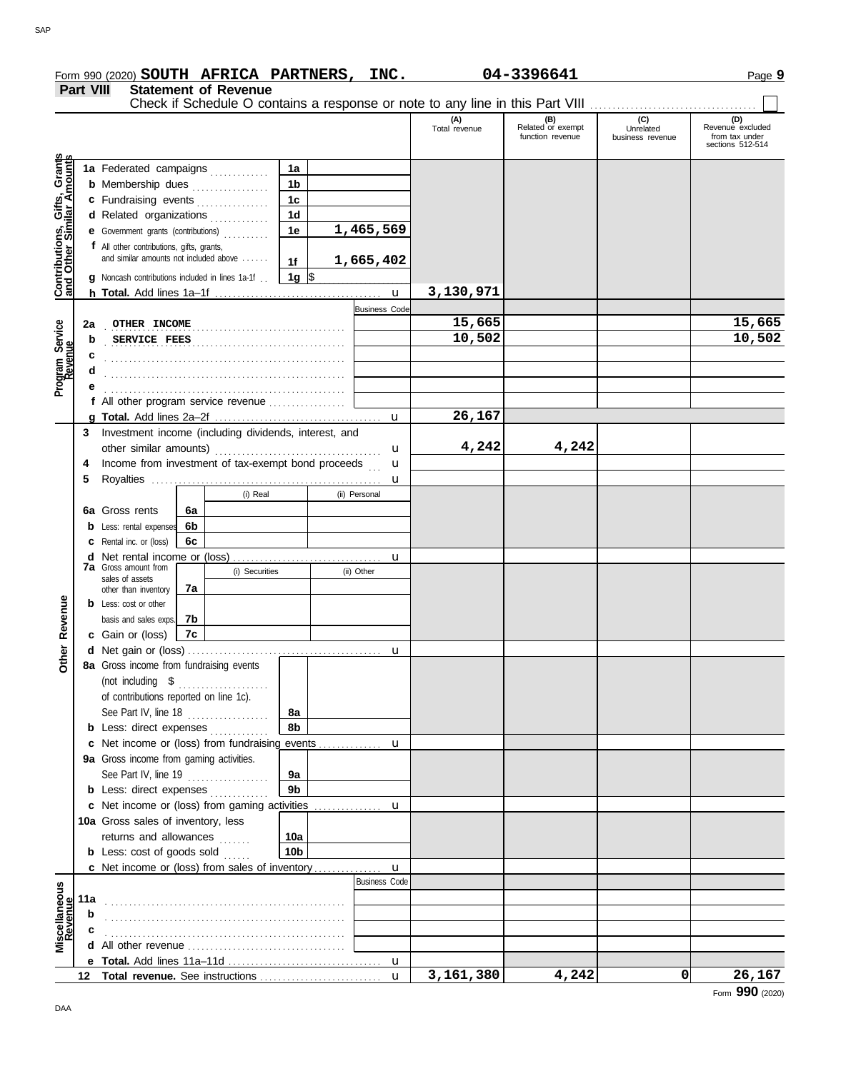| Form 990 (2020) $SOUTH$ AFRICA PARTNERS, |  | INC. | 04-3396641 | Page <b>9</b> |
|------------------------------------------|--|------|------------|---------------|

|                              | <b>Part VIII</b> |                                                                  |    | <b>Statement of Revenue</b> |                  |                      | Check if Schedule O contains a response or note to any line in this Part VIII |                                       |                               |                                    |
|------------------------------|------------------|------------------------------------------------------------------|----|-----------------------------|------------------|----------------------|-------------------------------------------------------------------------------|---------------------------------------|-------------------------------|------------------------------------|
|                              |                  |                                                                  |    |                             |                  |                      | (A)                                                                           | (B)                                   | (C)                           | (D)                                |
|                              |                  |                                                                  |    |                             |                  |                      | Total revenue                                                                 | Related or exempt<br>function revenue | Unrelated<br>business revenue | Revenue excluded<br>from tax under |
|                              |                  |                                                                  |    |                             |                  |                      |                                                                               |                                       |                               | sections 512-514                   |
|                              |                  | 1a Federated campaigns                                           |    |                             | 1a               |                      |                                                                               |                                       |                               |                                    |
|                              |                  | <b>b</b> Membership dues                                         |    | .                           | 1 <sub>b</sub>   |                      |                                                                               |                                       |                               |                                    |
|                              |                  | c Fundraising events                                             |    |                             | 1 <sub>c</sub>   |                      |                                                                               |                                       |                               |                                    |
|                              |                  | d Related organizations                                          |    |                             | 1 <sub>d</sub>   |                      |                                                                               |                                       |                               |                                    |
|                              |                  | e Government grants (contributions)                              |    |                             | 1e               | 1,465,569            |                                                                               |                                       |                               |                                    |
|                              |                  | f All other contributions, gifts, grants,                        |    |                             |                  |                      |                                                                               |                                       |                               |                                    |
|                              |                  | and similar amounts not included above                           |    |                             | 1f               | 1,665,402            |                                                                               |                                       |                               |                                    |
| Contributions, Gifts, Grants |                  | <b>g</b> Noncash contributions included in lines 1a-1f.          |    |                             | 1g $\frac{1}{3}$ |                      |                                                                               |                                       |                               |                                    |
|                              |                  |                                                                  |    |                             |                  | $\mathbf u$          | 3,130,971                                                                     |                                       |                               |                                    |
|                              |                  |                                                                  |    |                             |                  | <b>Business Code</b> |                                                                               |                                       |                               |                                    |
|                              | 2a               | OTHER INCOME                                                     |    |                             |                  |                      | 15,665                                                                        |                                       |                               | 15,665                             |
| Program Service<br>Revenue   | b                | SERVICE FEES                                                     |    |                             |                  |                      | 10,502                                                                        |                                       |                               | 10,502                             |
|                              | c                |                                                                  |    |                             |                  |                      |                                                                               |                                       |                               |                                    |
|                              |                  |                                                                  |    |                             |                  |                      |                                                                               |                                       |                               |                                    |
|                              |                  |                                                                  |    |                             |                  |                      |                                                                               |                                       |                               |                                    |
|                              |                  | f All other program service revenue                              |    |                             |                  | $\mathbf{u}$         | 26,167                                                                        |                                       |                               |                                    |
|                              | 3                | Investment income (including dividends, interest, and            |    |                             |                  |                      |                                                                               |                                       |                               |                                    |
|                              |                  |                                                                  |    |                             |                  | u                    | 4,242                                                                         | 4,242                                 |                               |                                    |
|                              | 4                | Income from investment of tax-exempt bond proceeds               |    |                             |                  | u                    |                                                                               |                                       |                               |                                    |
|                              | 5                |                                                                  |    |                             |                  | u                    |                                                                               |                                       |                               |                                    |
|                              |                  |                                                                  |    | (i) Real                    |                  | (ii) Personal        |                                                                               |                                       |                               |                                    |
|                              |                  | 6a Gross rents                                                   | 6a |                             |                  |                      |                                                                               |                                       |                               |                                    |
|                              |                  | <b>b</b> Less: rental expenses                                   | 6b |                             |                  |                      |                                                                               |                                       |                               |                                    |
|                              |                  | <b>c</b> Rental inc. or (loss)                                   | 6c |                             |                  |                      |                                                                               |                                       |                               |                                    |
|                              |                  |                                                                  |    |                             |                  | u                    |                                                                               |                                       |                               |                                    |
|                              |                  | <b>7a</b> Gross amount from<br>(i) Securities<br>sales of assets |    |                             | (ii) Other       |                      |                                                                               |                                       |                               |                                    |
|                              |                  | other than inventory                                             | 7a |                             |                  |                      |                                                                               |                                       |                               |                                    |
| Revenue                      |                  | <b>b</b> Less: cost or other                                     |    |                             |                  |                      |                                                                               |                                       |                               |                                    |
|                              |                  | basis and sales exps.                                            | 7b |                             |                  |                      |                                                                               |                                       |                               |                                    |
|                              |                  | c Gain or (loss)                                                 | 7c |                             |                  |                      |                                                                               |                                       |                               |                                    |
| <b>ther</b>                  |                  |                                                                  |    |                             |                  | u                    |                                                                               |                                       |                               |                                    |
|                              |                  | 8a Gross income from fundraising events                          |    |                             |                  |                      |                                                                               |                                       |                               |                                    |
|                              |                  | (not including \$<br>of contributions reported on line 1c).      |    | .                           |                  |                      |                                                                               |                                       |                               |                                    |
|                              |                  | See Part IV, line 18                                             |    |                             | 8a               |                      |                                                                               |                                       |                               |                                    |
|                              |                  | <b>b</b> Less: direct expenses <i>minimum</i>                    |    |                             | 8b               |                      |                                                                               |                                       |                               |                                    |
|                              |                  | c Net income or (loss) from fundraising events                   |    |                             |                  | u                    |                                                                               |                                       |                               |                                    |
|                              |                  | 9a Gross income from gaming activities.                          |    |                             |                  |                      |                                                                               |                                       |                               |                                    |
|                              |                  | See Part IV, line 19                                             |    |                             | 9a               |                      |                                                                               |                                       |                               |                                    |
|                              |                  | <b>b</b> Less: direct expenses                                   |    |                             | 9 <sub>b</sub>   |                      |                                                                               |                                       |                               |                                    |
|                              |                  | c Net income or (loss) from gaming activities                    |    |                             |                  | u                    |                                                                               |                                       |                               |                                    |
|                              |                  | 10a Gross sales of inventory, less                               |    |                             |                  |                      |                                                                               |                                       |                               |                                    |
|                              |                  | returns and allowances                                           |    |                             | 10a              |                      |                                                                               |                                       |                               |                                    |
|                              |                  | <b>b</b> Less: cost of goods sold                                |    |                             | 10 <sub>b</sub>  |                      |                                                                               |                                       |                               |                                    |
|                              |                  | c Net income or (loss) from sales of inventory                   |    |                             |                  | $\mathbf{u}$         |                                                                               |                                       |                               |                                    |
|                              |                  |                                                                  |    |                             |                  | <b>Business Code</b> |                                                                               |                                       |                               |                                    |
|                              | 11a              |                                                                  |    |                             |                  |                      |                                                                               |                                       |                               |                                    |
|                              | b                |                                                                  |    |                             |                  |                      |                                                                               |                                       |                               |                                    |
| Miscellaneous<br>Revenue     |                  |                                                                  |    |                             |                  |                      |                                                                               |                                       |                               |                                    |
|                              |                  |                                                                  |    |                             |                  |                      |                                                                               |                                       |                               |                                    |
|                              |                  |                                                                  |    |                             |                  | $\mathbf{u}$         | 3,161,380                                                                     | 4,242                                 | 0                             | 26,167                             |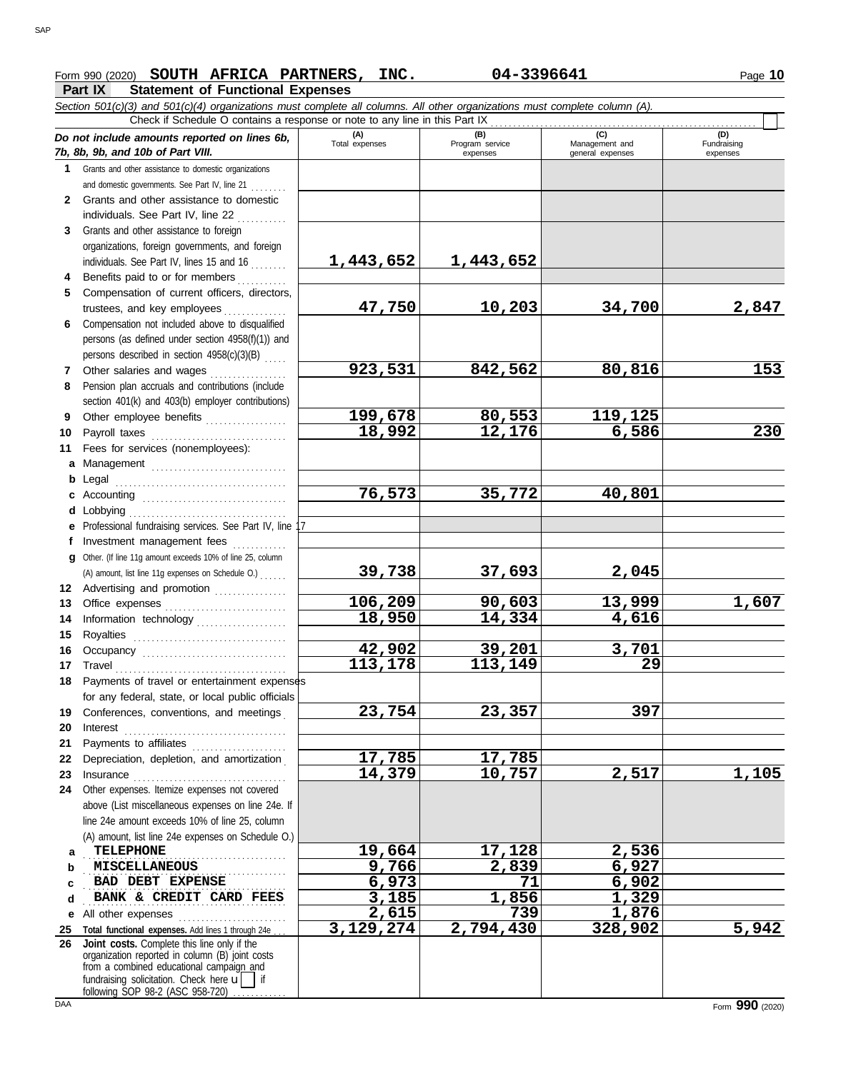# **Part IX Statement of Functional Expenses Form 990 (2020) SOUTH AFRICA PARTNERS, INC. 04-3396641** Page 10

|              | Section 501(c)(3) and 501(c)(4) organizations must complete all columns. All other organizations must complete column (A).<br>Check if Schedule O contains a response or note to any line in this Part IX                                                                                                                                                                                                                                           |                       |                                    |                                           |                                |
|--------------|-----------------------------------------------------------------------------------------------------------------------------------------------------------------------------------------------------------------------------------------------------------------------------------------------------------------------------------------------------------------------------------------------------------------------------------------------------|-----------------------|------------------------------------|-------------------------------------------|--------------------------------|
|              | Do not include amounts reported on lines 6b,<br>7b, 8b, 9b, and 10b of Part VIII.                                                                                                                                                                                                                                                                                                                                                                   | (A)<br>Total expenses | (B)<br>Program service<br>expenses | (C)<br>Management and<br>general expenses | (D)<br>Fundraising<br>expenses |
|              | 1 Grants and other assistance to domestic organizations                                                                                                                                                                                                                                                                                                                                                                                             |                       |                                    |                                           |                                |
|              | and domestic governments. See Part IV, line 21                                                                                                                                                                                                                                                                                                                                                                                                      |                       |                                    |                                           |                                |
| $\mathbf{2}$ | Grants and other assistance to domestic                                                                                                                                                                                                                                                                                                                                                                                                             |                       |                                    |                                           |                                |
|              | individuals. See Part IV, line 22                                                                                                                                                                                                                                                                                                                                                                                                                   |                       |                                    |                                           |                                |
| 3            | Grants and other assistance to foreign                                                                                                                                                                                                                                                                                                                                                                                                              |                       |                                    |                                           |                                |
|              | organizations, foreign governments, and foreign                                                                                                                                                                                                                                                                                                                                                                                                     |                       |                                    |                                           |                                |
|              | individuals. See Part IV, lines 15 and 16                                                                                                                                                                                                                                                                                                                                                                                                           | <u>1,443,652 </u>     | <u>1,443,652</u>                   |                                           |                                |
| 4            | Benefits paid to or for members                                                                                                                                                                                                                                                                                                                                                                                                                     |                       |                                    |                                           |                                |
| 5            | Compensation of current officers, directors,                                                                                                                                                                                                                                                                                                                                                                                                        |                       |                                    |                                           |                                |
|              | trustees, and key employees                                                                                                                                                                                                                                                                                                                                                                                                                         | 47,750                | 10,203                             | 34,700                                    | 2,847                          |
| 6            | Compensation not included above to disqualified                                                                                                                                                                                                                                                                                                                                                                                                     |                       |                                    |                                           |                                |
|              | persons (as defined under section 4958(f)(1)) and                                                                                                                                                                                                                                                                                                                                                                                                   |                       |                                    |                                           |                                |
|              | persons described in section 4958(c)(3)(B)                                                                                                                                                                                                                                                                                                                                                                                                          |                       |                                    |                                           |                                |
| 7            | Other salaries and wages                                                                                                                                                                                                                                                                                                                                                                                                                            | 923,531               | 842,562                            | 80,816                                    | 153                            |
| 8            | Pension plan accruals and contributions (include                                                                                                                                                                                                                                                                                                                                                                                                    |                       |                                    |                                           |                                |
|              | section 401(k) and 403(b) employer contributions)                                                                                                                                                                                                                                                                                                                                                                                                   |                       |                                    |                                           |                                |
| 9            | Other employee benefits                                                                                                                                                                                                                                                                                                                                                                                                                             | 199,678               | 80,553                             | 119,125                                   |                                |
| 10           |                                                                                                                                                                                                                                                                                                                                                                                                                                                     | 18,992                | 12,176                             | 6,586                                     | 230                            |
| 11           | Fees for services (nonemployees):                                                                                                                                                                                                                                                                                                                                                                                                                   |                       |                                    |                                           |                                |
|              | a Management                                                                                                                                                                                                                                                                                                                                                                                                                                        |                       |                                    |                                           |                                |
|              |                                                                                                                                                                                                                                                                                                                                                                                                                                                     |                       |                                    |                                           |                                |
|              | c Accounting $\ldots$                                                                                                                                                                                                                                                                                                                                                                                                                               | 76,573                | 35,772                             | 40,801                                    |                                |
|              |                                                                                                                                                                                                                                                                                                                                                                                                                                                     |                       |                                    |                                           |                                |
|              | e Professional fundraising services. See Part IV, line 1                                                                                                                                                                                                                                                                                                                                                                                            |                       |                                    |                                           |                                |
|              | f Investment management fees<br>g Other. (If line 11g amount exceeds 10% of line 25, column                                                                                                                                                                                                                                                                                                                                                         |                       |                                    |                                           |                                |
|              | (A) amount, list line 11g expenses on Schedule O.)                                                                                                                                                                                                                                                                                                                                                                                                  | 39,738                | 37,693                             | 2,045                                     |                                |
|              | 12 Advertising and promotion                                                                                                                                                                                                                                                                                                                                                                                                                        |                       |                                    |                                           |                                |
| 13           |                                                                                                                                                                                                                                                                                                                                                                                                                                                     | 106,209               | 90,603                             | 13,999                                    | 1,607                          |
| 14           | Information technology                                                                                                                                                                                                                                                                                                                                                                                                                              | 18,950                | 14,334                             | 4,616                                     |                                |
| 15           |                                                                                                                                                                                                                                                                                                                                                                                                                                                     |                       |                                    |                                           |                                |
| 16           |                                                                                                                                                                                                                                                                                                                                                                                                                                                     | 42,902                | 39,201                             | 3,701                                     |                                |
|              |                                                                                                                                                                                                                                                                                                                                                                                                                                                     | 113,178               | 113,149                            | 29                                        |                                |
|              | 18 Payments of travel or entertainment expenses                                                                                                                                                                                                                                                                                                                                                                                                     |                       |                                    |                                           |                                |
|              | for any federal, state, or local public officials                                                                                                                                                                                                                                                                                                                                                                                                   |                       |                                    |                                           |                                |
| 19           | Conferences, conventions, and meetings                                                                                                                                                                                                                                                                                                                                                                                                              | 23,754                | 23,357                             | 397                                       |                                |
| 20           |                                                                                                                                                                                                                                                                                                                                                                                                                                                     |                       |                                    |                                           |                                |
| 21           | Payments to affiliates                                                                                                                                                                                                                                                                                                                                                                                                                              |                       |                                    |                                           |                                |
| 22           | Depreciation, depletion, and amortization                                                                                                                                                                                                                                                                                                                                                                                                           | 17,785                | 17,785                             |                                           |                                |
| 23           | $In \textbf{surance} \begin{tabular}{@{}l@{}} \hline \textbf{m} & \textbf{m} & \textbf{m} & \textbf{m} \\ \hline \textbf{m} & \textbf{m} & \textbf{m} & \textbf{m} \\ \hline \textbf{m} & \textbf{m} & \textbf{m} & \textbf{m} \\ \hline \textbf{m} & \textbf{m} & \textbf{m} & \textbf{m} \\ \hline \textbf{m} & \textbf{m} & \textbf{m} & \textbf{m} \\ \hline \textbf{m} & \textbf{m} & \textbf{m} & \textbf{m} \\ \hline \textbf{m} & \textbf{$ | 14,379                | 10,757                             | 2,517                                     | 1,105                          |
| 24           | Other expenses. Itemize expenses not covered                                                                                                                                                                                                                                                                                                                                                                                                        |                       |                                    |                                           |                                |
|              | above (List miscellaneous expenses on line 24e. If                                                                                                                                                                                                                                                                                                                                                                                                  |                       |                                    |                                           |                                |
|              | line 24e amount exceeds 10% of line 25, column                                                                                                                                                                                                                                                                                                                                                                                                      |                       |                                    |                                           |                                |
|              | (A) amount, list line 24e expenses on Schedule O.)                                                                                                                                                                                                                                                                                                                                                                                                  |                       |                                    |                                           |                                |
| a            | <b>TELEPHONE</b>                                                                                                                                                                                                                                                                                                                                                                                                                                    | 19,664                | 17,128                             | 2,536                                     |                                |
| b            | <b>MISCELLANEOUS</b><br>BAD DEBT EXPENSE                                                                                                                                                                                                                                                                                                                                                                                                            | 9,766<br>6,973        | 2,839<br>71                        | 6,927<br>6,902                            |                                |
| d            | BANK & CREDIT CARD FEES                                                                                                                                                                                                                                                                                                                                                                                                                             | 3,185                 | 1,856                              | 1,329                                     |                                |
| е            | All other expenses                                                                                                                                                                                                                                                                                                                                                                                                                                  | 2,615                 | 739                                | 1,876                                     |                                |
| 25           | Total functional expenses. Add lines 1 through 24e                                                                                                                                                                                                                                                                                                                                                                                                  | 3,129,274             | 2,794,430                          | 328,902                                   | 5,942                          |
|              | 26 Joint costs. Complete this line only if the                                                                                                                                                                                                                                                                                                                                                                                                      |                       |                                    |                                           |                                |
|              | organization reported in column (B) joint costs                                                                                                                                                                                                                                                                                                                                                                                                     |                       |                                    |                                           |                                |
|              | from a combined educational campaign and<br>fundraising solicitation. Check here $\mathbf{u}$                                                                                                                                                                                                                                                                                                                                                       |                       |                                    |                                           |                                |
|              | following SOP 98-2 (ASC 958-720).                                                                                                                                                                                                                                                                                                                                                                                                                   |                       |                                    |                                           |                                |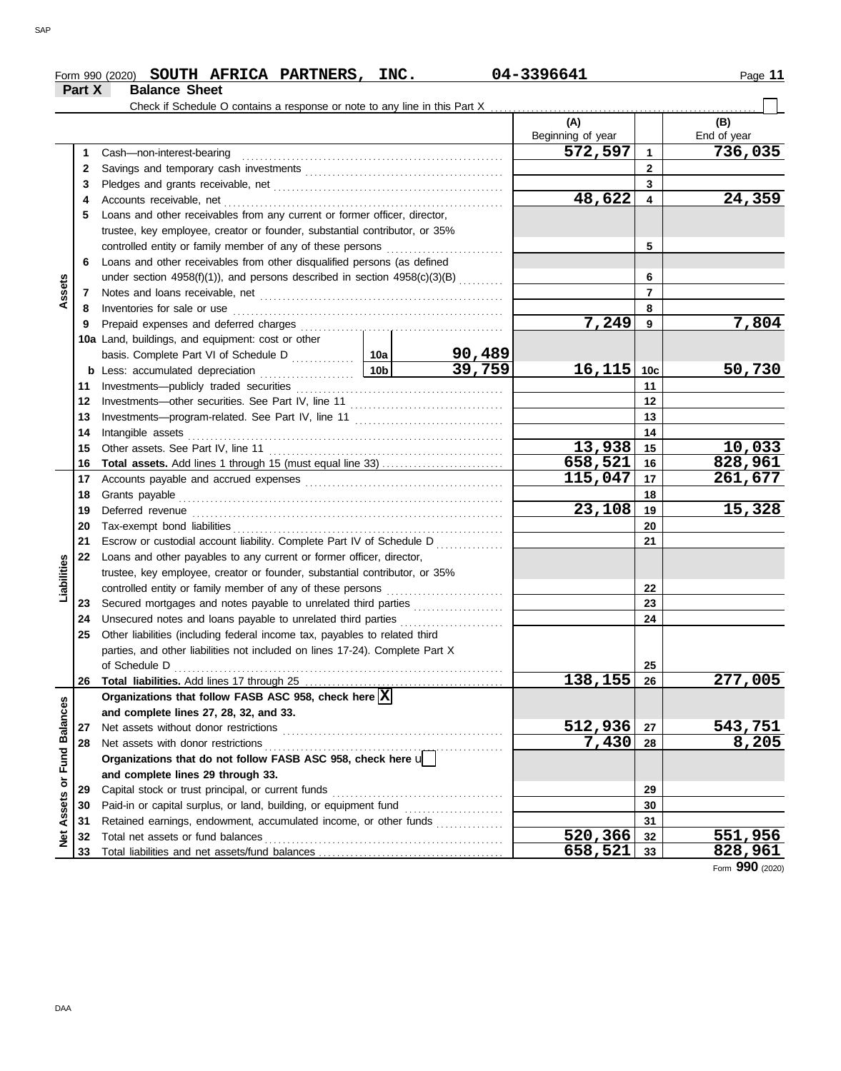| Form 990 (2020) |                      | SOUTH AFRICA PARTNERS,                                                     | <b>INC.</b> | 04-3396641 | Page 11 |
|-----------------|----------------------|----------------------------------------------------------------------------|-------------|------------|---------|
| Part X          | <b>Balance Sheet</b> |                                                                            |             |            |         |
|                 |                      | Check if Schedule O contains a response or note to any line in this Part X |             |            |         |

|                      |              |                                                                                                                                           |        | (A)<br>Beginning of year |                | (B)<br>End of year |
|----------------------|--------------|-------------------------------------------------------------------------------------------------------------------------------------------|--------|--------------------------|----------------|--------------------|
|                      | 1            | Cash-non-interest-bearing                                                                                                                 |        | 572,597                  | $\mathbf{1}$   | 736,035            |
|                      | $\mathbf{2}$ |                                                                                                                                           |        |                          | $\mathbf{2}$   |                    |
|                      | 3            |                                                                                                                                           |        |                          | 3              |                    |
|                      | 4            |                                                                                                                                           |        | 48,622                   | 4              | 24,359             |
|                      | 5            | Loans and other receivables from any current or former officer, director,                                                                 |        |                          |                |                    |
|                      |              | trustee, key employee, creator or founder, substantial contributor, or 35%                                                                |        |                          |                |                    |
|                      |              |                                                                                                                                           |        |                          | 5              |                    |
|                      | 6            | Loans and other receivables from other disqualified persons (as defined                                                                   |        |                          |                |                    |
|                      |              | under section $4958(f)(1)$ ), and persons described in section $4958(c)(3)(B)$                                                            |        |                          | 6              |                    |
| Assets               | 7            |                                                                                                                                           |        |                          | $\overline{7}$ |                    |
|                      | 8            |                                                                                                                                           |        |                          | 8              |                    |
|                      | 9            |                                                                                                                                           |        | 7,249                    | 9              | 7,804              |
|                      |              | 10a Land, buildings, and equipment: cost or other                                                                                         |        |                          |                |                    |
|                      |              |                                                                                                                                           | 90,489 |                          |                |                    |
|                      |              | basis. Complete Part VI of Schedule D<br><b>b</b> Less: accumulated depreciation<br><b>b</b> Less: accumulated depreciation<br><b>10b</b> | 39,759 | 16, 115                  | 10c            | 50,730             |
|                      | 11           |                                                                                                                                           |        |                          | 11             |                    |
|                      | 12           |                                                                                                                                           |        |                          | 12             |                    |
|                      | 13           |                                                                                                                                           |        |                          | 13             |                    |
|                      | 14           | Intangible assets                                                                                                                         |        |                          | 14             |                    |
|                      | 15           | Other assets. See Part IV, line 11                                                                                                        |        | 13,938                   | 15             | 10,033             |
|                      | 16           |                                                                                                                                           |        | 658,521                  | 16             | 828,961            |
|                      | 17           | Accounts payable and accrued expenses [[11][11] Accounts payable and accrued expenses [[11] Accounts accrued:                             |        | 115,047                  | 17             | 261,677            |
|                      | 18           |                                                                                                                                           |        |                          | 18             |                    |
|                      | 19           | Deferred revenue                                                                                                                          |        | $\overline{23,108}$      | 19             | 15,328             |
|                      | 20           |                                                                                                                                           |        |                          | 20             |                    |
|                      | 21           | Escrow or custodial account liability. Complete Part IV of Schedule D                                                                     |        |                          | 21             |                    |
|                      | 22           | Loans and other payables to any current or former officer, director,                                                                      |        |                          |                |                    |
| Liabilities          |              | trustee, key employee, creator or founder, substantial contributor, or 35%                                                                |        |                          |                |                    |
|                      |              | controlled entity or family member of any of these persons                                                                                |        |                          | 22             |                    |
|                      |              | 23 Secured mortgages and notes payable to unrelated third parties                                                                         |        |                          | 23             |                    |
|                      | 24           | Unsecured notes and loans payable to unrelated third parties                                                                              |        |                          | 24             |                    |
|                      | 25           | Other liabilities (including federal income tax, payables to related third                                                                |        |                          |                |                    |
|                      |              | parties, and other liabilities not included on lines 17-24). Complete Part X                                                              |        |                          |                |                    |
|                      |              | of Schedule D $\ldots$ $\ldots$ $\ldots$ $\ldots$ $\ldots$ $\ldots$ $\ldots$ $\ldots$ $\ldots$ $\ldots$ $\ldots$ $\ldots$                 |        |                          | 25             |                    |
|                      | 26           |                                                                                                                                           |        | <u>138,155</u>           | 26             | 277,005            |
|                      |              | Organizations that follow FASB ASC 958, check here $\boxed{\text{X}}$                                                                     |        |                          |                |                    |
|                      |              | and complete lines 27, 28, 32, and 33.                                                                                                    |        |                          |                |                    |
| <b>Fund Balances</b> | 27           | Net assets without donor restrictions                                                                                                     |        | 512,936                  | 27             | <u>543,751</u>     |
|                      | 28           | Net assets with donor restrictions                                                                                                        |        | 7,430                    | 28             | 8,205              |
|                      |              | Net assets with donor restrictions<br>Organizations that do not follow FASB ASC 958, check here u                                         |        |                          |                |                    |
|                      |              | and complete lines 29 through 33.                                                                                                         |        |                          |                |                    |
|                      | 29           | Capital stock or trust principal, or current funds                                                                                        |        |                          | 29             |                    |
|                      | 30           |                                                                                                                                           |        |                          | 30             |                    |
|                      | 31           | Retained earnings, endowment, accumulated income, or other funds                                                                          |        |                          | 31             |                    |
| Net Assets or        | 32           | Total net assets or fund balances                                                                                                         |        | 520,366                  | 32             | 551,956            |
|                      | 33           |                                                                                                                                           |        | 658,521                  | 33             | <u>828,961</u>     |

Form **990** (2020)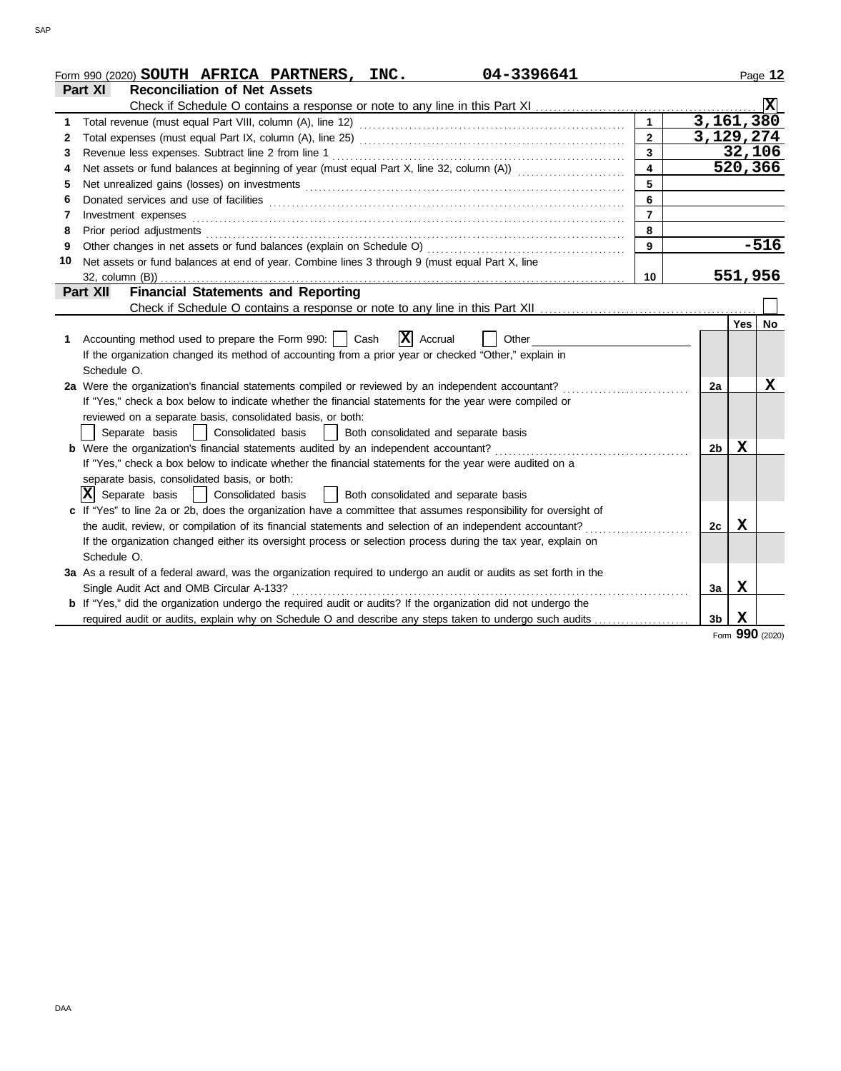|    | 04-3396641<br>Form 990 (2020) SOUTH AFRICA PARTNERS, INC.                                                                                                                                                                      |                         |                |         | Page 12         |
|----|--------------------------------------------------------------------------------------------------------------------------------------------------------------------------------------------------------------------------------|-------------------------|----------------|---------|-----------------|
|    | <b>Reconciliation of Net Assets</b><br>Part XI                                                                                                                                                                                 |                         |                |         |                 |
|    |                                                                                                                                                                                                                                |                         |                |         | $ \mathbf{x} $  |
| 1  |                                                                                                                                                                                                                                | $\mathbf{1}$            | 3,161,380      |         |                 |
| 2  |                                                                                                                                                                                                                                | $\overline{2}$          | 3,129,274      |         |                 |
| 3  |                                                                                                                                                                                                                                | 3                       |                | 32,106  |                 |
| 4  | Net assets or fund balances at beginning of year (must equal Part X, line 32, column (A)) [[[[[[[[[[[[[[[[[[[                                                                                                                  | $\overline{\mathbf{4}}$ |                | 520,366 |                 |
| 5  |                                                                                                                                                                                                                                | 5                       |                |         |                 |
| 6  |                                                                                                                                                                                                                                | 6                       |                |         |                 |
| 7  | Investment expenses <b>constant expenses</b>                                                                                                                                                                                   | $\overline{7}$          |                |         |                 |
| 8  | Prior period adjustments [11, 12] and the contract of the contract of the contract of the contract of the contract of the contract of the contract of the contract of the contract of the contract of the contract of the cont | 8                       |                |         |                 |
| 9  |                                                                                                                                                                                                                                | 9                       |                |         | $-516$          |
| 10 | Net assets or fund balances at end of year. Combine lines 3 through 9 (must equal Part X, line                                                                                                                                 |                         |                |         |                 |
|    |                                                                                                                                                                                                                                | 10                      |                | 551,956 |                 |
|    | <b>Financial Statements and Reporting</b><br>Part XII                                                                                                                                                                          |                         |                |         |                 |
|    |                                                                                                                                                                                                                                |                         |                |         |                 |
|    |                                                                                                                                                                                                                                |                         |                | Yes     | No              |
| 1. | $ \mathbf{X} $ Accrual<br>Accounting method used to prepare the Form 990:     Cash<br>Other                                                                                                                                    |                         |                |         |                 |
|    | If the organization changed its method of accounting from a prior year or checked "Other," explain in                                                                                                                          |                         |                |         |                 |
|    | Schedule O.                                                                                                                                                                                                                    |                         |                |         |                 |
|    | 2a Were the organization's financial statements compiled or reviewed by an independent accountant?                                                                                                                             |                         | 2a             |         | x               |
|    | If "Yes," check a box below to indicate whether the financial statements for the year were compiled or                                                                                                                         |                         |                |         |                 |
|    | reviewed on a separate basis, consolidated basis, or both:                                                                                                                                                                     |                         |                |         |                 |
|    | Consolidated basis<br>Separate basis<br>Both consolidated and separate basis<br>$\blacksquare$                                                                                                                                 |                         |                |         |                 |
|    | <b>b</b> Were the organization's financial statements audited by an independent accountant?                                                                                                                                    |                         | 2 <sub>b</sub> | X       |                 |
|    | If "Yes," check a box below to indicate whether the financial statements for the year were audited on a                                                                                                                        |                         |                |         |                 |
|    | separate basis, consolidated basis, or both:                                                                                                                                                                                   |                         |                |         |                 |
|    | $ \mathbf{X} $ Separate basis<br>  Consolidated basis<br>Both consolidated and separate basis                                                                                                                                  |                         |                |         |                 |
|    | c If "Yes" to line 2a or 2b, does the organization have a committee that assumes responsibility for oversight of                                                                                                               |                         |                |         |                 |
|    | the audit, review, or compilation of its financial statements and selection of an independent accountant?                                                                                                                      |                         | 2c             | X       |                 |
|    | If the organization changed either its oversight process or selection process during the tax year, explain on                                                                                                                  |                         |                |         |                 |
|    | Schedule O.                                                                                                                                                                                                                    |                         |                |         |                 |
|    | 3a As a result of a federal award, was the organization required to undergo an audit or audits as set forth in the                                                                                                             |                         |                |         |                 |
|    | Single Audit Act and OMB Circular A-133?                                                                                                                                                                                       |                         | За             | X       |                 |
|    | <b>b</b> If "Yes," did the organization undergo the required audit or audits? If the organization did not undergo the                                                                                                          |                         |                |         |                 |
|    | required audit or audits, explain why on Schedule O and describe any steps taken to undergo such audits                                                                                                                        |                         | 3b             | Х       |                 |
|    |                                                                                                                                                                                                                                |                         |                |         | Form 990 (2020) |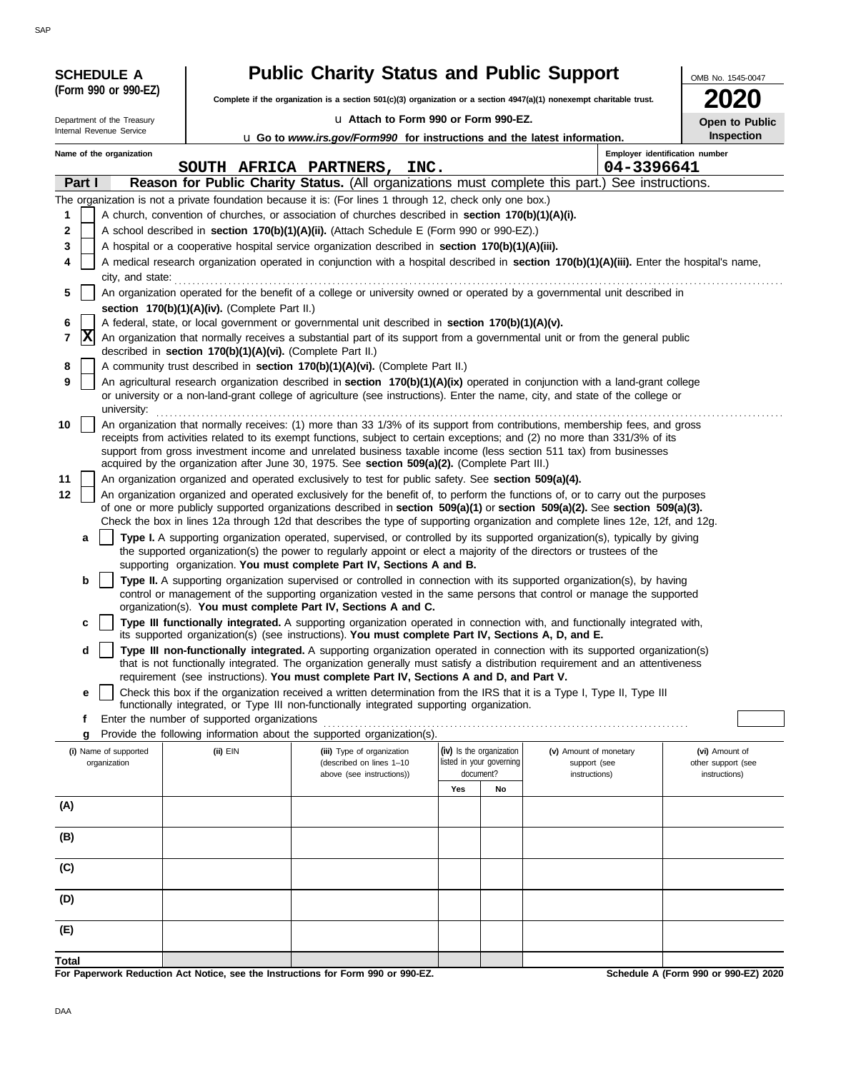| <b>Public Charity Status and Public Support</b><br><b>SCHEDULE A</b>                                                                                                                                                                                                  | OMB No. 1545-0047                    |
|-----------------------------------------------------------------------------------------------------------------------------------------------------------------------------------------------------------------------------------------------------------------------|--------------------------------------|
| (Form 990 or 990-EZ)<br>Complete if the organization is a section $501(c)(3)$ organization or a section $4947(a)(1)$ nonexempt charitable trust.                                                                                                                      | 2020                                 |
| La Attach to Form 990 or Form 990-EZ.<br>Department of the Treasury                                                                                                                                                                                                   | Open to Public                       |
| Internal Revenue Service<br>u Go to www.irs.gov/Form990 for instructions and the latest information.                                                                                                                                                                  | <b>Inspection</b>                    |
| Employer identification number<br>Name of the organization<br>SOUTH AFRICA PARTNERS,<br>INC.<br>04-3396641                                                                                                                                                            |                                      |
| Part I<br><b>Reason for Public Charity Status.</b> (All organizations must complete this part.) See instructions.                                                                                                                                                     |                                      |
| The organization is not a private foundation because it is: (For lines 1 through 12, check only one box.)                                                                                                                                                             |                                      |
| A church, convention of churches, or association of churches described in section 170(b)(1)(A)(i).<br>1                                                                                                                                                               |                                      |
| A school described in section 170(b)(1)(A)(ii). (Attach Schedule E (Form 990 or 990-EZ).)<br>2                                                                                                                                                                        |                                      |
| 3<br>A hospital or a cooperative hospital service organization described in section 170(b)(1)(A)(iii).<br>A medical research organization operated in conjunction with a hospital described in section 170(b)(1)(A)(iii). Enter the hospital's name,<br>4             |                                      |
| city, and state:                                                                                                                                                                                                                                                      |                                      |
| An organization operated for the benefit of a college or university owned or operated by a governmental unit described in<br>5                                                                                                                                        |                                      |
| section 170(b)(1)(A)(iv). (Complete Part II.)<br>A federal, state, or local government or governmental unit described in section 170(b)(1)(A)(v).<br>6                                                                                                                |                                      |
| X<br>7<br>An organization that normally receives a substantial part of its support from a governmental unit or from the general public                                                                                                                                |                                      |
| described in section 170(b)(1)(A)(vi). (Complete Part II.)                                                                                                                                                                                                            |                                      |
| A community trust described in section 170(b)(1)(A)(vi). (Complete Part II.)<br>8<br>9<br>An agricultural research organization described in section 170(b)(1)(A)(ix) operated in conjunction with a land-grant college                                               |                                      |
| or university or a non-land-grant college of agriculture (see instructions). Enter the name, city, and state of the college or<br>university:                                                                                                                         |                                      |
| An organization that normally receives: (1) more than 33 1/3% of its support from contributions, membership fees, and gross<br>10                                                                                                                                     |                                      |
| receipts from activities related to its exempt functions, subject to certain exceptions; and (2) no more than 331/3% of its<br>support from gross investment income and unrelated business taxable income (less section 511 tax) from businesses                      |                                      |
| acquired by the organization after June 30, 1975. See section 509(a)(2). (Complete Part III.)                                                                                                                                                                         |                                      |
| 11<br>An organization organized and operated exclusively to test for public safety. See section 509(a)(4).                                                                                                                                                            |                                      |
| 12<br>An organization organized and operated exclusively for the benefit of, to perform the functions of, or to carry out the purposes<br>of one or more publicly supported organizations described in section 509(a)(1) or section 509(a)(2). See section 509(a)(3). |                                      |
| Check the box in lines 12a through 12d that describes the type of supporting organization and complete lines 12e, 12f, and 12g.                                                                                                                                       |                                      |
| Type I. A supporting organization operated, supervised, or controlled by its supported organization(s), typically by giving<br>a<br>the supported organization(s) the power to regularly appoint or elect a majority of the directors or trustees of the              |                                      |
| supporting organization. You must complete Part IV, Sections A and B.                                                                                                                                                                                                 |                                      |
| Type II. A supporting organization supervised or controlled in connection with its supported organization(s), by having<br>b                                                                                                                                          |                                      |
| control or management of the supporting organization vested in the same persons that control or manage the supported<br>organization(s). You must complete Part IV, Sections A and C.                                                                                 |                                      |
| Type III functionally integrated. A supporting organization operated in connection with, and functionally integrated with,<br>c                                                                                                                                       |                                      |
| its supported organization(s) (see instructions). You must complete Part IV, Sections A, D, and E.<br>Type III non-functionally integrated. A supporting organization operated in connection with its supported organization(s)<br>d                                  |                                      |
| that is not functionally integrated. The organization generally must satisfy a distribution requirement and an attentiveness                                                                                                                                          |                                      |
| requirement (see instructions). You must complete Part IV, Sections A and D, and Part V.                                                                                                                                                                              |                                      |
| Check this box if the organization received a written determination from the IRS that it is a Type I, Type II, Type III<br>е<br>functionally integrated, or Type III non-functionally integrated supporting organization.                                             |                                      |
| Enter the number of supported organizations<br>f                                                                                                                                                                                                                      |                                      |
| Provide the following information about the supported organization(s).<br>g<br>(iv) Is the organization                                                                                                                                                               |                                      |
| (i) Name of supported<br>(ii) EIN<br>(iii) Type of organization<br>(v) Amount of monetary<br>listed in your governing<br>organization<br>(described on lines 1-10<br>support (see                                                                                     | (vi) Amount of<br>other support (see |
| document?<br>above (see instructions))<br>instructions)                                                                                                                                                                                                               | instructions)                        |
| Yes<br>No<br>(A)                                                                                                                                                                                                                                                      |                                      |
|                                                                                                                                                                                                                                                                       |                                      |
| (B)                                                                                                                                                                                                                                                                   |                                      |
| (C)                                                                                                                                                                                                                                                                   |                                      |
| (D)                                                                                                                                                                                                                                                                   |                                      |
| (E)                                                                                                                                                                                                                                                                   |                                      |
| Total                                                                                                                                                                                                                                                                 | Schedule A (Form 990 or 990-EZ) 2020 |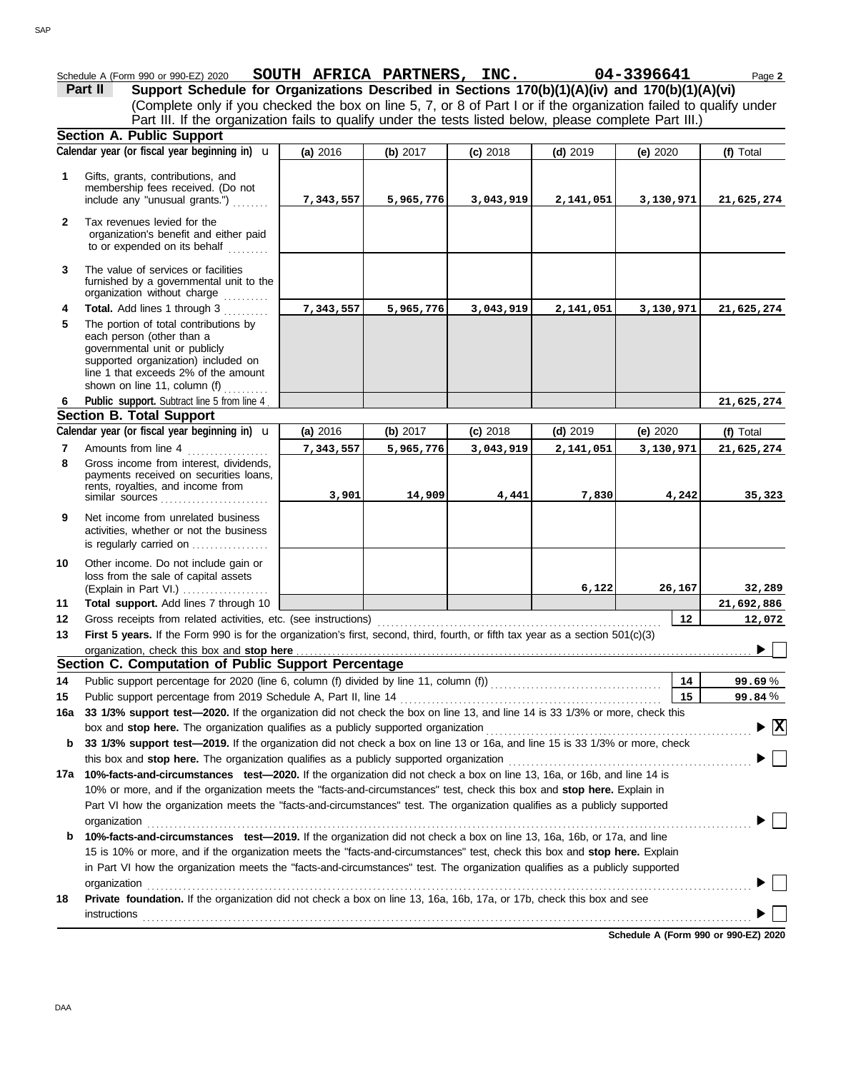|              | Schedule A (Form 990 or 990-EZ) 2020                                                                                                                                                               | SOUTH AFRICA PARTNERS, INC. |           |            |            | 04-3396641 | Page 2                                 |
|--------------|----------------------------------------------------------------------------------------------------------------------------------------------------------------------------------------------------|-----------------------------|-----------|------------|------------|------------|----------------------------------------|
|              | Support Schedule for Organizations Described in Sections 170(b)(1)(A)(iv) and 170(b)(1)(A)(vi)<br>Part II                                                                                          |                             |           |            |            |            |                                        |
|              | (Complete only if you checked the box on line 5, 7, or 8 of Part I or if the organization failed to qualify under                                                                                  |                             |           |            |            |            |                                        |
|              | Part III. If the organization fails to qualify under the tests listed below, please complete Part III.)                                                                                            |                             |           |            |            |            |                                        |
|              | <b>Section A. Public Support</b>                                                                                                                                                                   |                             |           |            |            |            |                                        |
|              | Calendar year (or fiscal year beginning in) <b>u</b>                                                                                                                                               | (a) 2016                    | (b) 2017  | $(c)$ 2018 | $(d)$ 2019 | (e) $2020$ | (f) Total                              |
| 1            | Gifts, grants, contributions, and                                                                                                                                                                  |                             |           |            |            |            |                                        |
|              | membership fees received. (Do not                                                                                                                                                                  |                             |           |            |            |            |                                        |
|              | include any "unusual grants.")                                                                                                                                                                     | 7,343,557                   | 5,965,776 | 3,043,919  | 2,141,051  | 3,130,971  | 21,625,274                             |
| $\mathbf{2}$ | Tax revenues levied for the                                                                                                                                                                        |                             |           |            |            |            |                                        |
|              | organization's benefit and either paid                                                                                                                                                             |                             |           |            |            |            |                                        |
|              | to or expended on its behalf                                                                                                                                                                       |                             |           |            |            |            |                                        |
| 3            | The value of services or facilities                                                                                                                                                                |                             |           |            |            |            |                                        |
|              | furnished by a governmental unit to the<br>organization without charge                                                                                                                             |                             |           |            |            |            |                                        |
| 4            | Total. Add lines 1 through 3                                                                                                                                                                       | 7,343,557                   | 5,965,776 | 3,043,919  | 2,141,051  | 3,130,971  | 21,625,274                             |
| 5            | The portion of total contributions by                                                                                                                                                              |                             |           |            |            |            |                                        |
|              | each person (other than a                                                                                                                                                                          |                             |           |            |            |            |                                        |
|              | governmental unit or publicly                                                                                                                                                                      |                             |           |            |            |            |                                        |
|              | supported organization) included on<br>line 1 that exceeds 2% of the amount                                                                                                                        |                             |           |            |            |            |                                        |
|              | shown on line 11, column (f)                                                                                                                                                                       |                             |           |            |            |            |                                        |
| 6            | Public support. Subtract line 5 from line 4                                                                                                                                                        |                             |           |            |            |            | 21,625,274                             |
|              | <b>Section B. Total Support</b>                                                                                                                                                                    |                             |           |            |            |            |                                        |
|              | Calendar year (or fiscal year beginning in) $\mathbf u$                                                                                                                                            | (a) 2016                    | (b) 2017  | $(c)$ 2018 | $(d)$ 2019 | (e) 2020   | (f) Total                              |
| 7            | Amounts from line 4                                                                                                                                                                                | 7,343,557                   | 5,965,776 | 3,043,919  | 2,141,051  | 3,130,971  | 21,625,274                             |
| 8            | Gross income from interest, dividends,                                                                                                                                                             |                             |           |            |            |            |                                        |
|              | payments received on securities loans,<br>rents, royalties, and income from                                                                                                                        |                             |           |            |            |            |                                        |
|              | similar sources                                                                                                                                                                                    | 3,901                       | 14,909    | 4,441      | 7,830      | 4,242      | 35,323                                 |
| 9            | Net income from unrelated business                                                                                                                                                                 |                             |           |            |            |            |                                        |
|              | activities, whether or not the business                                                                                                                                                            |                             |           |            |            |            |                                        |
|              | is regularly carried on                                                                                                                                                                            |                             |           |            |            |            |                                        |
| 10           | Other income. Do not include gain or                                                                                                                                                               |                             |           |            |            |            |                                        |
|              | loss from the sale of capital assets                                                                                                                                                               |                             |           |            |            |            |                                        |
|              | (Explain in Part VI.)                                                                                                                                                                              |                             |           |            | 6,122      | 26,167     | 32,289                                 |
| 11<br>12     | Total support. Add lines 7 through 10                                                                                                                                                              |                             |           |            |            | $12 \,$    | 21,692,886                             |
| 13           | Gross receipts from related activities, etc. (see instructions)<br>First 5 years. If the Form 990 is for the organization's first, second, third, fourth, or fifth tax year as a section 501(c)(3) |                             |           |            |            |            | 12,072                                 |
|              | organization, check this box and stop here                                                                                                                                                         |                             |           |            |            |            |                                        |
|              | Section C. Computation of Public Support Percentage                                                                                                                                                |                             |           |            |            |            |                                        |
| 14           |                                                                                                                                                                                                    |                             |           |            |            | 14         | 99.69%                                 |
| 15           | Public support percentage from 2019 Schedule A, Part II, line 14                                                                                                                                   |                             |           |            |            | 15         | 99.84%                                 |
| 16a          | 33 1/3% support test-2020. If the organization did not check the box on line 13, and line 14 is 33 1/3% or more, check this                                                                        |                             |           |            |            |            |                                        |
|              | box and stop here. The organization qualifies as a publicly supported organization                                                                                                                 |                             |           |            |            |            | $\blacktriangleright \boxed{\text{X}}$ |
| b            | 33 1/3% support test-2019. If the organization did not check a box on line 13 or 16a, and line 15 is 33 1/3% or more, check                                                                        |                             |           |            |            |            |                                        |
|              | this box and stop here. The organization qualifies as a publicly supported organization                                                                                                            |                             |           |            |            |            |                                        |
|              | 17a 10%-facts-and-circumstances test-2020. If the organization did not check a box on line 13, 16a, or 16b, and line 14 is                                                                         |                             |           |            |            |            |                                        |
|              | 10% or more, and if the organization meets the "facts-and-circumstances" test, check this box and stop here. Explain in                                                                            |                             |           |            |            |            |                                        |
|              | Part VI how the organization meets the "facts-and-circumstances" test. The organization qualifies as a publicly supported                                                                          |                             |           |            |            |            |                                        |
|              | organization                                                                                                                                                                                       |                             |           |            |            |            |                                        |
| b            | 10%-facts-and-circumstances test-2019. If the organization did not check a box on line 13, 16a, 16b, or 17a, and line                                                                              |                             |           |            |            |            |                                        |
|              | 15 is 10% or more, and if the organization meets the "facts-and-circumstances" test, check this box and stop here. Explain                                                                         |                             |           |            |            |            |                                        |
|              | in Part VI how the organization meets the "facts-and-circumstances" test. The organization qualifies as a publicly supported                                                                       |                             |           |            |            |            |                                        |
|              | organization                                                                                                                                                                                       |                             |           |            |            |            |                                        |
| 18           | Private foundation. If the organization did not check a box on line 13, 16a, 16b, 17a, or 17b, check this box and see                                                                              |                             |           |            |            |            |                                        |
|              | instructions                                                                                                                                                                                       |                             |           |            |            |            |                                        |

**Schedule A (Form 990 or 990-EZ) 2020**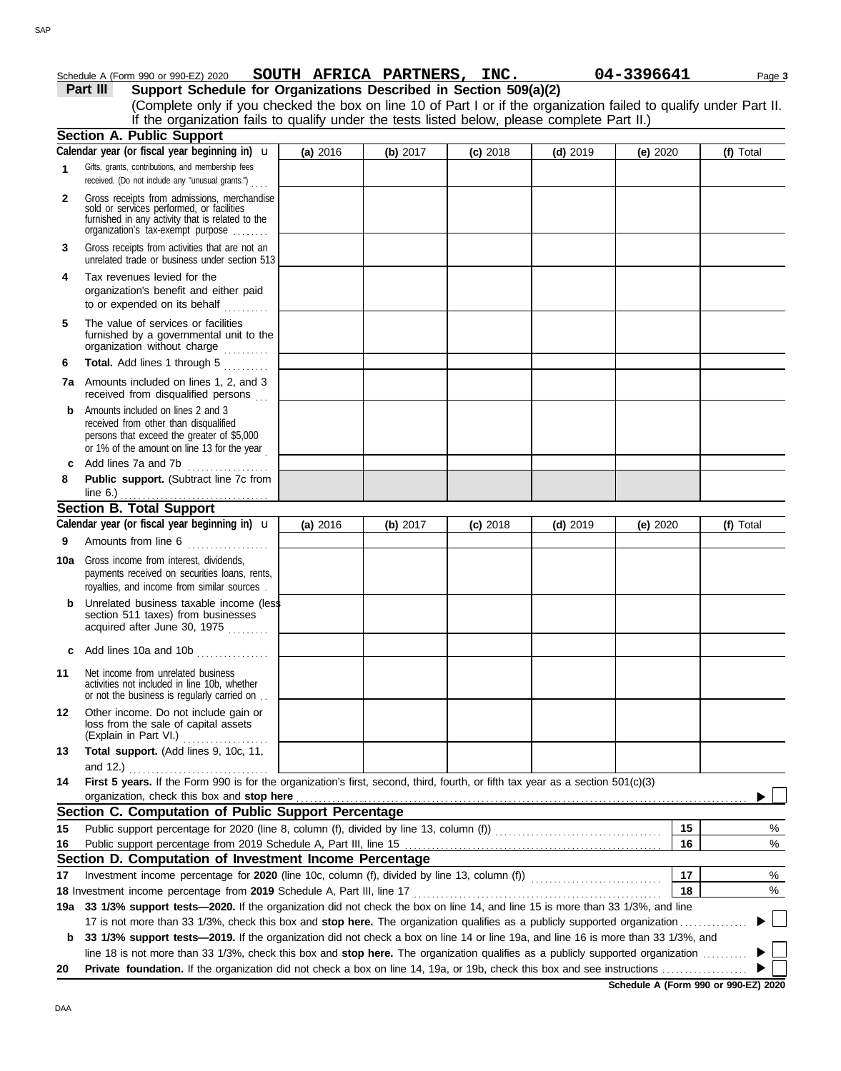# **Schedule A (Form 990 or 990-EZ) 2020 SOUTH AFRICA PARTNERS, INC.**<br>**Part III** Support Schedule for Organizations Described in Section 509(a)(2) Schedule A (Form 990 or 990-EZ) 2020 **SOUTH AFRICA PARTNERS, INC.** 04-3396641 Page 3

(Complete only if you checked the box on line 10 of Part I or if the organization failed to qualify under Part II. If the organization fails to qualify under the tests listed below, please complete Part II.)

|     | <b>Section A. Public Support</b>                                                                                                                                                  |          |          |            |            |            |    |           |
|-----|-----------------------------------------------------------------------------------------------------------------------------------------------------------------------------------|----------|----------|------------|------------|------------|----|-----------|
|     | Calendar year (or fiscal year beginning in) $\mathbf u$                                                                                                                           | (a) 2016 | (b) 2017 | $(c)$ 2018 | $(d)$ 2019 | (e) $2020$ |    | (f) Total |
| 1   | Gifts, grants, contributions, and membership fees<br>received. (Do not include any "unusual grants.")                                                                             |          |          |            |            |            |    |           |
| 2   | Gross receipts from admissions, merchandise<br>sold or services performed, or facilities<br>furnished in any activity that is related to the<br>organization's fax-exempt purpose |          |          |            |            |            |    |           |
| 3   | Gross receipts from activities that are not an<br>unrelated trade or business under section 513                                                                                   |          |          |            |            |            |    |           |
| 4   | Tax revenues levied for the<br>organization's benefit and either paid<br>to or expended on its behalf<br>.                                                                        |          |          |            |            |            |    |           |
| 5   | The value of services or facilities<br>furnished by a governmental unit to the<br>organization without charge                                                                     |          |          |            |            |            |    |           |
| 6   | Total. Add lines 1 through 5<br>in albuman                                                                                                                                        |          |          |            |            |            |    |           |
|     | <b>7a</b> Amounts included on lines 1, 2, and 3<br>received from disqualified persons                                                                                             |          |          |            |            |            |    |           |
| b   | Amounts included on lines 2 and 3<br>received from other than disqualified<br>persons that exceed the greater of \$5,000<br>or 1% of the amount on line 13 for the year           |          |          |            |            |            |    |           |
| C   | Add lines 7a and 7b                                                                                                                                                               |          |          |            |            |            |    |           |
| 8   | Public support. (Subtract line 7c from<br>line 6.) $\frac{1}{2}$                                                                                                                  |          |          |            |            |            |    |           |
|     | <b>Section B. Total Support</b>                                                                                                                                                   |          |          |            |            |            |    |           |
|     | Calendar year (or fiscal year beginning in) $\mathbf u$                                                                                                                           | (a) 2016 | (b) 2017 | $(c)$ 2018 | $(d)$ 2019 | (e) $2020$ |    | (f) Total |
| 9   | Amounts from line 6                                                                                                                                                               |          |          |            |            |            |    |           |
| 10a | Gross income from interest, dividends,<br>payments received on securities loans, rents,<br>royalties, and income from similar sources                                             |          |          |            |            |            |    |           |
| b   | Unrelated business taxable income (less<br>section 511 taxes) from businesses<br>acquired after June 30, 1975                                                                     |          |          |            |            |            |    |           |
|     | c Add lines 10a and 10b $\ldots$                                                                                                                                                  |          |          |            |            |            |    |           |
| 11  | Net income from unrelated business<br>activities not included in line 10b, whether<br>or not the business is regularly carried on                                                 |          |          |            |            |            |    |           |
| 12  | Other income. Do not include gain or<br>loss from the sale of capital assets<br>(Explain in Part VI.)                                                                             |          |          |            |            |            |    |           |
| 13  | Total support. (Add lines 9, 10c, 11,<br>and 12.)                                                                                                                                 |          |          |            |            |            |    |           |
| 14  | First 5 years. If the Form 990 is for the organization's first, second, third, fourth, or fifth tax year as a section 501(c)(3)<br>organization, check this box and stop here     |          |          |            |            |            |    |           |
|     | Section C. Computation of Public Support Percentage                                                                                                                               |          |          |            |            |            |    |           |
| 15  |                                                                                                                                                                                   |          |          |            |            |            | 15 | %         |
| 16  |                                                                                                                                                                                   |          |          |            |            |            | 16 | %         |
|     | Section D. Computation of Investment Income Percentage                                                                                                                            |          |          |            |            |            |    |           |
| 17  |                                                                                                                                                                                   |          |          |            |            |            | 17 | %         |
|     | 18 Investment income percentage from 2019 Schedule A, Part III, line 17                                                                                                           |          |          |            |            |            | 18 | %         |
|     | 19a 33 1/3% support tests-2020. If the organization did not check the box on line 14, and line 15 is more than 33 1/3%, and line                                                  |          |          |            |            |            |    |           |
|     | 17 is not more than 33 1/3%, check this box and stop here. The organization qualifies as a publicly supported organization.                                                       |          |          |            |            |            |    |           |
| b   | 33 1/3% support tests—2019. If the organization did not check a box on line 14 or line 19a, and line 16 is more than 33 1/3%, and                                                 |          |          |            |            |            |    |           |
|     | line 18 is not more than 33 1/3%, check this box and stop here. The organization qualifies as a publicly supported organization                                                   |          |          |            |            |            |    |           |
| 20  |                                                                                                                                                                                   |          |          |            |            |            |    |           |

**Schedule A (Form 990 or 990-EZ) 2020**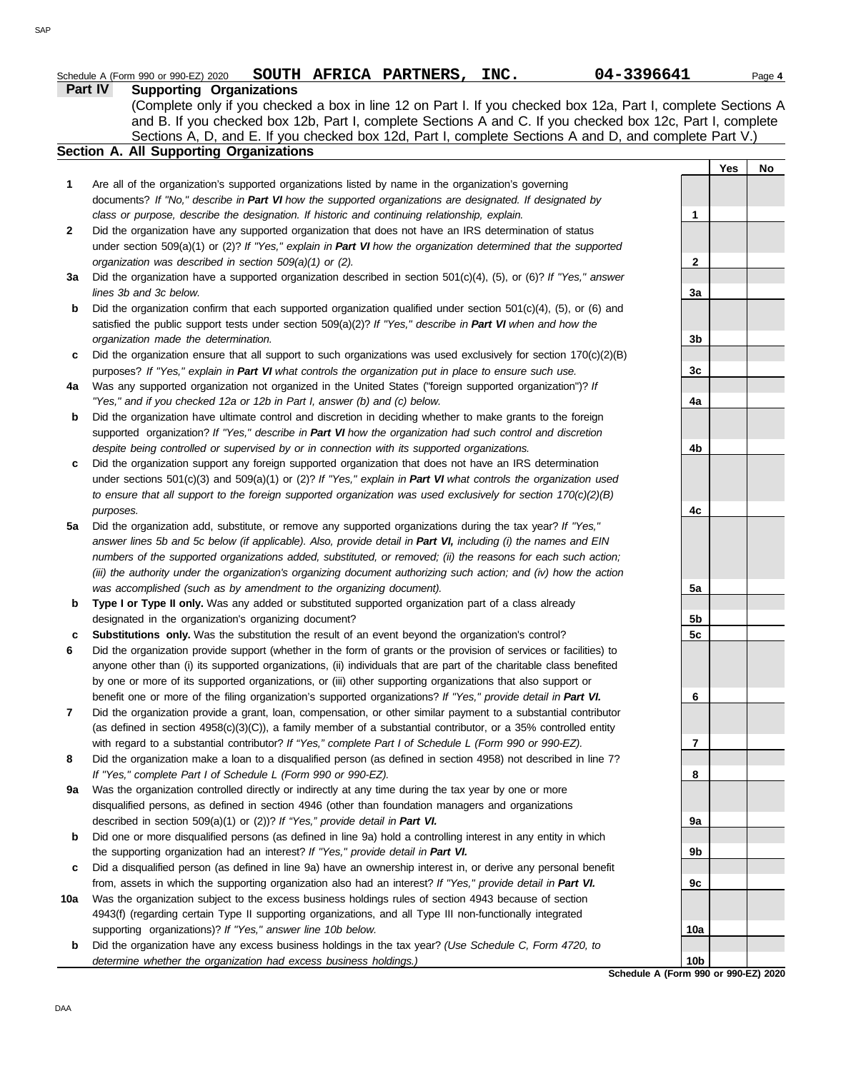| Schedule A (Form 990 or 990-EZ) 2020 | <b>SOUTH</b> | <b>AFRICA</b> | <b>PARTNERS</b> | <b>INC.</b> | $-3396641$<br>$04 -$ | Page 4 |
|--------------------------------------|--------------|---------------|-----------------|-------------|----------------------|--------|
|                                      |              |               |                 |             |                      |        |

**Part IV** Supporting Organizations Sections A, D, and E. If you checked box 12d, Part I, complete Sections A and D, and complete Part V.) **Section A. All Supporting Organizations** (Complete only if you checked a box in line 12 on Part I. If you checked box 12a, Part I, complete Sections A and B. If you checked box 12b, Part I, complete Sections A and C. If you checked box 12c, Part I, complete Are all of the organization's supported organizations listed by name in the organization's governing documents? *If "No," describe in Part VI how the supported organizations are designated. If designated by class or purpose, describe the designation. If historic and continuing relationship, explain.* Did the organization have any supported organization that does not have an IRS determination of status under section 509(a)(1) or (2)? *If "Yes," explain in Part VI how the organization determined that the supported organization was described in section 509(a)(1) or (2).* **1 2 3a** Did the organization have a supported organization described in section 501(c)(4), (5), or (6)? *If "Yes," answer* **b** Did the organization confirm that each supported organization qualified under section 501(c)(4), (5), or (6) and **c** Did the organization ensure that all support to such organizations was used exclusively for section 170(c)(2)(B) **4a b** Did the organization have ultimate control and discretion in deciding whether to make grants to the foreign **c** Did the organization support any foreign supported organization that does not have an IRS determination **5a** Did the organization add, substitute, or remove any supported organizations during the tax year? *If "Yes,"* **b** Type I or Type II only. Was any added or substituted supported organization part of a class already **c Substitutions only.** Was the substitution the result of an event beyond the organization's control? **6 7 8 9a** Was the organization controlled directly or indirectly at any time during the tax year by one or more **b** Did one or more disqualified persons (as defined in line 9a) hold a controlling interest in any entity in which **c 10a** *lines 3b and 3c below.* satisfied the public support tests under section 509(a)(2)? *If "Yes," describe in Part VI when and how the organization made the determination.* purposes? *If "Yes," explain in Part VI what controls the organization put in place to ensure such use.* Was any supported organization not organized in the United States ("foreign supported organization")? *If "Yes," and if you checked 12a or 12b in Part I, answer (b) and (c) below.* supported organization? *If "Yes," describe in Part VI how the organization had such control and discretion despite being controlled or supervised by or in connection with its supported organizations.* under sections 501(c)(3) and 509(a)(1) or (2)? *If "Yes," explain in Part VI what controls the organization used to ensure that all support to the foreign supported organization was used exclusively for section 170(c)(2)(B) purposes. answer lines 5b and 5c below (if applicable). Also, provide detail in Part VI, including (i) the names and EIN numbers of the supported organizations added, substituted, or removed; (ii) the reasons for each such action; (iii) the authority under the organization's organizing document authorizing such action; and (iv) how the action was accomplished (such as by amendment to the organizing document).* designated in the organization's organizing document? Did the organization provide support (whether in the form of grants or the provision of services or facilities) to anyone other than (i) its supported organizations, (ii) individuals that are part of the charitable class benefited by one or more of its supported organizations, or (iii) other supporting organizations that also support or benefit one or more of the filing organization's supported organizations? *If "Yes," provide detail in Part VI.* Did the organization provide a grant, loan, compensation, or other similar payment to a substantial contributor (as defined in section 4958(c)(3)(C)), a family member of a substantial contributor, or a 35% controlled entity with regard to a substantial contributor? *If "Yes," complete Part I of Schedule L (Form 990 or 990-EZ).* Did the organization make a loan to a disqualified person (as defined in section 4958) not described in line 7? *If "Yes," complete Part I of Schedule L (Form 990 or 990-EZ).* disqualified persons, as defined in section 4946 (other than foundation managers and organizations described in section 509(a)(1) or (2))? *If "Yes," provide detail in Part VI.* the supporting organization had an interest? *If "Yes," provide detail in Part VI.* Did a disqualified person (as defined in line 9a) have an ownership interest in, or derive any personal benefit from, assets in which the supporting organization also had an interest? *If "Yes," provide detail in Part VI.* Was the organization subject to the excess business holdings rules of section 4943 because of section 4943(f) (regarding certain Type II supporting organizations, and all Type III non-functionally integrated supporting organizations)? *If "Yes," answer line 10b below.* **Yes No 1 2 3a 3b 3c 4a 4b 4c 5a 5b 5c 6 7 8 9a 9b 9c 10a**

**b** Did the organization have any excess business holdings in the tax year? *(Use Schedule C, Form 4720, to determine whether the organization had excess business holdings.)*

**Schedule A (Form 990 or 990-EZ) 2020 10b**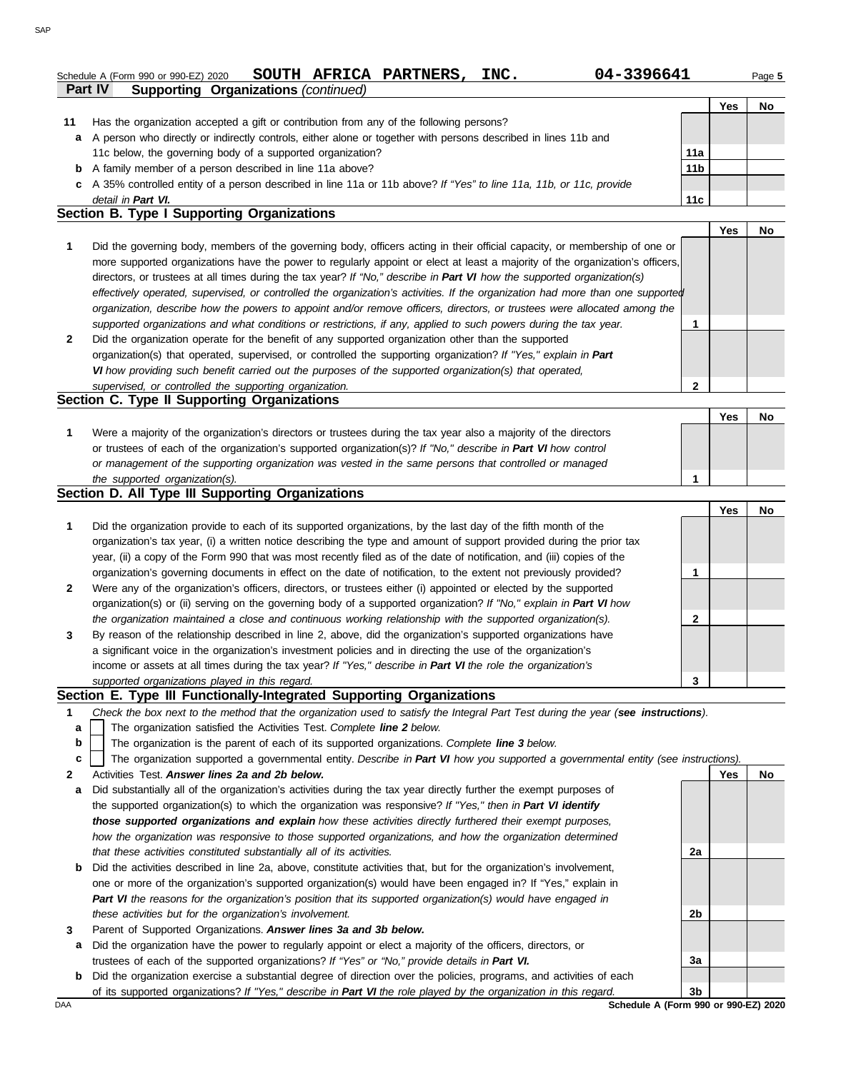|                | Schedule A (Form 990 or 990-EZ) 2020 |                                             | SOUTH AFRICA PARTNERS, | INC. | 04-3396641 | Page 5 |
|----------------|--------------------------------------|---------------------------------------------|------------------------|------|------------|--------|
| <b>Part IV</b> |                                      | <b>Supporting Organizations (continued)</b> |                        |      |            |        |

|    |                                                                                                                      |                 | Yes | No |
|----|----------------------------------------------------------------------------------------------------------------------|-----------------|-----|----|
| 11 | Has the organization accepted a gift or contribution from any of the following persons?                              |                 |     |    |
|    | a A person who directly or indirectly controls, either alone or together with persons described in lines 11b and     |                 |     |    |
|    | 11c below, the governing body of a supported organization?                                                           | 11a             |     |    |
|    | <b>b</b> A family member of a person described in line 11a above?                                                    | 11 <sub>b</sub> |     |    |
|    | c A 35% controlled entity of a person described in line 11a or 11b above? If "Yes" to line 11a, 11b, or 11c, provide |                 |     |    |
|    | detail in Part VI.                                                                                                   | 11c             |     |    |

# **Section B. Type I Supporting Organizations**

|                                             |                                                                                                                                |   | Yes | No |  |
|---------------------------------------------|--------------------------------------------------------------------------------------------------------------------------------|---|-----|----|--|
|                                             | Did the governing body, members of the governing body, officers acting in their official capacity, or membership of one or     |   |     |    |  |
|                                             | more supported organizations have the power to regularly appoint or elect at least a majority of the organization's officers,  |   |     |    |  |
|                                             | directors, or trustees at all times during the tax year? If "No," describe in Part VI how the supported organization(s)        |   |     |    |  |
|                                             | effectively operated, supervised, or controlled the organization's activities. If the organization had more than one supported |   |     |    |  |
|                                             | organization, describe how the powers to appoint and/or remove officers, directors, or trustees were allocated among the       |   |     |    |  |
|                                             | supported organizations and what conditions or restrictions, if any, applied to such powers during the tax year.               |   |     |    |  |
|                                             | Did the organization operate for the benefit of any supported organization other than the supported                            |   |     |    |  |
|                                             | organization(s) that operated, supervised, or controlled the supporting organization? If "Yes," explain in Part                |   |     |    |  |
|                                             | VI how providing such benefit carried out the purposes of the supported organization(s) that operated,                         |   |     |    |  |
|                                             | supervised, or controlled the supporting organization.                                                                         | າ |     |    |  |
| Section C. Type II Supporting Organizations |                                                                                                                                |   |     |    |  |

| Were a majority of the organization's directors or trustees during the tax year also a majority of the directors |  |  |
|------------------------------------------------------------------------------------------------------------------|--|--|
| or trustees of each of the organization's supported organization(s)? If "No," describe in Part VI how control    |  |  |
| or management of the supporting organization was vested in the same persons that controlled or managed           |  |  |
| the supported organization(s).                                                                                   |  |  |

# **Section D. All Type III Supporting Organizations**

|                |                                                                                                                        |   | Yes | No |
|----------------|------------------------------------------------------------------------------------------------------------------------|---|-----|----|
| 1              | Did the organization provide to each of its supported organizations, by the last day of the fifth month of the         |   |     |    |
|                | organization's tax year, (i) a written notice describing the type and amount of support provided during the prior tax  |   |     |    |
|                | year, (ii) a copy of the Form 990 that was most recently filed as of the date of notification, and (iii) copies of the |   |     |    |
|                | organization's governing documents in effect on the date of notification, to the extent not previously provided?       |   |     |    |
| $\overline{2}$ | Were any of the organization's officers, directors, or trustees either (i) appointed or elected by the supported       |   |     |    |
|                | organization(s) or (ii) serving on the governing body of a supported organization? If "No," explain in Part VI how     |   |     |    |
|                | the organization maintained a close and continuous working relationship with the supported organization(s).            | 2 |     |    |
| $\mathbf{3}$   | By reason of the relationship described in line 2, above, did the organization's supported organizations have          |   |     |    |
|                | a significant voice in the organization's investment policies and in directing the use of the organization's           |   |     |    |
|                | income or assets at all times during the tax year? If "Yes," describe in Part VI the role the organization's           |   |     |    |
|                | supported organizations played in this regard.                                                                         |   |     |    |

# **Section E. Type III Functionally-Integrated Supporting Organizations**

- **1** *Check the box next to the method that the organization used to satisfy the Integral Part Test during the year (see instructions).*
	- The organization satisfied the Activities Test. *Complete line 2 below.* **a**
	- The organization is the parent of each of its supported organizations. *Complete line 3 below.* **b**
	- The organization supported a governmental entity. *Describe in Part VI how you supported a governmental entity (see instructions).* **c**
- **2** Activities Test. *Answer lines 2a and 2b below.*
- **a** Did substantially all of the organization's activities during the tax year directly further the exempt purposes of the supported organization(s) to which the organization was responsive? *If "Yes," then in Part VI identify those supported organizations and explain how these activities directly furthered their exempt purposes, how the organization was responsive to those supported organizations, and how the organization determined that these activities constituted substantially all of its activities.*
- **b** Did the activities described in line 2a, above, constitute activities that, but for the organization's involvement, one or more of the organization's supported organization(s) would have been engaged in? If "Yes," explain in *Part VI the reasons for the organization's position that its supported organization(s) would have engaged in these activities but for the organization's involvement.*
- **3** Parent of Supported Organizations. *Answer lines 3a and 3b below.*
- **a** Did the organization have the power to regularly appoint or elect a majority of the officers, directors, or trustees of each of the supported organizations? *If "Yes" or "No," provide details in Part VI.*
- **b** Did the organization exercise a substantial degree of direction over the policies, programs, and activities of each of its supported organizations? *If "Yes," describe in Part VI the role played by the organization in this regard.*

DAA **Schedule A (Form 990 or 990-EZ) 2020 3b**

**2a**

**2b**

**3a**

**Yes No**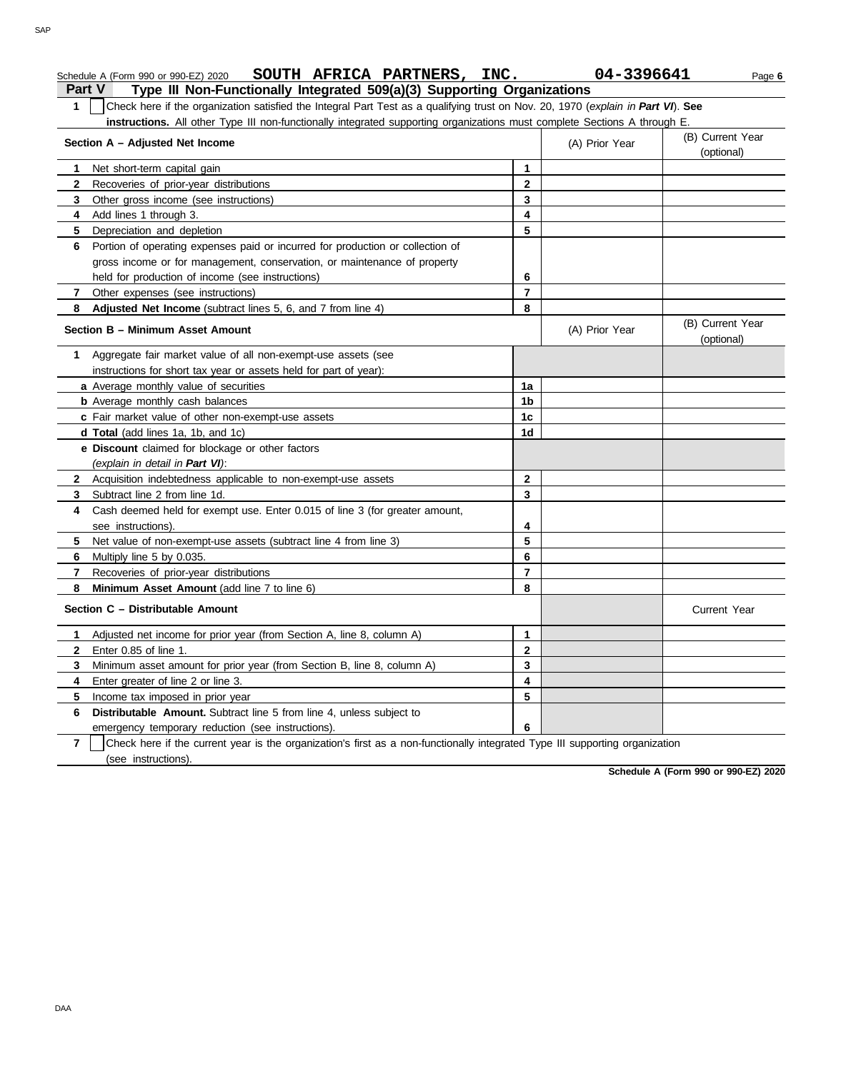# Schedule A (Form 990 or 990-EZ) 2020 **SOUTH AFRICA PARTNERS, INC.** 04-3396641 Page 6

**Part V Type III Non-Functionally Integrated 509(a)(3) Supporting Organizations 1** Check here if the organization satisfied the Integral Part Test as a qualifying trust on Nov. 20, 1970 (*explain in Part VI*). **See instructions.** All other Type III non-functionally integrated supporting organizations must complete Sections A through E.

|                | a addition in outlet type in her randictionally integrated capporang organizations made complete occupito it unoug<br>Section A - Adjusted Net Income |                         | (A) Prior Year | (B) Current Year<br>(optional) |
|----------------|-------------------------------------------------------------------------------------------------------------------------------------------------------|-------------------------|----------------|--------------------------------|
| 1.             | Net short-term capital gain                                                                                                                           | 1                       |                |                                |
| 2              | Recoveries of prior-year distributions                                                                                                                | $\mathbf{2}$            |                |                                |
| 3              | Other gross income (see instructions)                                                                                                                 | 3                       |                |                                |
| 4              | Add lines 1 through 3.                                                                                                                                | 4                       |                |                                |
| 5              | Depreciation and depletion                                                                                                                            | 5                       |                |                                |
| 6              | Portion of operating expenses paid or incurred for production or collection of                                                                        |                         |                |                                |
|                | gross income or for management, conservation, or maintenance of property                                                                              |                         |                |                                |
|                | held for production of income (see instructions)                                                                                                      | 6                       |                |                                |
| $\mathbf{7}$   | Other expenses (see instructions)                                                                                                                     | $\overline{7}$          |                |                                |
| 8              | Adjusted Net Income (subtract lines 5, 6, and 7 from line 4)                                                                                          | 8                       |                |                                |
|                | Section B - Minimum Asset Amount                                                                                                                      |                         | (A) Prior Year | (B) Current Year<br>(optional) |
| 1              | Aggregate fair market value of all non-exempt-use assets (see                                                                                         |                         |                |                                |
|                | instructions for short tax year or assets held for part of year):                                                                                     |                         |                |                                |
|                | a Average monthly value of securities                                                                                                                 | 1a                      |                |                                |
|                | <b>b</b> Average monthly cash balances                                                                                                                | 1 <sub>b</sub>          |                |                                |
|                | c Fair market value of other non-exempt-use assets                                                                                                    | 1 <sub>c</sub>          |                |                                |
|                | d Total (add lines 1a, 1b, and 1c)                                                                                                                    | 1d                      |                |                                |
|                | e Discount claimed for blockage or other factors<br>(explain in detail in Part VI):                                                                   |                         |                |                                |
| $\mathbf{2}$   | Acquisition indebtedness applicable to non-exempt-use assets                                                                                          | $\mathbf 2$             |                |                                |
| 3              | Subtract line 2 from line 1d.                                                                                                                         | 3                       |                |                                |
| 4              | Cash deemed held for exempt use. Enter 0.015 of line 3 (for greater amount,                                                                           |                         |                |                                |
|                | see instructions).                                                                                                                                    | 4                       |                |                                |
| 5              | Net value of non-exempt-use assets (subtract line 4 from line 3)                                                                                      | 5                       |                |                                |
| 6.             | Multiply line 5 by 0.035.                                                                                                                             | 6                       |                |                                |
| 7              | Recoveries of prior-year distributions                                                                                                                | $\overline{7}$          |                |                                |
| 8              | Minimum Asset Amount (add line 7 to line 6)                                                                                                           | 8                       |                |                                |
|                | Section C - Distributable Amount                                                                                                                      |                         |                | <b>Current Year</b>            |
| 1.             | Adjusted net income for prior year (from Section A, line 8, column A)                                                                                 | $\mathbf{1}$            |                |                                |
| $\mathbf{2}$   | Enter 0.85 of line 1.                                                                                                                                 | $\mathbf{2}$            |                |                                |
| 3              | Minimum asset amount for prior year (from Section B, line 8, column A)                                                                                | 3                       |                |                                |
| 4              | Enter greater of line 2 or line 3.                                                                                                                    | $\overline{\mathbf{4}}$ |                |                                |
| 5.             | Income tax imposed in prior year                                                                                                                      | 5                       |                |                                |
| 6              | <b>Distributable Amount.</b> Subtract line 5 from line 4, unless subject to                                                                           |                         |                |                                |
|                | emergency temporary reduction (see instructions).                                                                                                     | 6                       |                |                                |
| $\overline{7}$ | Check here if the current year is the organization's first as a non-functionally integrated Type III supporting organization                          |                         |                |                                |
|                | (see instructions).                                                                                                                                   |                         |                |                                |

**Schedule A (Form 990 or 990-EZ) 2020**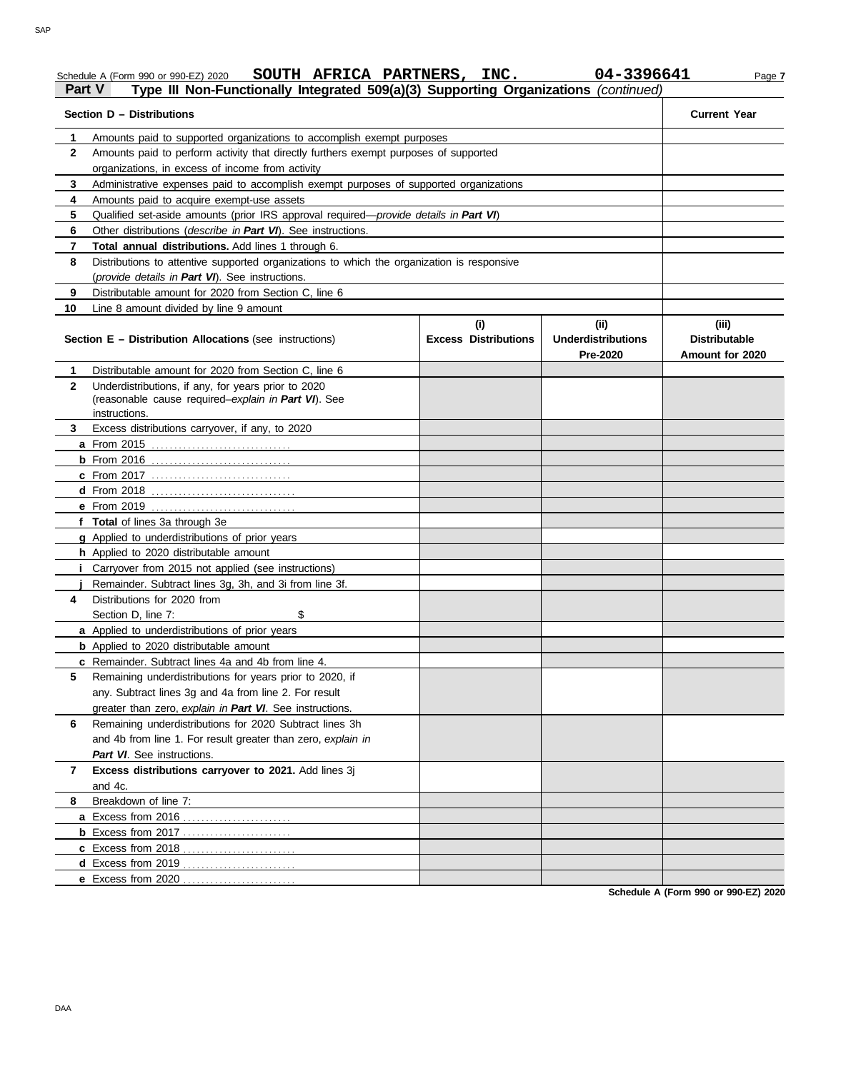#### Schedule A (Form 990 or 990-EZ) 2020 **SOUTH AF'RICA PARTNERS, INC。 O4-339664**T Page 7 **SOUTH AFRICA PARTNERS, INC. 04-3396641**

# **Part V Type III Non-Functionally Integrated 509(a)(3) Supporting Organizations** *(continued)*

| Section D - Distributions |                                                                                                                             | <b>Current Year</b>                |                                              |                                                  |  |  |  |
|---------------------------|-----------------------------------------------------------------------------------------------------------------------------|------------------------------------|----------------------------------------------|--------------------------------------------------|--|--|--|
| 1                         | Amounts paid to supported organizations to accomplish exempt purposes                                                       |                                    |                                              |                                                  |  |  |  |
| 2                         | Amounts paid to perform activity that directly furthers exempt purposes of supported                                        |                                    |                                              |                                                  |  |  |  |
|                           | organizations, in excess of income from activity                                                                            |                                    |                                              |                                                  |  |  |  |
| 3                         | Administrative expenses paid to accomplish exempt purposes of supported organizations                                       |                                    |                                              |                                                  |  |  |  |
| 4                         | Amounts paid to acquire exempt-use assets                                                                                   |                                    |                                              |                                                  |  |  |  |
| 5                         | Qualified set-aside amounts (prior IRS approval required— <i>provide details in Part VI</i> )                               |                                    |                                              |                                                  |  |  |  |
| 6                         | Other distributions (describe in Part VI). See instructions.                                                                |                                    |                                              |                                                  |  |  |  |
| 7                         | Total annual distributions. Add lines 1 through 6.                                                                          |                                    |                                              |                                                  |  |  |  |
| 8                         | Distributions to attentive supported organizations to which the organization is responsive                                  |                                    |                                              |                                                  |  |  |  |
|                           | (provide details in Part VI). See instructions.                                                                             |                                    |                                              |                                                  |  |  |  |
| 9                         | Distributable amount for 2020 from Section C, line 6                                                                        |                                    |                                              |                                                  |  |  |  |
| 10                        | Line 8 amount divided by line 9 amount                                                                                      |                                    |                                              |                                                  |  |  |  |
|                           | <b>Section E – Distribution Allocations (see instructions)</b>                                                              | (i)<br><b>Excess Distributions</b> | (i)<br><b>Underdistributions</b><br>Pre-2020 | (iii)<br><b>Distributable</b><br>Amount for 2020 |  |  |  |
| 1.                        | Distributable amount for 2020 from Section C, line 6                                                                        |                                    |                                              |                                                  |  |  |  |
| 2                         | Underdistributions, if any, for years prior to 2020<br>(reasonable cause required-explain in Part VI). See<br>instructions. |                                    |                                              |                                                  |  |  |  |
| 3                         | Excess distributions carryover, if any, to 2020                                                                             |                                    |                                              |                                                  |  |  |  |
|                           |                                                                                                                             |                                    |                                              |                                                  |  |  |  |
|                           |                                                                                                                             |                                    |                                              |                                                  |  |  |  |
|                           | <b>c</b> From 2017                                                                                                          |                                    |                                              |                                                  |  |  |  |
|                           |                                                                                                                             |                                    |                                              |                                                  |  |  |  |
|                           |                                                                                                                             |                                    |                                              |                                                  |  |  |  |
|                           | f Total of lines 3a through 3e                                                                                              |                                    |                                              |                                                  |  |  |  |
|                           | g Applied to underdistributions of prior years                                                                              |                                    |                                              |                                                  |  |  |  |
|                           | h Applied to 2020 distributable amount                                                                                      |                                    |                                              |                                                  |  |  |  |
|                           | i Carryover from 2015 not applied (see instructions)                                                                        |                                    |                                              |                                                  |  |  |  |
|                           | Remainder. Subtract lines 3g, 3h, and 3i from line 3f.                                                                      |                                    |                                              |                                                  |  |  |  |
| 4                         | Distributions for 2020 from                                                                                                 |                                    |                                              |                                                  |  |  |  |
|                           | Section D, line 7:<br>\$                                                                                                    |                                    |                                              |                                                  |  |  |  |
|                           | a Applied to underdistributions of prior years                                                                              |                                    |                                              |                                                  |  |  |  |
|                           | <b>b</b> Applied to 2020 distributable amount                                                                               |                                    |                                              |                                                  |  |  |  |
|                           | c Remainder. Subtract lines 4a and 4b from line 4.                                                                          |                                    |                                              |                                                  |  |  |  |
|                           | Remaining underdistributions for years prior to 2020, if                                                                    |                                    |                                              |                                                  |  |  |  |
|                           | any. Subtract lines 3g and 4a from line 2. For result                                                                       |                                    |                                              |                                                  |  |  |  |
|                           | greater than zero, explain in Part VI. See instructions.                                                                    |                                    |                                              |                                                  |  |  |  |
| 6                         | Remaining underdistributions for 2020 Subtract lines 3h                                                                     |                                    |                                              |                                                  |  |  |  |
|                           | and 4b from line 1. For result greater than zero, explain in                                                                |                                    |                                              |                                                  |  |  |  |
|                           | Part VI. See instructions.                                                                                                  |                                    |                                              |                                                  |  |  |  |
| 7                         | Excess distributions carryover to 2021. Add lines 3j                                                                        |                                    |                                              |                                                  |  |  |  |
|                           | and 4c.                                                                                                                     |                                    |                                              |                                                  |  |  |  |
| 8                         | Breakdown of line 7:                                                                                                        |                                    |                                              |                                                  |  |  |  |
|                           |                                                                                                                             |                                    |                                              |                                                  |  |  |  |
|                           |                                                                                                                             |                                    |                                              |                                                  |  |  |  |
|                           |                                                                                                                             |                                    |                                              |                                                  |  |  |  |
|                           | d Excess from 2019.                                                                                                         |                                    |                                              |                                                  |  |  |  |
|                           | e Excess from 2020.                                                                                                         |                                    |                                              |                                                  |  |  |  |

**Schedule A (Form 990 or 990-EZ) 2020**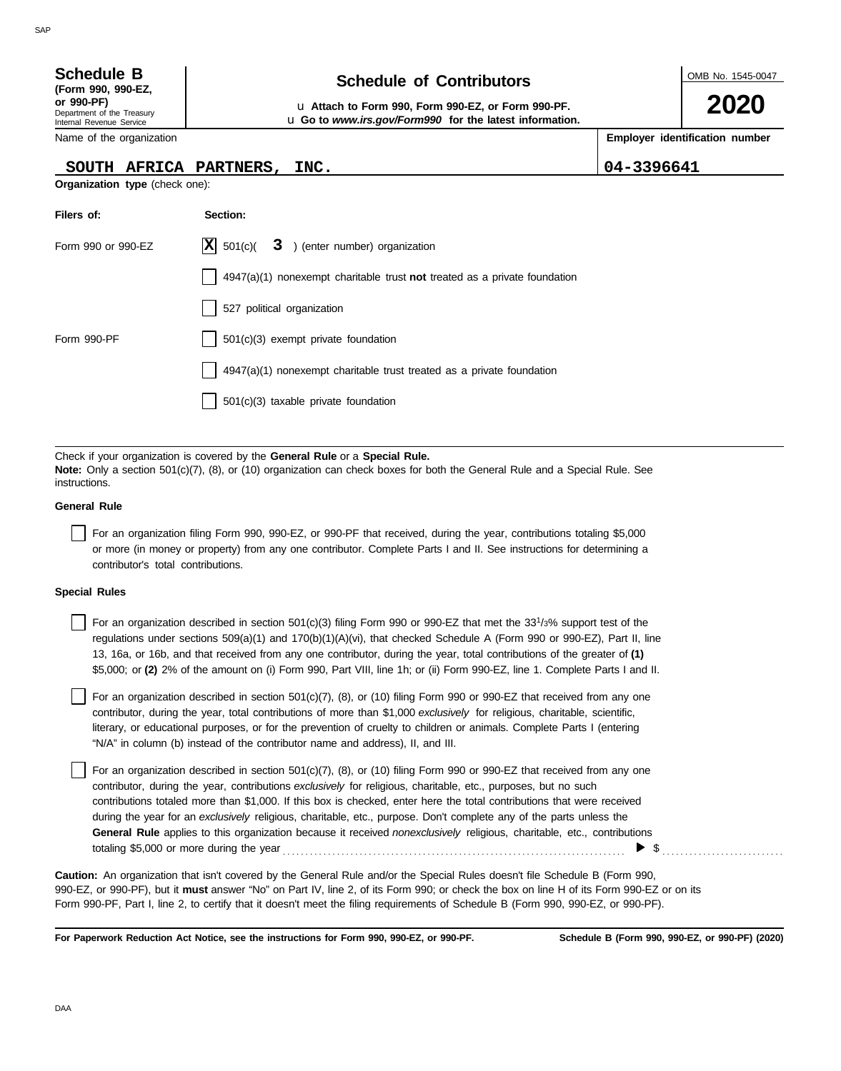| <b>Schedule B</b>  |  |
|--------------------|--|
| (Form 990, 990-EZ, |  |

Department of the Treasury Internal Revenue Service

### Name of the organization

# **Schedule of Contributors**

**or 990-PF)** u **Attach to Form 990, Form 990-EZ, or Form 990-PF.** u **Go to** *www.irs.gov/Form990* **for the latest information.**

**Employer identification number**

OMB No. 1545-0047

**2020**

| <b>SOUTH</b>       | AFRICA PARTNERS,<br>INC.                                                  | 04-3396641 |  |  |  |  |  |  |
|--------------------|---------------------------------------------------------------------------|------------|--|--|--|--|--|--|
|                    | Organization type (check one):                                            |            |  |  |  |  |  |  |
|                    |                                                                           |            |  |  |  |  |  |  |
| Filers of:         | Section:                                                                  |            |  |  |  |  |  |  |
|                    |                                                                           |            |  |  |  |  |  |  |
| Form 990 or 990-EZ | $ \mathbf{X} $ 501(c)(<br>3 ) (enter number) organization                 |            |  |  |  |  |  |  |
|                    |                                                                           |            |  |  |  |  |  |  |
|                    | 4947(a)(1) nonexempt charitable trust not treated as a private foundation |            |  |  |  |  |  |  |
|                    | 527 political organization                                                |            |  |  |  |  |  |  |
|                    |                                                                           |            |  |  |  |  |  |  |
| Form 990-PF        | 501(c)(3) exempt private foundation                                       |            |  |  |  |  |  |  |
|                    |                                                                           |            |  |  |  |  |  |  |
|                    | 4947(a)(1) nonexempt charitable trust treated as a private foundation     |            |  |  |  |  |  |  |
|                    |                                                                           |            |  |  |  |  |  |  |
|                    | $501(c)(3)$ taxable private foundation                                    |            |  |  |  |  |  |  |

Check if your organization is covered by the **General Rule** or a **Special Rule. Note:** Only a section 501(c)(7), (8), or (10) organization can check boxes for both the General Rule and a Special Rule. See instructions.

### **General Rule**

For an organization filing Form 990, 990-EZ, or 990-PF that received, during the year, contributions totaling \$5,000 or more (in money or property) from any one contributor. Complete Parts I and II. See instructions for determining a contributor's total contributions.

### **Special Rules**

For an organization described in section 501(c)(3) filing Form 990 or 990-EZ that met the  $33^{1/3\%}$  support test of the regulations under sections 509(a)(1) and 170(b)(1)(A)(vi), that checked Schedule A (Form 990 or 990-EZ), Part II, line 13, 16a, or 16b, and that received from any one contributor, during the year, total contributions of the greater of **(1)** \$5,000; or **(2)** 2% of the amount on (i) Form 990, Part VIII, line 1h; or (ii) Form 990-EZ, line 1. Complete Parts I and II.

literary, or educational purposes, or for the prevention of cruelty to children or animals. Complete Parts I (entering For an organization described in section 501(c)(7), (8), or (10) filing Form 990 or 990-EZ that received from any one contributor, during the year, total contributions of more than \$1,000 *exclusively* for religious, charitable, scientific, "N/A" in column (b) instead of the contributor name and address), II, and III.

For an organization described in section 501(c)(7), (8), or (10) filing Form 990 or 990-EZ that received from any one contributor, during the year, contributions *exclusively* for religious, charitable, etc., purposes, but no such contributions totaled more than \$1,000. If this box is checked, enter here the total contributions that were received during the year for an *exclusively* religious, charitable, etc., purpose. Don't complete any of the parts unless the **General Rule** applies to this organization because it received *nonexclusively* religious, charitable, etc., contributions totaling \$5,000 or more during the year . . . . . . . . . . . . . . . . . . . . . . . . . . . . . . . . . . . . . . . . . . . . . . . . . . . . . . . . . . . . . . . . . . . . . . . . . . . .  $\blacktriangleright$  \$

990-EZ, or 990-PF), but it **must** answer "No" on Part IV, line 2, of its Form 990; or check the box on line H of its Form 990-EZ or on its Form 990-PF, Part I, line 2, to certify that it doesn't meet the filing requirements of Schedule B (Form 990, 990-EZ, or 990-PF). **Caution:** An organization that isn't covered by the General Rule and/or the Special Rules doesn't file Schedule B (Form 990,

**For Paperwork Reduction Act Notice, see the instructions for Form 990, 990-EZ, or 990-PF.**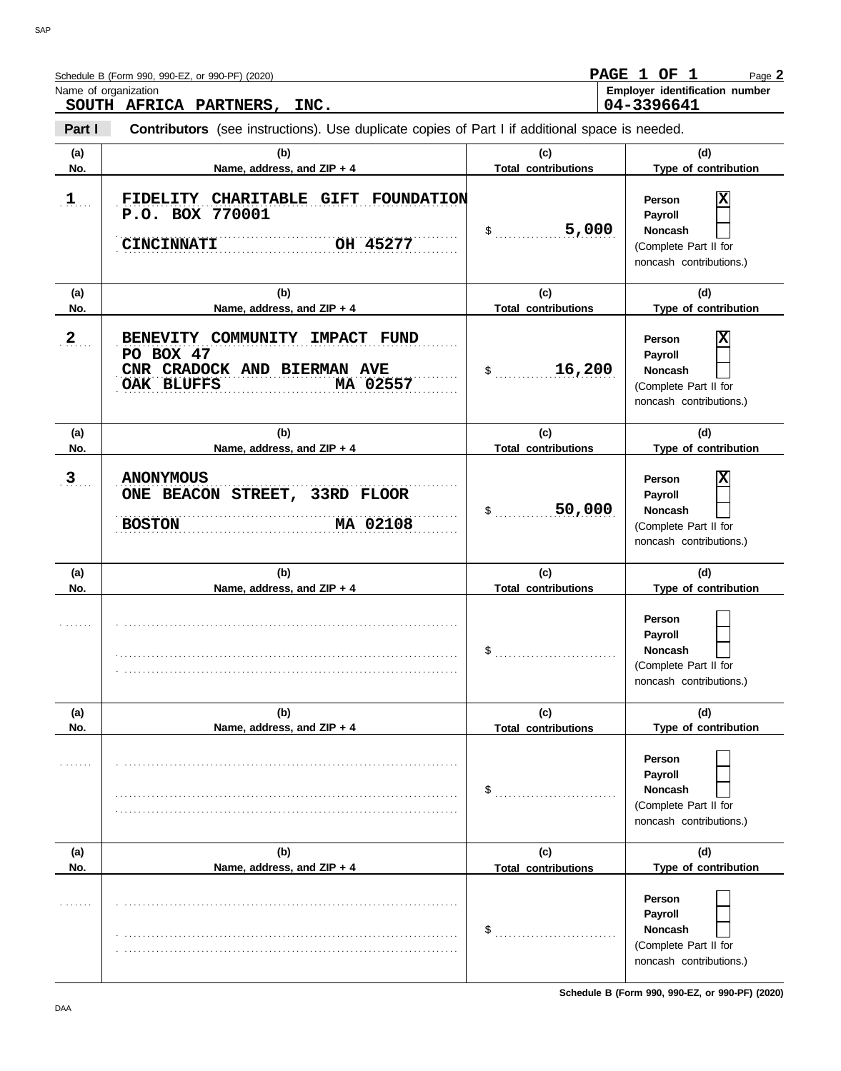|                | Schedule B (Form 990, 990-EZ, or 990-PF) (2020)                                                         |                                   | PAGE 1 OF 1<br>Page 2                                                                        |
|----------------|---------------------------------------------------------------------------------------------------------|-----------------------------------|----------------------------------------------------------------------------------------------|
|                | Name of organization<br>SOUTH AFRICA PARTNERS, INC.                                                     |                                   | Employer identification number<br>04-3396641                                                 |
| Part I         | <b>Contributors</b> (see instructions). Use duplicate copies of Part I if additional space is needed.   |                                   |                                                                                              |
| (a)<br>No.     | (b)<br>Name, address, and ZIP + 4                                                                       | (c)<br><b>Total contributions</b> | (d)<br>Type of contribution                                                                  |
| 1              | FIDELITY CHARITABLE GIFT FOUNDATION<br>P.O. BOX 770001<br>CINCINNATI<br>OH 45277                        | 5,000<br>$\sim$                   | X<br>Person<br>Payroll<br>Noncash<br>(Complete Part II for<br>noncash contributions.)        |
| (a)            | (b)                                                                                                     | (c)                               | (d)                                                                                          |
| No.            | Name, address, and ZIP + 4                                                                              | <b>Total contributions</b>        | Type of contribution                                                                         |
| $2_{1}$        | BENEVITY COMMUNITY IMPACT<br>FUND<br>PO BOX 47<br>CNR CRADOCK AND BIERMAN AVE<br>MA 02557<br>OAK BLUFFS | 16,200<br>$\mathsf{\$}$           | X<br>Person<br>Payroll<br><b>Noncash</b><br>(Complete Part II for<br>noncash contributions.) |
| (a)            | (b)                                                                                                     | (c)                               | (d)                                                                                          |
| No.            | Name, address, and ZIP + 4                                                                              | <b>Total contributions</b>        | Type of contribution                                                                         |
| 3 <sub>1</sub> | <b>ANONYMOUS</b><br>ONE BEACON STREET, 33RD FLOOR<br>MA 02108<br><b>BOSTON</b>                          | 50,000<br>$\mathsf{\$}$           | X<br>Person<br>Payroll<br><b>Noncash</b><br>(Complete Part II for<br>noncash contributions.) |
| (a)            | (b)                                                                                                     | (c)                               | (d)                                                                                          |
| No.            | Name, address, and ZIP + 4                                                                              | <b>Total contributions</b>        | Type of contribution                                                                         |
|                |                                                                                                         | \$                                | Person<br>Payroll<br>Noncash<br>(Complete Part II for<br>noncash contributions.)             |
| (a)            | (b)                                                                                                     | (c)                               | (d)                                                                                          |
| No.            | Name, address, and ZIP + 4                                                                              | <b>Total contributions</b>        | Type of contribution                                                                         |
|                |                                                                                                         | \$                                | Person<br>Payroll<br><b>Noncash</b><br>(Complete Part II for<br>noncash contributions.)      |
| (a)            | (b)                                                                                                     | (c)                               | (d)                                                                                          |
| No.            | Name, address, and ZIP + 4                                                                              | <b>Total contributions</b>        | Type of contribution                                                                         |
|                |                                                                                                         | \$                                | Person<br>Payroll<br><b>Noncash</b><br>(Complete Part II for<br>noncash contributions.)      |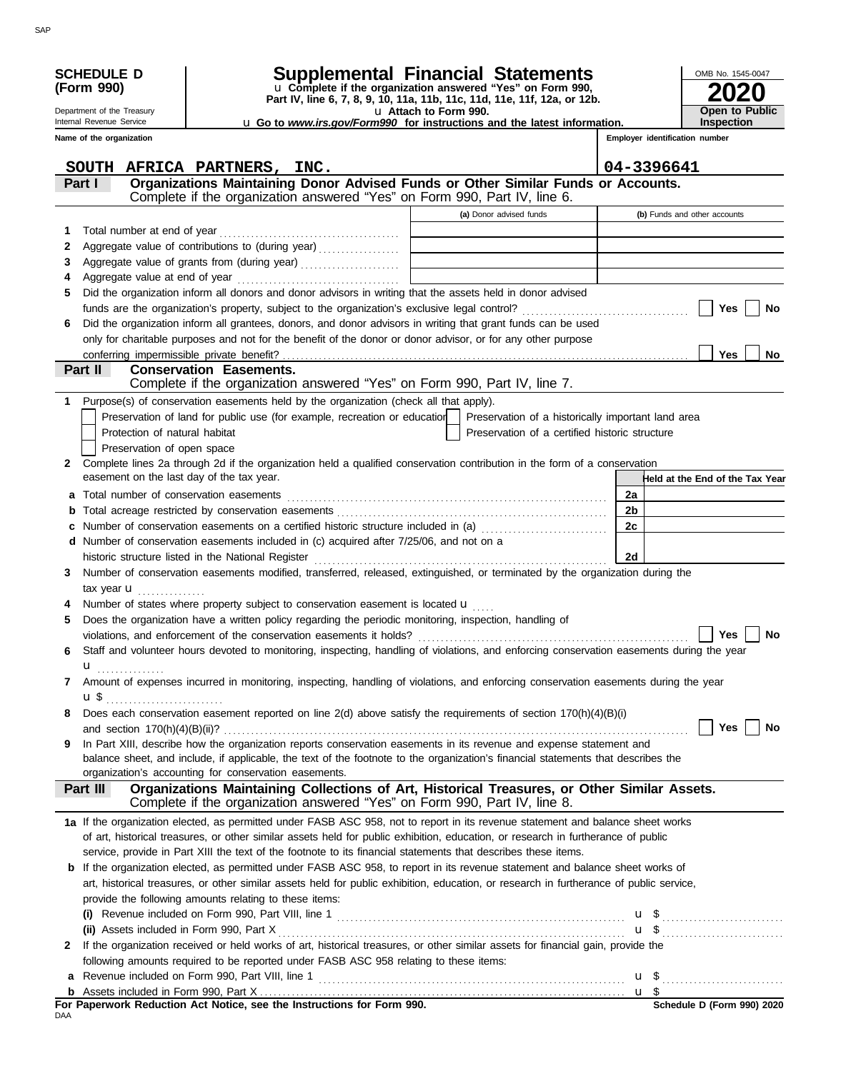| <b>SCHEDULE D</b><br>(Form 990) |                                                        |                                                                                                                                                                                                                                                                      | <b>Supplemental Financial Statements</b><br>u Complete if the organization answered "Yes" on Form 990, |                                | OMB No. 1545-0047               |
|---------------------------------|--------------------------------------------------------|----------------------------------------------------------------------------------------------------------------------------------------------------------------------------------------------------------------------------------------------------------------------|--------------------------------------------------------------------------------------------------------|--------------------------------|---------------------------------|
|                                 |                                                        |                                                                                                                                                                                                                                                                      | Part IV, line 6, 7, 8, 9, 10, 11a, 11b, 11c, 11d, 11e, 11f, 12a, or 12b.                               |                                | <b>Open to Public</b>           |
|                                 | Department of the Treasury<br>Internal Revenue Service |                                                                                                                                                                                                                                                                      | u Attach to Form 990.<br>u Go to www.irs.gov/Form990 for instructions and the latest information.      |                                | <b>Inspection</b>               |
|                                 | Name of the organization                               |                                                                                                                                                                                                                                                                      |                                                                                                        | Employer identification number |                                 |
|                                 |                                                        |                                                                                                                                                                                                                                                                      |                                                                                                        |                                |                                 |
|                                 | Part I                                                 | SOUTH AFRICA PARTNERS, INC.<br>Organizations Maintaining Donor Advised Funds or Other Similar Funds or Accounts.                                                                                                                                                     |                                                                                                        | 04-3396641                     |                                 |
|                                 |                                                        | Complete if the organization answered "Yes" on Form 990, Part IV, line 6.                                                                                                                                                                                            |                                                                                                        |                                |                                 |
|                                 |                                                        |                                                                                                                                                                                                                                                                      | (a) Donor advised funds                                                                                |                                | (b) Funds and other accounts    |
| 1                               |                                                        |                                                                                                                                                                                                                                                                      |                                                                                                        |                                |                                 |
| 2                               |                                                        | Aggregate value of contributions to (during year)                                                                                                                                                                                                                    |                                                                                                        |                                |                                 |
| 3                               |                                                        | Aggregate value of grants from (during year)                                                                                                                                                                                                                         |                                                                                                        |                                |                                 |
| 4<br>5                          |                                                        | Did the organization inform all donors and donor advisors in writing that the assets held in donor advised                                                                                                                                                           |                                                                                                        |                                |                                 |
|                                 |                                                        |                                                                                                                                                                                                                                                                      |                                                                                                        |                                | Yes<br>No                       |
| 6                               |                                                        | Did the organization inform all grantees, donors, and donor advisors in writing that grant funds can be used                                                                                                                                                         |                                                                                                        |                                |                                 |
|                                 |                                                        | only for charitable purposes and not for the benefit of the donor or donor advisor, or for any other purpose                                                                                                                                                         |                                                                                                        |                                |                                 |
|                                 |                                                        |                                                                                                                                                                                                                                                                      |                                                                                                        |                                | <b>Yes</b><br>No                |
|                                 | Part II                                                | <b>Conservation Easements.</b><br>Complete if the organization answered "Yes" on Form 990, Part IV, line 7.                                                                                                                                                          |                                                                                                        |                                |                                 |
| 1                               |                                                        | Purpose(s) of conservation easements held by the organization (check all that apply).                                                                                                                                                                                |                                                                                                        |                                |                                 |
|                                 |                                                        | Preservation of land for public use (for example, recreation or education   Preservation of a historically important land area                                                                                                                                       |                                                                                                        |                                |                                 |
|                                 | Protection of natural habitat                          |                                                                                                                                                                                                                                                                      | Preservation of a certified historic structure                                                         |                                |                                 |
|                                 | Preservation of open space                             |                                                                                                                                                                                                                                                                      |                                                                                                        |                                |                                 |
| 2                               | easement on the last day of the tax year.              | Complete lines 2a through 2d if the organization held a qualified conservation contribution in the form of a conservation                                                                                                                                            |                                                                                                        |                                |                                 |
|                                 |                                                        |                                                                                                                                                                                                                                                                      |                                                                                                        | 2a                             | Held at the End of the Tax Year |
|                                 |                                                        |                                                                                                                                                                                                                                                                      |                                                                                                        | 2 <sub>b</sub>                 |                                 |
|                                 |                                                        |                                                                                                                                                                                                                                                                      |                                                                                                        | 2c                             |                                 |
|                                 |                                                        | d Number of conservation easements included in (c) acquired after 7/25/06, and not on a                                                                                                                                                                              |                                                                                                        |                                |                                 |
|                                 |                                                        |                                                                                                                                                                                                                                                                      |                                                                                                        | 2d                             |                                 |
| 3                               |                                                        | Number of conservation easements modified, transferred, released, extinguished, or terminated by the organization during the                                                                                                                                         |                                                                                                        |                                |                                 |
|                                 | tax year $\mathbf{u}$                                  |                                                                                                                                                                                                                                                                      |                                                                                                        |                                |                                 |
| 5                               |                                                        | Number of states where property subject to conservation easement is located <b>u</b><br>Does the organization have a written policy regarding the periodic monitoring, inspection, handling of                                                                       |                                                                                                        |                                |                                 |
|                                 |                                                        |                                                                                                                                                                                                                                                                      |                                                                                                        |                                | Yes<br>No                       |
| 6                               |                                                        | Staff and volunteer hours devoted to monitoring, inspecting, handling of violations, and enforcing conservation easements during the year                                                                                                                            |                                                                                                        |                                |                                 |
|                                 |                                                        |                                                                                                                                                                                                                                                                      |                                                                                                        |                                |                                 |
| 7                               |                                                        | Amount of expenses incurred in monitoring, inspecting, handling of violations, and enforcing conservation easements during the year                                                                                                                                  |                                                                                                        |                                |                                 |
|                                 | $\mathbf{u}$ \$                                        |                                                                                                                                                                                                                                                                      |                                                                                                        |                                |                                 |
| 8                               |                                                        | Does each conservation easement reported on line 2(d) above satisfy the requirements of section 170(h)(4)(B)(i)                                                                                                                                                      |                                                                                                        |                                | <b>Yes</b><br>No                |
| 9                               |                                                        | In Part XIII, describe how the organization reports conservation easements in its revenue and expense statement and                                                                                                                                                  |                                                                                                        |                                |                                 |
|                                 |                                                        | balance sheet, and include, if applicable, the text of the footnote to the organization's financial statements that describes the                                                                                                                                    |                                                                                                        |                                |                                 |
|                                 |                                                        | organization's accounting for conservation easements.                                                                                                                                                                                                                |                                                                                                        |                                |                                 |
|                                 | Part III                                               | Organizations Maintaining Collections of Art, Historical Treasures, or Other Similar Assets.                                                                                                                                                                         |                                                                                                        |                                |                                 |
|                                 |                                                        | Complete if the organization answered "Yes" on Form 990, Part IV, line 8.                                                                                                                                                                                            |                                                                                                        |                                |                                 |
|                                 |                                                        | 1a If the organization elected, as permitted under FASB ASC 958, not to report in its revenue statement and balance sheet works<br>of art, historical treasures, or other similar assets held for public exhibition, education, or research in furtherance of public |                                                                                                        |                                |                                 |
|                                 |                                                        | service, provide in Part XIII the text of the footnote to its financial statements that describes these items.                                                                                                                                                       |                                                                                                        |                                |                                 |
|                                 |                                                        | <b>b</b> If the organization elected, as permitted under FASB ASC 958, to report in its revenue statement and balance sheet works of                                                                                                                                 |                                                                                                        |                                |                                 |
|                                 |                                                        | art, historical treasures, or other similar assets held for public exhibition, education, or research in furtherance of public service,                                                                                                                              |                                                                                                        |                                |                                 |
|                                 |                                                        | provide the following amounts relating to these items:                                                                                                                                                                                                               |                                                                                                        |                                |                                 |
|                                 |                                                        | (i) Revenue included on Form 990, Part VIII, line 1 $\ldots$ $\ldots$ $\ldots$ $\ldots$ $\ldots$ $\ldots$ $\ldots$ $\ldots$ $\ldots$ $\ldots$                                                                                                                        |                                                                                                        |                                |                                 |
|                                 |                                                        |                                                                                                                                                                                                                                                                      |                                                                                                        |                                |                                 |
| 2                               |                                                        | If the organization received or held works of art, historical treasures, or other similar assets for financial gain, provide the                                                                                                                                     |                                                                                                        |                                |                                 |
|                                 |                                                        | following amounts required to be reported under FASB ASC 958 relating to these items:                                                                                                                                                                                |                                                                                                        |                                |                                 |
|                                 |                                                        |                                                                                                                                                                                                                                                                      |                                                                                                        |                                |                                 |
|                                 |                                                        |                                                                                                                                                                                                                                                                      |                                                                                                        |                                | Schedule D (Form 990) 2020      |

FOF<br>DAA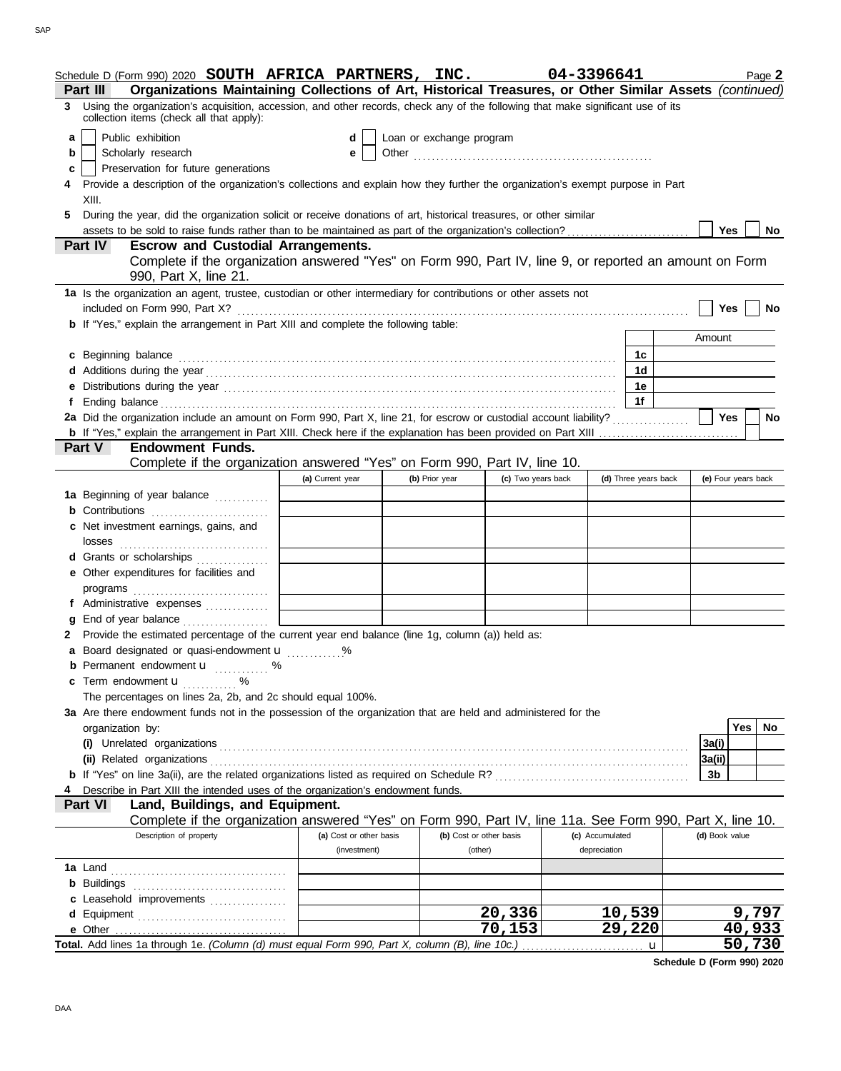|   | Schedule D (Form 990) 2020 SOUTH AFRICA PARTNERS, INC.                                                                                                                                                                         |  |                         |                |                         | 04-3396641      |                      |        | Page 2              |  |
|---|--------------------------------------------------------------------------------------------------------------------------------------------------------------------------------------------------------------------------------|--|-------------------------|----------------|-------------------------|-----------------|----------------------|--------|---------------------|--|
|   | Organizations Maintaining Collections of Art, Historical Treasures, or Other Similar Assets (continued)<br>Part III                                                                                                            |  |                         |                |                         |                 |                      |        |                     |  |
|   | 3 Using the organization's acquisition, accession, and other records, check any of the following that make significant use of its<br>collection items (check all that apply):                                                  |  |                         |                |                         |                 |                      |        |                     |  |
| a | Public exhibition<br>Loan or exchange program<br>d                                                                                                                                                                             |  |                         |                |                         |                 |                      |        |                     |  |
| b | Scholarly research                                                                                                                                                                                                             |  | е                       |                |                         |                 |                      |        |                     |  |
| c | Preservation for future generations                                                                                                                                                                                            |  |                         |                |                         |                 |                      |        |                     |  |
|   | Provide a description of the organization's collections and explain how they further the organization's exempt purpose in Part                                                                                                 |  |                         |                |                         |                 |                      |        |                     |  |
|   | XIII.                                                                                                                                                                                                                          |  |                         |                |                         |                 |                      |        |                     |  |
|   |                                                                                                                                                                                                                                |  |                         |                |                         |                 |                      |        |                     |  |
| 5 | During the year, did the organization solicit or receive donations of art, historical treasures, or other similar                                                                                                              |  |                         |                |                         |                 |                      |        |                     |  |
|   |                                                                                                                                                                                                                                |  |                         |                |                         |                 |                      |        | Yes<br>No           |  |
|   | <b>Escrow and Custodial Arrangements.</b><br><b>Part IV</b><br>Complete if the organization answered "Yes" on Form 990, Part IV, line 9, or reported an amount on Form                                                         |  |                         |                |                         |                 |                      |        |                     |  |
|   | 990, Part X, line 21.                                                                                                                                                                                                          |  |                         |                |                         |                 |                      |        |                     |  |
|   |                                                                                                                                                                                                                                |  |                         |                |                         |                 |                      |        |                     |  |
|   | 1a Is the organization an agent, trustee, custodian or other intermediary for contributions or other assets not                                                                                                                |  |                         |                |                         |                 |                      |        |                     |  |
|   | included on Form 990, Part X?                                                                                                                                                                                                  |  |                         |                |                         |                 |                      |        | <b>Yes</b><br>No    |  |
|   | <b>b</b> If "Yes," explain the arrangement in Part XIII and complete the following table:                                                                                                                                      |  |                         |                |                         |                 |                      |        |                     |  |
|   |                                                                                                                                                                                                                                |  |                         |                |                         |                 |                      | Amount |                     |  |
|   | c Beginning balance                                                                                                                                                                                                            |  |                         |                |                         |                 | 1с                   |        |                     |  |
|   |                                                                                                                                                                                                                                |  |                         |                |                         |                 | 1 <sub>d</sub>       |        |                     |  |
|   |                                                                                                                                                                                                                                |  |                         |                |                         |                 | 1e                   |        |                     |  |
|   |                                                                                                                                                                                                                                |  |                         |                |                         |                 | 1f                   |        |                     |  |
|   | 2a Did the organization include an amount on Form 990, Part X, line 21, for escrow or custodial account liability?                                                                                                             |  |                         |                |                         |                 |                      |        | Yes<br>No           |  |
|   |                                                                                                                                                                                                                                |  |                         |                |                         |                 |                      |        |                     |  |
|   | Part V<br><b>Endowment Funds.</b>                                                                                                                                                                                              |  |                         |                |                         |                 |                      |        |                     |  |
|   | Complete if the organization answered "Yes" on Form 990, Part IV, line 10.                                                                                                                                                     |  |                         |                |                         |                 |                      |        |                     |  |
|   |                                                                                                                                                                                                                                |  | (a) Current year        | (b) Prior year | (c) Two years back      |                 | (d) Three years back |        | (e) Four years back |  |
|   | 1a Beginning of year balance                                                                                                                                                                                                   |  |                         |                |                         |                 |                      |        |                     |  |
|   | <b>b</b> Contributions                                                                                                                                                                                                         |  |                         |                |                         |                 |                      |        |                     |  |
|   | c Net investment earnings, gains, and                                                                                                                                                                                          |  |                         |                |                         |                 |                      |        |                     |  |
|   | losses                                                                                                                                                                                                                         |  |                         |                |                         |                 |                      |        |                     |  |
|   | d Grants or scholarships                                                                                                                                                                                                       |  |                         |                |                         |                 |                      |        |                     |  |
|   | e Other expenditures for facilities and                                                                                                                                                                                        |  |                         |                |                         |                 |                      |        |                     |  |
|   |                                                                                                                                                                                                                                |  |                         |                |                         |                 |                      |        |                     |  |
|   | f Administrative expenses                                                                                                                                                                                                      |  |                         |                |                         |                 |                      |        |                     |  |
|   |                                                                                                                                                                                                                                |  |                         |                |                         |                 |                      |        |                     |  |
|   | g End of year balance                                                                                                                                                                                                          |  |                         |                |                         |                 |                      |        |                     |  |
|   | 2 Provide the estimated percentage of the current year end balance (line 1g, column (a)) held as:                                                                                                                              |  |                         |                |                         |                 |                      |        |                     |  |
|   | Board designated or quasi-endowment <b>u</b> %                                                                                                                                                                                 |  |                         |                |                         |                 |                      |        |                     |  |
|   | <b>b</b> Permanent endowment <b>u</b> %                                                                                                                                                                                        |  |                         |                |                         |                 |                      |        |                     |  |
|   | c Term endowment <b>u</b> %                                                                                                                                                                                                    |  |                         |                |                         |                 |                      |        |                     |  |
|   | The percentages on lines 2a, 2b, and 2c should equal 100%.                                                                                                                                                                     |  |                         |                |                         |                 |                      |        |                     |  |
|   | 3a Are there endowment funds not in the possession of the organization that are held and administered for the                                                                                                                  |  |                         |                |                         |                 |                      |        |                     |  |
|   | organization by:                                                                                                                                                                                                               |  |                         |                |                         |                 |                      |        | <b>Yes</b><br>No    |  |
|   | (i) Unrelated organizations entertainment and a contract or contract or contract or contract or contract or contract or contract or contract or contract or contract or contract or contract or contract or contract or contra |  |                         |                |                         |                 |                      | 3a(i)  |                     |  |
|   | (ii) Related organizations                                                                                                                                                                                                     |  |                         |                |                         |                 |                      | 3a(ii) |                     |  |
|   |                                                                                                                                                                                                                                |  |                         |                |                         |                 |                      | 3b     |                     |  |
|   | Describe in Part XIII the intended uses of the organization's endowment funds.                                                                                                                                                 |  |                         |                |                         |                 |                      |        |                     |  |
|   | Part VI<br>Land, Buildings, and Equipment.                                                                                                                                                                                     |  |                         |                |                         |                 |                      |        |                     |  |
|   | Complete if the organization answered "Yes" on Form 990, Part IV, line 11a. See Form 990, Part X, line 10.                                                                                                                     |  |                         |                |                         |                 |                      |        |                     |  |
|   | Description of property                                                                                                                                                                                                        |  | (a) Cost or other basis |                | (b) Cost or other basis | (c) Accumulated |                      |        | (d) Book value      |  |
|   |                                                                                                                                                                                                                                |  | (investment)            |                | (other)                 | depreciation    |                      |        |                     |  |
|   |                                                                                                                                                                                                                                |  |                         |                |                         |                 |                      |        |                     |  |
|   |                                                                                                                                                                                                                                |  |                         |                |                         |                 |                      |        |                     |  |
|   | c Leasehold improvements                                                                                                                                                                                                       |  |                         |                |                         |                 |                      |        |                     |  |
|   |                                                                                                                                                                                                                                |  |                         |                | 20,336                  |                 | 10,539               |        | 9,797               |  |
|   |                                                                                                                                                                                                                                |  |                         |                | 70, 153                 |                 | 29,220               |        | 40,933              |  |
|   | Total. Add lines 1a through 1e. (Column (d) must equal Form 990, Part X, column (B), line 10c.)                                                                                                                                |  |                         |                |                         |                 | u                    |        | 50,730              |  |

**Schedule D (Form 990) 2020**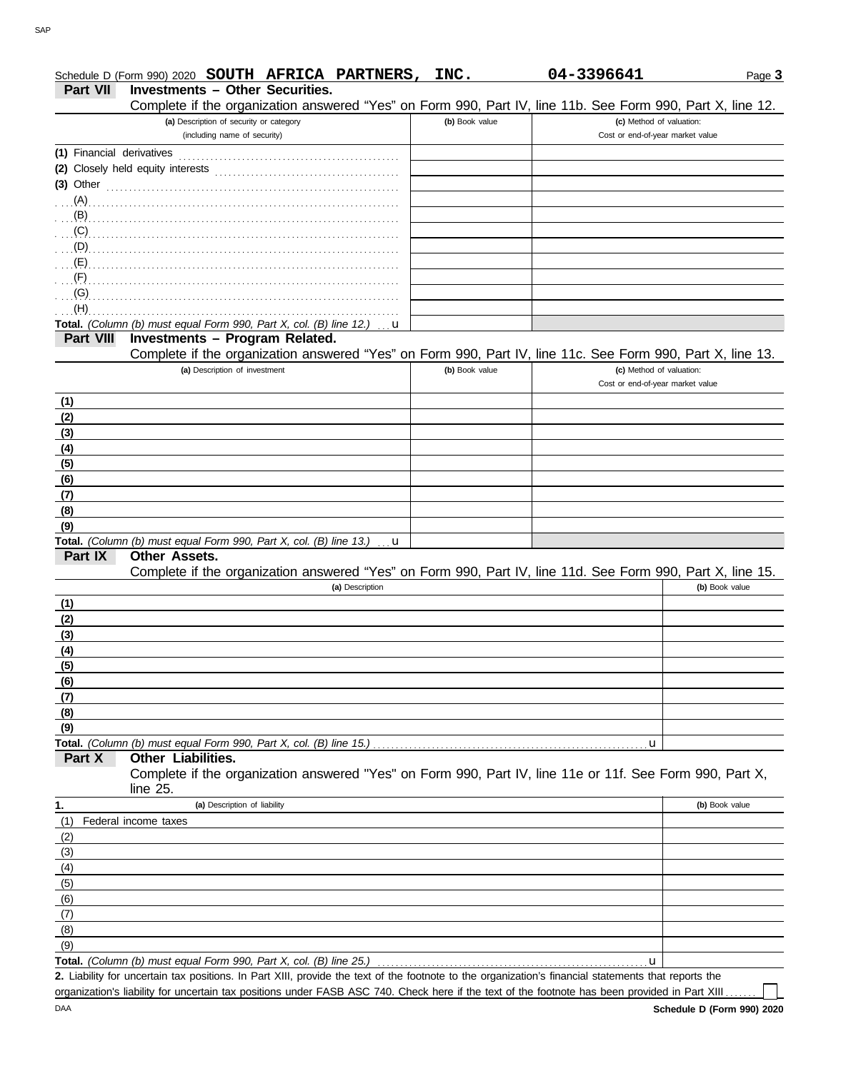|                           | Schedule D (Form 990) 2020 SOUTH AFRICA PARTNERS,                                                    |                               |                 | INC.           | 04-3396641                                                                                                                                           | Page 3                                                                                                     |
|---------------------------|------------------------------------------------------------------------------------------------------|-------------------------------|-----------------|----------------|------------------------------------------------------------------------------------------------------------------------------------------------------|------------------------------------------------------------------------------------------------------------|
| <b>Part VII</b>           | <b>Investments - Other Securities.</b>                                                               |                               |                 |                |                                                                                                                                                      |                                                                                                            |
|                           |                                                                                                      |                               |                 |                |                                                                                                                                                      | Complete if the organization answered "Yes" on Form 990, Part IV, line 11b. See Form 990, Part X, line 12. |
|                           | (a) Description of security or category                                                              |                               |                 | (b) Book value | (c) Method of valuation:                                                                                                                             |                                                                                                            |
|                           |                                                                                                      | (including name of security)  |                 |                | Cost or end-of-year market value                                                                                                                     |                                                                                                            |
| (1) Financial derivatives |                                                                                                      |                               |                 |                |                                                                                                                                                      |                                                                                                            |
|                           | (2) Closely held equity interests                                                                    |                               |                 |                |                                                                                                                                                      |                                                                                                            |
| $(3)$ Other               |                                                                                                      |                               |                 |                |                                                                                                                                                      |                                                                                                            |
|                           |                                                                                                      |                               |                 |                |                                                                                                                                                      |                                                                                                            |
|                           |                                                                                                      |                               |                 |                |                                                                                                                                                      |                                                                                                            |
|                           |                                                                                                      |                               |                 |                |                                                                                                                                                      |                                                                                                            |
|                           |                                                                                                      |                               |                 |                |                                                                                                                                                      |                                                                                                            |
|                           |                                                                                                      |                               |                 |                |                                                                                                                                                      |                                                                                                            |
|                           |                                                                                                      |                               |                 |                |                                                                                                                                                      |                                                                                                            |
| (G)                       |                                                                                                      |                               |                 |                |                                                                                                                                                      |                                                                                                            |
| (H)                       |                                                                                                      |                               |                 |                |                                                                                                                                                      |                                                                                                            |
| <b>Part VIII</b>          | Total. (Column (b) must equal Form 990, Part X, col. (B) line 12.)<br>Investments - Program Related. |                               | u               |                |                                                                                                                                                      |                                                                                                            |
|                           |                                                                                                      |                               |                 |                |                                                                                                                                                      | Complete if the organization answered "Yes" on Form 990, Part IV, line 11c. See Form 990, Part X, line 13. |
|                           |                                                                                                      | (a) Description of investment |                 | (b) Book value | (c) Method of valuation:                                                                                                                             |                                                                                                            |
|                           |                                                                                                      |                               |                 |                | Cost or end-of-year market value                                                                                                                     |                                                                                                            |
| (1)                       |                                                                                                      |                               |                 |                |                                                                                                                                                      |                                                                                                            |
| (2)                       |                                                                                                      |                               |                 |                |                                                                                                                                                      |                                                                                                            |
| (3)                       |                                                                                                      |                               |                 |                |                                                                                                                                                      |                                                                                                            |
| (4)                       |                                                                                                      |                               |                 |                |                                                                                                                                                      |                                                                                                            |
| (5)                       |                                                                                                      |                               |                 |                |                                                                                                                                                      |                                                                                                            |
| (6)                       |                                                                                                      |                               |                 |                |                                                                                                                                                      |                                                                                                            |
| (7)                       |                                                                                                      |                               |                 |                |                                                                                                                                                      |                                                                                                            |
| (8)                       |                                                                                                      |                               |                 |                |                                                                                                                                                      |                                                                                                            |
| (9)                       |                                                                                                      |                               |                 |                |                                                                                                                                                      |                                                                                                            |
|                           | Total. (Column (b) must equal Form 990, Part X, col. (B) line 13.)                                   |                               | u               |                |                                                                                                                                                      |                                                                                                            |
| Part IX                   | Other Assets.                                                                                        |                               |                 |                |                                                                                                                                                      |                                                                                                            |
|                           |                                                                                                      |                               |                 |                |                                                                                                                                                      | Complete if the organization answered "Yes" on Form 990, Part IV, line 11d. See Form 990, Part X, line 15. |
|                           |                                                                                                      |                               | (a) Description |                |                                                                                                                                                      | (b) Book value                                                                                             |
| (1)                       |                                                                                                      |                               |                 |                |                                                                                                                                                      |                                                                                                            |
| (2)                       |                                                                                                      |                               |                 |                |                                                                                                                                                      |                                                                                                            |
| (3)                       |                                                                                                      |                               |                 |                |                                                                                                                                                      |                                                                                                            |
| (4)                       |                                                                                                      |                               |                 |                |                                                                                                                                                      |                                                                                                            |
| (5)                       |                                                                                                      |                               |                 |                |                                                                                                                                                      |                                                                                                            |
| (6)                       |                                                                                                      |                               |                 |                |                                                                                                                                                      |                                                                                                            |
| (7)                       |                                                                                                      |                               |                 |                |                                                                                                                                                      |                                                                                                            |
| (8)                       |                                                                                                      |                               |                 |                |                                                                                                                                                      |                                                                                                            |
| (9)                       | Total. (Column (b) must equal Form 990, Part X, col. (B) line 15.)                                   |                               |                 |                | u                                                                                                                                                    |                                                                                                            |
| Part X                    | <b>Other Liabilities.</b>                                                                            |                               |                 |                |                                                                                                                                                      |                                                                                                            |
|                           |                                                                                                      |                               |                 |                |                                                                                                                                                      | Complete if the organization answered "Yes" on Form 990, Part IV, line 11e or 11f. See Form 990, Part X,   |
|                           | line 25.                                                                                             |                               |                 |                |                                                                                                                                                      |                                                                                                            |
| 1.                        |                                                                                                      | (a) Description of liability  |                 |                |                                                                                                                                                      | (b) Book value                                                                                             |
| (1)                       | Federal income taxes                                                                                 |                               |                 |                |                                                                                                                                                      |                                                                                                            |
| (2)                       |                                                                                                      |                               |                 |                |                                                                                                                                                      |                                                                                                            |
| (3)                       |                                                                                                      |                               |                 |                |                                                                                                                                                      |                                                                                                            |
| (4)                       |                                                                                                      |                               |                 |                |                                                                                                                                                      |                                                                                                            |
| (5)                       |                                                                                                      |                               |                 |                |                                                                                                                                                      |                                                                                                            |
| (6)                       |                                                                                                      |                               |                 |                |                                                                                                                                                      |                                                                                                            |
| (7)                       |                                                                                                      |                               |                 |                |                                                                                                                                                      |                                                                                                            |
| (8)                       |                                                                                                      |                               |                 |                |                                                                                                                                                      |                                                                                                            |
| (9)                       |                                                                                                      |                               |                 |                |                                                                                                                                                      |                                                                                                            |
|                           | Total. (Column (b) must equal Form 990, Part X, col. (B) line 25.)                                   |                               |                 |                | u                                                                                                                                                    |                                                                                                            |
|                           |                                                                                                      |                               |                 |                | 2. Liability for uncertain tax positions. In Part XIII, provide the text of the footnote to the organization's financial statements that reports the |                                                                                                            |

organization's liability for uncertain tax positions under FASB ASC 740. Check here if the text of the footnote has been provided in Part XIII .......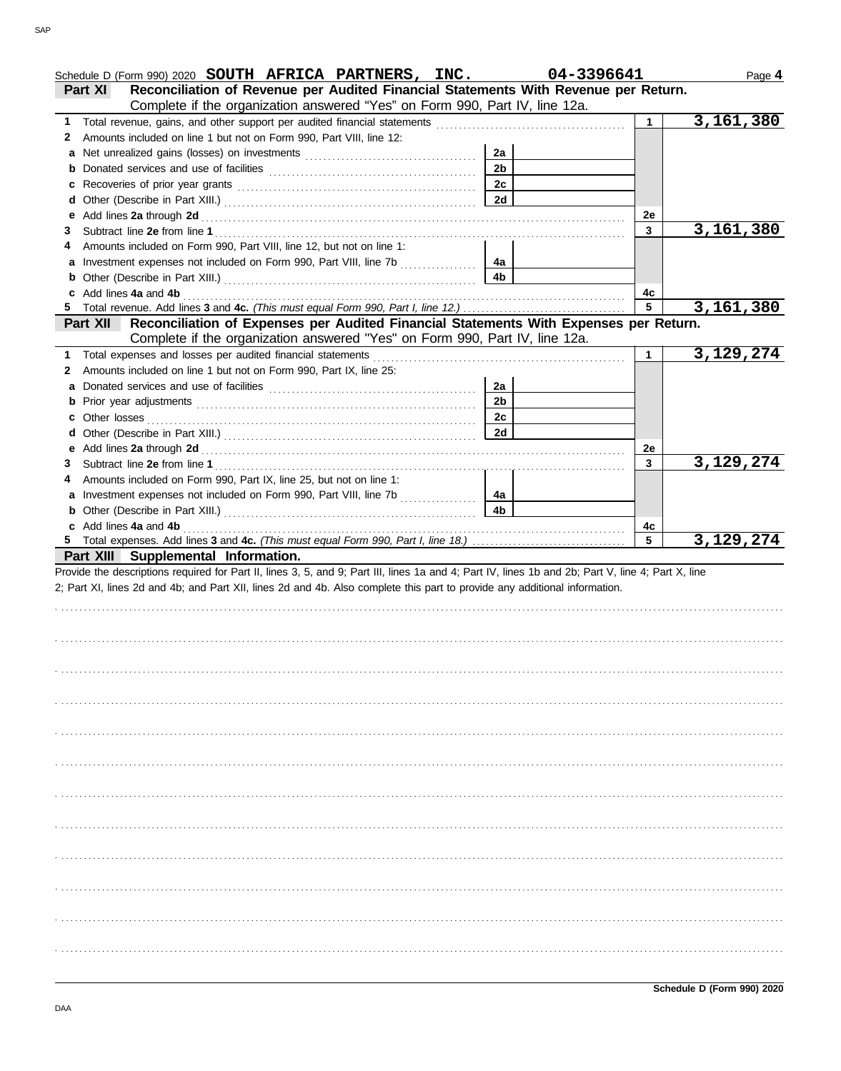|    | Schedule D (Form 990) 2020 SOUTH AFRICA PARTNERS, INC.                                                                                                                                                                         |                | 04-3396641   | Page 4    |
|----|--------------------------------------------------------------------------------------------------------------------------------------------------------------------------------------------------------------------------------|----------------|--------------|-----------|
|    | Reconciliation of Revenue per Audited Financial Statements With Revenue per Return.<br><b>Part XI</b>                                                                                                                          |                |              |           |
|    | Complete if the organization answered "Yes" on Form 990, Part IV, line 12a.                                                                                                                                                    |                |              |           |
| 1. |                                                                                                                                                                                                                                |                | 1            | 3,161,380 |
| 2  | Amounts included on line 1 but not on Form 990, Part VIII, line 12:                                                                                                                                                            |                |              |           |
| a  |                                                                                                                                                                                                                                | 2a             |              |           |
| b  |                                                                                                                                                                                                                                | 2 <sub>b</sub> |              |           |
| C  |                                                                                                                                                                                                                                | 2c             |              |           |
| d  |                                                                                                                                                                                                                                | 2d             |              |           |
| е  | Add lines 2a through 2d [11] Additional Property and Table 1 and Table 1 and Table 1 and Table 1 and Table 1 and Table 1 and Table 1 and Table 1 and Table 1 and Table 1 and Table 1 and Table 1 and Table 1 and Table 1 and T |                | 2e           |           |
| 3  |                                                                                                                                                                                                                                |                | 3            | 3,161,380 |
| 4  | Amounts included on Form 990, Part VIII, line 12, but not on line 1:                                                                                                                                                           |                |              |           |
|    |                                                                                                                                                                                                                                | 4a             |              |           |
| b  |                                                                                                                                                                                                                                | 4 <sub>b</sub> |              |           |
| C  | Add lines 4a and 4b                                                                                                                                                                                                            |                | 4c           |           |
|    |                                                                                                                                                                                                                                |                | 5            | 3,161,380 |
|    | Reconciliation of Expenses per Audited Financial Statements With Expenses per Return.<br><b>Part XII</b>                                                                                                                       |                |              |           |
|    | Complete if the organization answered "Yes" on Form 990, Part IV, line 12a.                                                                                                                                                    |                |              |           |
| 1  |                                                                                                                                                                                                                                |                | $\mathbf{1}$ | 3,129,274 |
| 2  | Amounts included on line 1 but not on Form 990, Part IX, line 25:                                                                                                                                                              |                |              |           |
| a  |                                                                                                                                                                                                                                | 2a             |              |           |
|    |                                                                                                                                                                                                                                | 2 <sub>b</sub> |              |           |
| c  |                                                                                                                                                                                                                                | 2c             |              |           |
| d  |                                                                                                                                                                                                                                | 2d             |              |           |
|    |                                                                                                                                                                                                                                |                | 2e           |           |
| 3  |                                                                                                                                                                                                                                |                | 3            | 3,129,274 |
| 4  | Amounts included on Form 990, Part IX, line 25, but not on line 1:                                                                                                                                                             |                |              |           |
|    |                                                                                                                                                                                                                                |                |              |           |
|    |                                                                                                                                                                                                                                | 4а             |              |           |
|    |                                                                                                                                                                                                                                | 4 <sub>b</sub> |              |           |
|    |                                                                                                                                                                                                                                |                | 4c           |           |
|    | c Add lines 4a and 4b (a) and the contract of the contract of the contract of the contract of the contract of the contract of the contract of the contract of the contract of the contract of the contract of the contract of  |                | 5            | 3,129,274 |
|    | Part XIII Supplemental Information.                                                                                                                                                                                            |                |              |           |
|    | Provide the descriptions required for Part II, lines 3, 5, and 9; Part III, lines 1a and 4; Part IV, lines 1b and 2b; Part V, line 4; Part X, line                                                                             |                |              |           |
|    | 2; Part XI, lines 2d and 4b; and Part XII, lines 2d and 4b. Also complete this part to provide any additional information.                                                                                                     |                |              |           |
|    |                                                                                                                                                                                                                                |                |              |           |
|    |                                                                                                                                                                                                                                |                |              |           |
|    |                                                                                                                                                                                                                                |                |              |           |
|    |                                                                                                                                                                                                                                |                |              |           |
|    |                                                                                                                                                                                                                                |                |              |           |
|    |                                                                                                                                                                                                                                |                |              |           |
|    |                                                                                                                                                                                                                                |                |              |           |
|    |                                                                                                                                                                                                                                |                |              |           |
|    |                                                                                                                                                                                                                                |                |              |           |
|    |                                                                                                                                                                                                                                |                |              |           |
|    |                                                                                                                                                                                                                                |                |              |           |
|    |                                                                                                                                                                                                                                |                |              |           |
|    |                                                                                                                                                                                                                                |                |              |           |
|    |                                                                                                                                                                                                                                |                |              |           |
|    |                                                                                                                                                                                                                                |                |              |           |
|    |                                                                                                                                                                                                                                |                |              |           |
|    |                                                                                                                                                                                                                                |                |              |           |
|    |                                                                                                                                                                                                                                |                |              |           |
|    |                                                                                                                                                                                                                                |                |              |           |
|    |                                                                                                                                                                                                                                |                |              |           |
|    |                                                                                                                                                                                                                                |                |              |           |
|    |                                                                                                                                                                                                                                |                |              |           |
|    |                                                                                                                                                                                                                                |                |              |           |
|    |                                                                                                                                                                                                                                |                |              |           |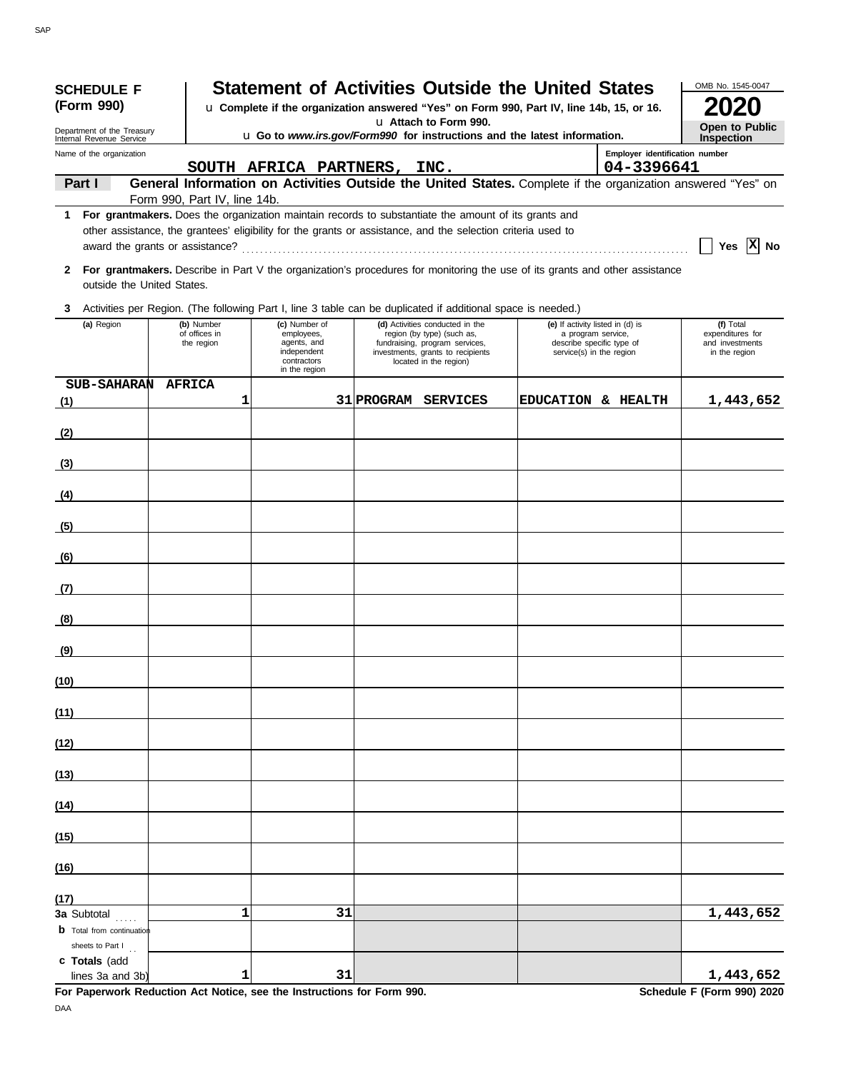| <b>SCHEDULE F</b>                                                                                                                                                                                                                                                                                                                                                                                                                                             |  |                                           |                                                                                           | <b>Statement of Activities Outside the United States</b>                                                                                                       |                                                                                                                 |                                              | OMB No. 1545-0047                                                 |
|---------------------------------------------------------------------------------------------------------------------------------------------------------------------------------------------------------------------------------------------------------------------------------------------------------------------------------------------------------------------------------------------------------------------------------------------------------------|--|-------------------------------------------|-------------------------------------------------------------------------------------------|----------------------------------------------------------------------------------------------------------------------------------------------------------------|-----------------------------------------------------------------------------------------------------------------|----------------------------------------------|-------------------------------------------------------------------|
| (Form 990)<br>u Complete if the organization answered "Yes" on Form 990, Part IV, line 14b, 15, or 16.                                                                                                                                                                                                                                                                                                                                                        |  |                                           |                                                                                           |                                                                                                                                                                |                                                                                                                 |                                              |                                                                   |
| Department of the Treasury<br>Internal Revenue Service                                                                                                                                                                                                                                                                                                                                                                                                        |  |                                           |                                                                                           | u Attach to Form 990.<br>u Go to www.irs.gov/Form990 for instructions and the latest information.                                                              |                                                                                                                 |                                              | <b>Open to Public</b><br><b>Inspection</b>                        |
| Name of the organization                                                                                                                                                                                                                                                                                                                                                                                                                                      |  |                                           |                                                                                           | SOUTH AFRICA PARTNERS, INC.                                                                                                                                    |                                                                                                                 | Employer identification number<br>04-3396641 |                                                                   |
| Part I                                                                                                                                                                                                                                                                                                                                                                                                                                                        |  |                                           |                                                                                           | General Information on Activities Outside the United States. Complete if the organization answered "Yes" on                                                    |                                                                                                                 |                                              |                                                                   |
| 1.                                                                                                                                                                                                                                                                                                                                                                                                                                                            |  | Form 990, Part IV, line 14b.              |                                                                                           | For grantmakers. Does the organization maintain records to substantiate the amount of its grants and                                                           |                                                                                                                 |                                              |                                                                   |
|                                                                                                                                                                                                                                                                                                                                                                                                                                                               |  |                                           |                                                                                           | other assistance, the grantees' eligibility for the grants or assistance, and the selection criteria used to                                                   |                                                                                                                 |                                              |                                                                   |
|                                                                                                                                                                                                                                                                                                                                                                                                                                                               |  |                                           |                                                                                           |                                                                                                                                                                |                                                                                                                 |                                              | Yes  X  No                                                        |
| $\mathbf{2}$<br>outside the United States.                                                                                                                                                                                                                                                                                                                                                                                                                    |  |                                           |                                                                                           | For grantmakers. Describe in Part V the organization's procedures for monitoring the use of its grants and other assistance                                    |                                                                                                                 |                                              |                                                                   |
| 3                                                                                                                                                                                                                                                                                                                                                                                                                                                             |  |                                           |                                                                                           | Activities per Region. (The following Part I, line 3 table can be duplicated if additional space is needed.)                                                   |                                                                                                                 |                                              |                                                                   |
| (a) Region                                                                                                                                                                                                                                                                                                                                                                                                                                                    |  | (b) Number<br>of offices in<br>the region | (c) Number of<br>employees,<br>agents, and<br>independent<br>contractors<br>in the region | (d) Activities conducted in the<br>region (by type) (such as,<br>fundraising, program services,<br>investments, grants to recipients<br>located in the region) | (e) If activity listed in (d) is<br>a program service,<br>describe specific type of<br>service(s) in the region |                                              | (f) Total<br>expenditures for<br>and investments<br>in the region |
| SUB-SAHARAN AFRICA                                                                                                                                                                                                                                                                                                                                                                                                                                            |  |                                           |                                                                                           |                                                                                                                                                                |                                                                                                                 |                                              |                                                                   |
| (1)                                                                                                                                                                                                                                                                                                                                                                                                                                                           |  | 1                                         |                                                                                           | 31 PROGRAM SERVICES                                                                                                                                            | EDUCATION & HEALTH                                                                                              |                                              | 1,443,652                                                         |
| (2)                                                                                                                                                                                                                                                                                                                                                                                                                                                           |  |                                           |                                                                                           |                                                                                                                                                                |                                                                                                                 |                                              |                                                                   |
| (3)                                                                                                                                                                                                                                                                                                                                                                                                                                                           |  |                                           |                                                                                           |                                                                                                                                                                |                                                                                                                 |                                              |                                                                   |
| (4)                                                                                                                                                                                                                                                                                                                                                                                                                                                           |  |                                           |                                                                                           |                                                                                                                                                                |                                                                                                                 |                                              |                                                                   |
| (5)<br>$\label{eq:2.1} \frac{1}{\sqrt{2}}\left(\frac{1}{\sqrt{2}}\right)^{2} \left(\frac{1}{\sqrt{2}}\right)^{2} \left(\frac{1}{\sqrt{2}}\right)^{2} \left(\frac{1}{\sqrt{2}}\right)^{2} \left(\frac{1}{\sqrt{2}}\right)^{2} \left(\frac{1}{\sqrt{2}}\right)^{2} \left(\frac{1}{\sqrt{2}}\right)^{2} \left(\frac{1}{\sqrt{2}}\right)^{2} \left(\frac{1}{\sqrt{2}}\right)^{2} \left(\frac{1}{\sqrt{2}}\right)^{2} \left(\frac{1}{\sqrt{2}}\right)^{2} \left(\$ |  |                                           |                                                                                           |                                                                                                                                                                |                                                                                                                 |                                              |                                                                   |
| (6)<br><u> 1990 - Jan Barnett, p</u>                                                                                                                                                                                                                                                                                                                                                                                                                          |  |                                           |                                                                                           |                                                                                                                                                                |                                                                                                                 |                                              |                                                                   |
|                                                                                                                                                                                                                                                                                                                                                                                                                                                               |  |                                           |                                                                                           |                                                                                                                                                                |                                                                                                                 |                                              |                                                                   |
| (7)                                                                                                                                                                                                                                                                                                                                                                                                                                                           |  |                                           |                                                                                           |                                                                                                                                                                |                                                                                                                 |                                              |                                                                   |
| (8)                                                                                                                                                                                                                                                                                                                                                                                                                                                           |  |                                           |                                                                                           |                                                                                                                                                                |                                                                                                                 |                                              |                                                                   |
| (9)                                                                                                                                                                                                                                                                                                                                                                                                                                                           |  |                                           |                                                                                           |                                                                                                                                                                |                                                                                                                 |                                              |                                                                   |
| (10)                                                                                                                                                                                                                                                                                                                                                                                                                                                          |  |                                           |                                                                                           |                                                                                                                                                                |                                                                                                                 |                                              |                                                                   |
| (11)                                                                                                                                                                                                                                                                                                                                                                                                                                                          |  |                                           |                                                                                           |                                                                                                                                                                |                                                                                                                 |                                              |                                                                   |
| (12)                                                                                                                                                                                                                                                                                                                                                                                                                                                          |  |                                           |                                                                                           |                                                                                                                                                                |                                                                                                                 |                                              |                                                                   |
| (13)                                                                                                                                                                                                                                                                                                                                                                                                                                                          |  |                                           |                                                                                           |                                                                                                                                                                |                                                                                                                 |                                              |                                                                   |
| (14)                                                                                                                                                                                                                                                                                                                                                                                                                                                          |  |                                           |                                                                                           |                                                                                                                                                                |                                                                                                                 |                                              |                                                                   |
| (15)                                                                                                                                                                                                                                                                                                                                                                                                                                                          |  |                                           |                                                                                           |                                                                                                                                                                |                                                                                                                 |                                              |                                                                   |
| (16)                                                                                                                                                                                                                                                                                                                                                                                                                                                          |  |                                           |                                                                                           |                                                                                                                                                                |                                                                                                                 |                                              |                                                                   |
| (17)                                                                                                                                                                                                                                                                                                                                                                                                                                                          |  |                                           |                                                                                           |                                                                                                                                                                |                                                                                                                 |                                              |                                                                   |
| 3a Subtotal<br><b>b</b> Total from continuation                                                                                                                                                                                                                                                                                                                                                                                                               |  | $\mathbf{1}$                              | 31                                                                                        |                                                                                                                                                                |                                                                                                                 |                                              | 1,443,652                                                         |
| sheets to Part I                                                                                                                                                                                                                                                                                                                                                                                                                                              |  |                                           |                                                                                           |                                                                                                                                                                |                                                                                                                 |                                              |                                                                   |
| c Totals (add<br>lines 3a and 3b)                                                                                                                                                                                                                                                                                                                                                                                                                             |  | 1                                         | 31                                                                                        |                                                                                                                                                                |                                                                                                                 |                                              | 1,443,652                                                         |

**For Paperwork Reduction Act Notice, see the Instructions for Form 990. Schedule F (Form 990) 2020** DAA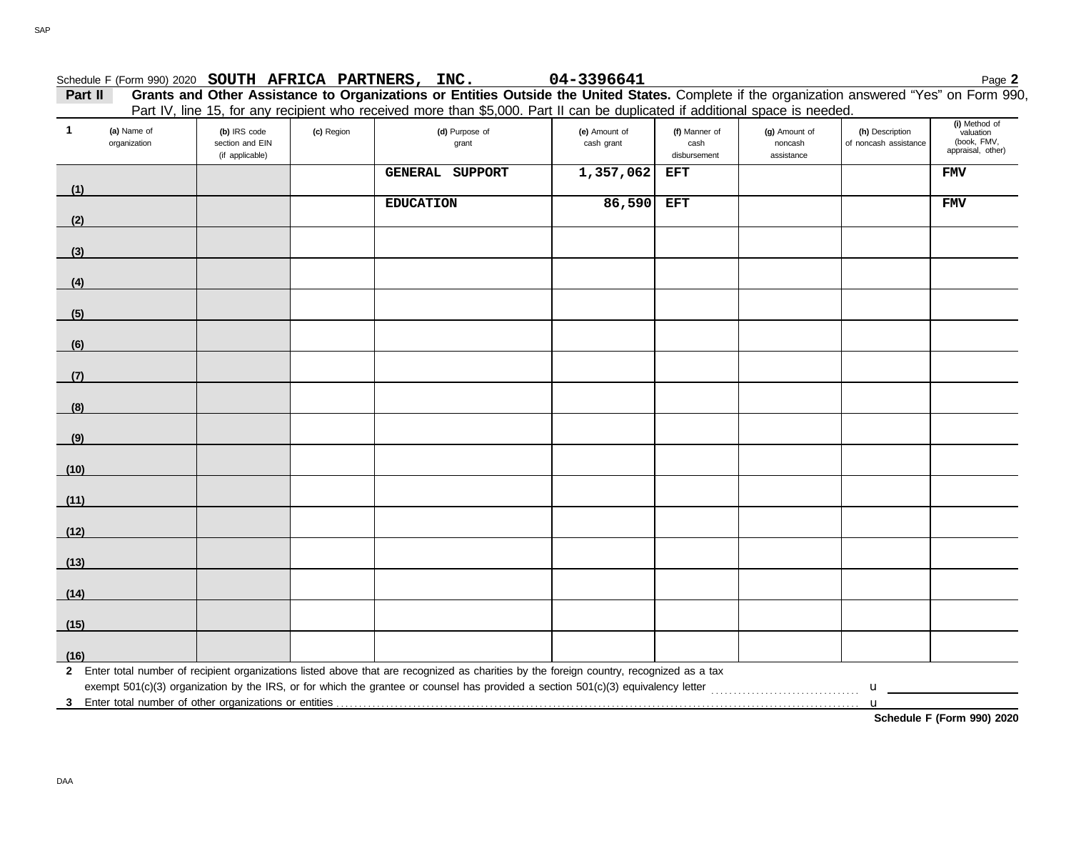# Schedule F (Form 990) 2020 Page **2 SOUTH AFRICA PARTNERS, INC. 04-3396641**

**Part II Grants and Other Assistance to Organizations or Entities Outside the United States.** Complete if the organization answered "Yes" on Form 990, Part IV, line 15, for any recipient who received more than \$5,000. Part II can be duplicated if additional space is needed.

|              |                             |                                                    |            | T art TV, line TJ, for any recipient who received more than \$0,000. I art in carr be duplicated in additional space is needed.           |                             |                                       |                                        |                                          |                                                                                                  |
|--------------|-----------------------------|----------------------------------------------------|------------|-------------------------------------------------------------------------------------------------------------------------------------------|-----------------------------|---------------------------------------|----------------------------------------|------------------------------------------|--------------------------------------------------------------------------------------------------|
| $\mathbf{1}$ | (a) Name of<br>organization | (b) IRS code<br>section and EIN<br>(if applicable) | (c) Region | (d) Purpose of<br>grant                                                                                                                   | (e) Amount of<br>cash grant | (f) Manner of<br>cash<br>disbursement | (g) Amount of<br>noncash<br>assistance | (h) Description<br>of noncash assistance | (i) Method of<br>valuation<br>(book, FMV,<br>appraisal, other)                                   |
| (1)          |                             |                                                    |            | GENERAL SUPPORT                                                                                                                           | 1,357,062                   | EFT                                   |                                        |                                          | <b>FMV</b>                                                                                       |
| (2)          |                             |                                                    |            | <b>EDUCATION</b>                                                                                                                          | 86,590                      | <b>EFT</b>                            |                                        |                                          | ${\tt FMV}$                                                                                      |
| (3)          |                             |                                                    |            |                                                                                                                                           |                             |                                       |                                        |                                          |                                                                                                  |
|              |                             |                                                    |            |                                                                                                                                           |                             |                                       |                                        |                                          |                                                                                                  |
| (4)          |                             |                                                    |            |                                                                                                                                           |                             |                                       |                                        |                                          |                                                                                                  |
| (5)          |                             |                                                    |            |                                                                                                                                           |                             |                                       |                                        |                                          |                                                                                                  |
| (6)          |                             |                                                    |            |                                                                                                                                           |                             |                                       |                                        |                                          |                                                                                                  |
| (7)          |                             |                                                    |            |                                                                                                                                           |                             |                                       |                                        |                                          |                                                                                                  |
| (8)          |                             |                                                    |            |                                                                                                                                           |                             |                                       |                                        |                                          |                                                                                                  |
| (9)          |                             |                                                    |            |                                                                                                                                           |                             |                                       |                                        |                                          |                                                                                                  |
| (10)         |                             |                                                    |            |                                                                                                                                           |                             |                                       |                                        |                                          |                                                                                                  |
| (11)         |                             |                                                    |            |                                                                                                                                           |                             |                                       |                                        |                                          |                                                                                                  |
| (12)         |                             |                                                    |            |                                                                                                                                           |                             |                                       |                                        |                                          |                                                                                                  |
| (13)         |                             |                                                    |            |                                                                                                                                           |                             |                                       |                                        |                                          |                                                                                                  |
| (14)         |                             |                                                    |            |                                                                                                                                           |                             |                                       |                                        |                                          |                                                                                                  |
| (15)         |                             |                                                    |            |                                                                                                                                           |                             |                                       |                                        |                                          |                                                                                                  |
| (16)         |                             |                                                    |            |                                                                                                                                           |                             |                                       |                                        |                                          |                                                                                                  |
|              |                             |                                                    |            | 2 Enter total number of recipient organizations listed above that are recognized as charities by the foreign country, recognized as a tax |                             |                                       |                                        |                                          |                                                                                                  |
|              |                             |                                                    |            |                                                                                                                                           |                             |                                       |                                        |                                          | $\mathbf{r} = \mathbf{r}$ , $\mathbf{r} = \mathbf{r}$ , and the set of $\mathbf{r} = \mathbf{r}$ |

**Schedule F (Form 990) 2020**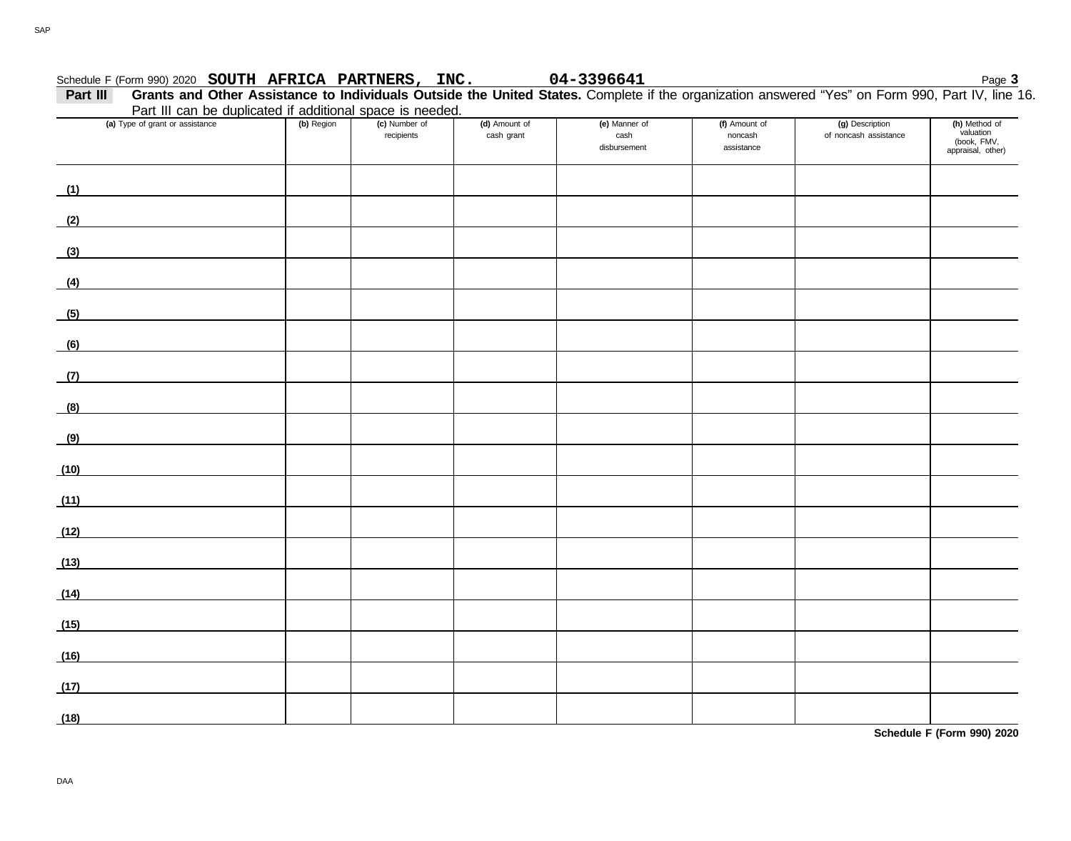| Schedule | 2020<br>990).<br>'Form ∶ | <b>SOUTH</b> | <b>AFRICA</b> | <b>PARTNERS</b><br>. Ar | INC | 39554<br>. ) 4<br>- 7001- | Page |
|----------|--------------------------|--------------|---------------|-------------------------|-----|---------------------------|------|
|          |                          |              |               |                         |     |                           |      |

**Part III Grants and Other Assistance to Individuals Outside the United States.** Complete if the organization answered "Yes" on Form 990, Part IV, line 16. Part III can be duplicated if additional space is needed.

|      | Part in can be duplicated if additional space is needed.  |            |                             |                             |                                       |                                        |                                          |                                                                |
|------|-----------------------------------------------------------|------------|-----------------------------|-----------------------------|---------------------------------------|----------------------------------------|------------------------------------------|----------------------------------------------------------------|
|      | (a) Type of grant or assistance                           | (b) Region | (c) Number of<br>recipients | (d) Amount of<br>cash grant | (e) Manner of<br>cash<br>disbursement | (f) Amount of<br>noncash<br>assistance | (g) Description<br>of noncash assistance | (h) Method of<br>valuation<br>(book, FMV,<br>appraisal, other) |
|      | (1)                                                       |            |                             |                             |                                       |                                        |                                          |                                                                |
| (2)  |                                                           |            |                             |                             |                                       |                                        |                                          |                                                                |
| (3)  |                                                           |            |                             |                             |                                       |                                        |                                          |                                                                |
| (4)  |                                                           |            |                             |                             |                                       |                                        |                                          |                                                                |
| (5)  | <u> 1989 - Johann Barbara, martxa a</u>                   |            |                             |                             |                                       |                                        |                                          |                                                                |
| (6)  |                                                           |            |                             |                             |                                       |                                        |                                          |                                                                |
| (7)  |                                                           |            |                             |                             |                                       |                                        |                                          |                                                                |
| (8)  |                                                           |            |                             |                             |                                       |                                        |                                          |                                                                |
| (9)  |                                                           |            |                             |                             |                                       |                                        |                                          |                                                                |
| (10) |                                                           |            |                             |                             |                                       |                                        |                                          |                                                                |
| (11) |                                                           |            |                             |                             |                                       |                                        |                                          |                                                                |
| (12) | <u> 1980 - Johann Barn, mars eta bainar eta idazlea (</u> |            |                             |                             |                                       |                                        |                                          |                                                                |
| (13) |                                                           |            |                             |                             |                                       |                                        |                                          |                                                                |
| (14) |                                                           |            |                             |                             |                                       |                                        |                                          |                                                                |
| (15) |                                                           |            |                             |                             |                                       |                                        |                                          |                                                                |
| (16) |                                                           |            |                             |                             |                                       |                                        |                                          |                                                                |
| (17) |                                                           |            |                             |                             |                                       |                                        |                                          |                                                                |
| (18) |                                                           |            |                             |                             |                                       |                                        |                                          |                                                                |

**Schedule F (Form 990) 2020**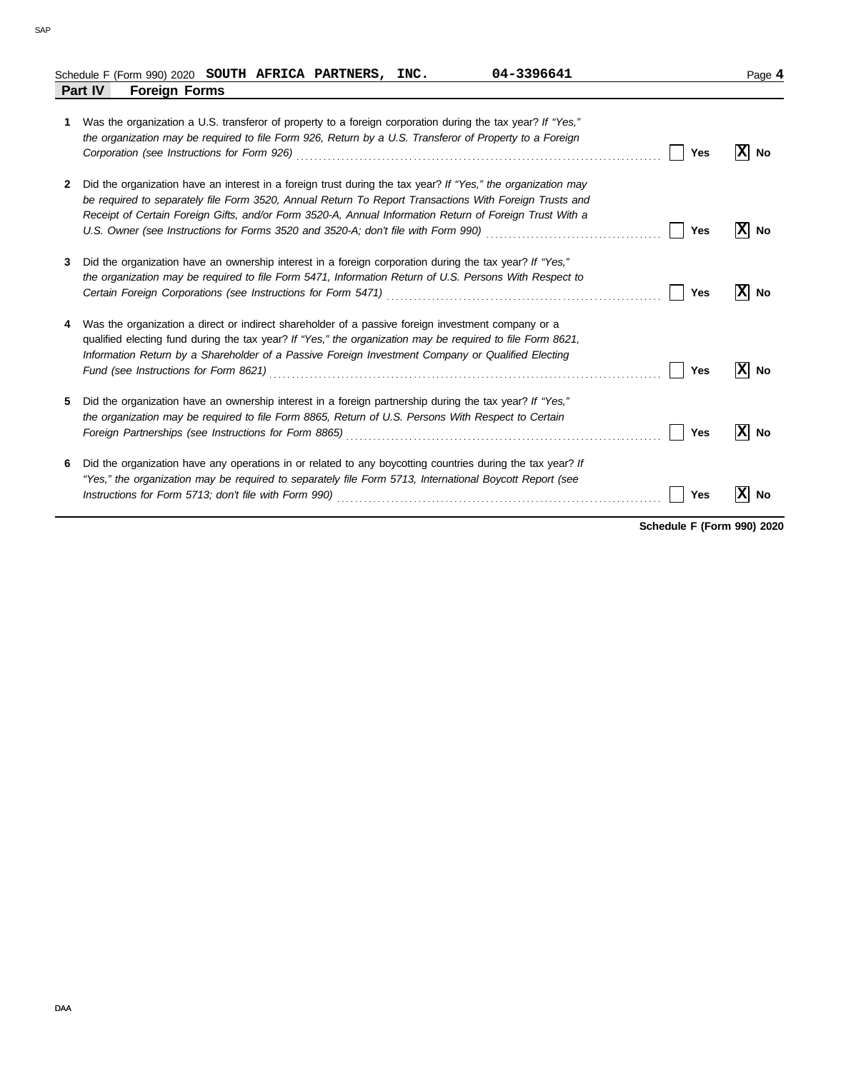|              | 04-3396641<br>Schedule F (Form 990) 2020 SOUTH AFRICA PARTNERS, INC.                                                                                                                                                                                                                                                                                                  | Page 4                      |
|--------------|-----------------------------------------------------------------------------------------------------------------------------------------------------------------------------------------------------------------------------------------------------------------------------------------------------------------------------------------------------------------------|-----------------------------|
|              | <b>Part IV</b><br><b>Foreign Forms</b>                                                                                                                                                                                                                                                                                                                                |                             |
| 1            | Was the organization a U.S. transferor of property to a foreign corporation during the tax year? If "Yes,"<br>the organization may be required to file Form 926, Return by a U.S. Transferor of Property to a Foreign<br>Corporation (see Instructions for Form 926) Material Corporation (see Instructions of Terms and School and School<br>Yes                     | X<br><b>No</b>              |
| $\mathbf{2}$ | Did the organization have an interest in a foreign trust during the tax year? If "Yes," the organization may<br>be required to separately file Form 3520, Annual Return To Report Transactions With Foreign Trusts and<br>Receipt of Certain Foreign Gifts, and/or Form 3520-A, Annual Information Return of Foreign Trust With a<br>Yes                              | No                          |
| 3            | Did the organization have an ownership interest in a foreign corporation during the tax year? If "Yes,"<br>the organization may be required to file Form 5471, Information Return of U.S. Persons With Respect to<br>Yes                                                                                                                                              | X<br>No                     |
| 4            | Was the organization a direct or indirect shareholder of a passive foreign investment company or a<br>qualified electing fund during the tax year? If "Yes," the organization may be required to file Form 8621,<br>Information Return by a Shareholder of a Passive Foreign Investment Company or Qualified Electing<br>Fund (see Instructions for Form 8621)<br>Yes | $ \mathbf{x} $<br><b>No</b> |
| 5            | Did the organization have an ownership interest in a foreign partnership during the tax year? If "Yes,"<br>the organization may be required to file Form 8865, Return of U.S. Persons With Respect to Certain<br>Yes<br>Foreign Partnerships (see Instructions for Form 8865) [2010] [2010] [2010] [2010] [3010] [3010] [3010] [3010] [                               | X<br><b>No</b>              |
| 6            | Did the organization have any operations in or related to any boycotting countries during the tax year? If<br>"Yes," the organization may be required to separately file Form 5713, International Boycott Report (see<br>Yes                                                                                                                                          | $\mathbf x$<br>No           |

**Schedule F (Form 990) 2020**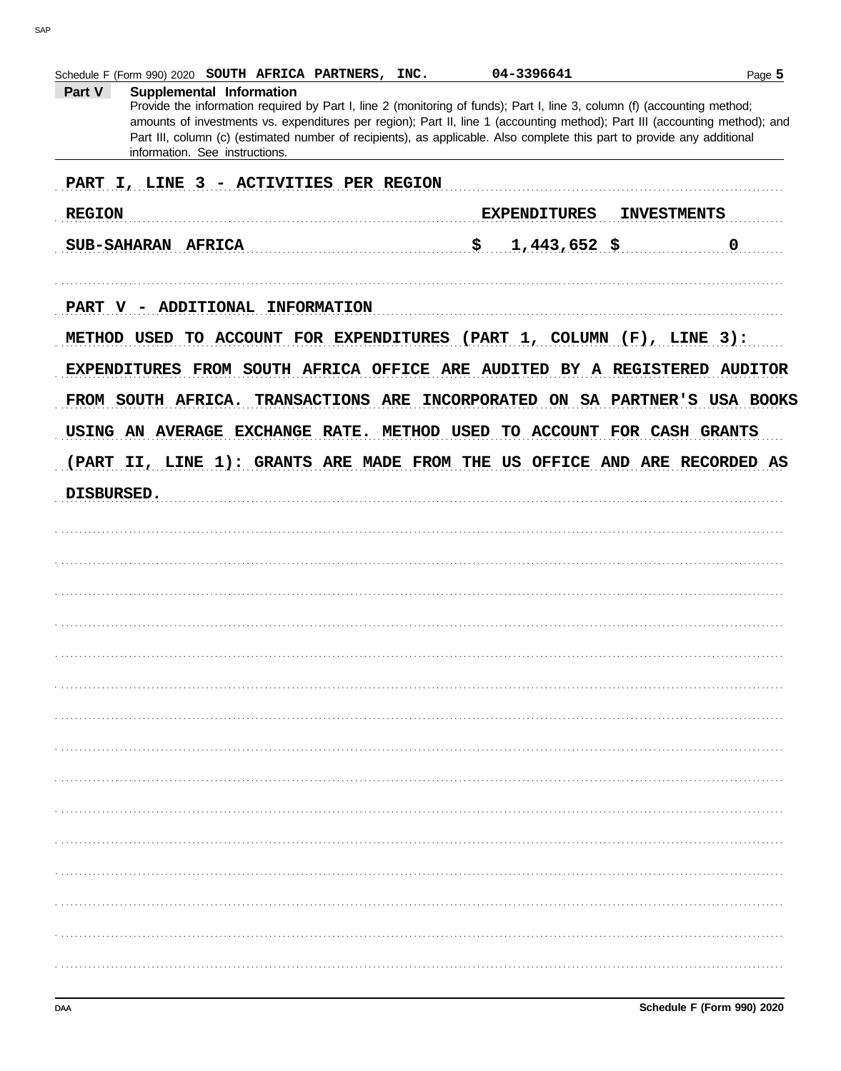| Schedule F (Form 990) 2020 SOUTH AFRICA PARTNERS, INC.                    | 04-3396641                                                                                                                                                                                                                                                                                                                                                                         | Page 5             |
|---------------------------------------------------------------------------|------------------------------------------------------------------------------------------------------------------------------------------------------------------------------------------------------------------------------------------------------------------------------------------------------------------------------------------------------------------------------------|--------------------|
| Supplemental Information<br>Part V<br>information. See instructions.      | Provide the information required by Part I, line 2 (monitoring of funds); Part I, line 3, column (f) (accounting method;<br>amounts of investments vs. expenditures per region); Part II, line 1 (accounting method); Part III (accounting method); and<br>Part III, column (c) (estimated number of recipients), as applicable. Also complete this part to provide any additional |                    |
| PART I, LINE 3 - ACTIVITIES PER REGION                                    |                                                                                                                                                                                                                                                                                                                                                                                    |                    |
| <b>REGION</b>                                                             | <b>EXPENDITURES</b>                                                                                                                                                                                                                                                                                                                                                                | <b>INVESTMENTS</b> |
| SUB-SAHARAN AFRICA                                                        | $1,443,652$ \$                                                                                                                                                                                                                                                                                                                                                                     | $\mathbf 0$        |
| - ADDITIONAL INFORMATION<br>PART V                                        |                                                                                                                                                                                                                                                                                                                                                                                    |                    |
| METHOD USED TO ACCOUNT FOR EXPENDITURES (PART 1, COLUMN (F), LINE 3):     |                                                                                                                                                                                                                                                                                                                                                                                    |                    |
| EXPENDITURES FROM SOUTH AFRICA OFFICE ARE AUDITED BY A REGISTERED AUDITOR |                                                                                                                                                                                                                                                                                                                                                                                    |                    |
| FROM SOUTH AFRICA.                                                        | TRANSACTIONS ARE INCORPORATED ON SA PARTNER'S USA BOOKS                                                                                                                                                                                                                                                                                                                            |                    |
| USING AN AVERAGE EXCHANGE RATE. METHOD USED TO ACCOUNT FOR CASH GRANTS    |                                                                                                                                                                                                                                                                                                                                                                                    |                    |
| (PART II, LINE 1): GRANTS ARE MADE FROM THE US OFFICE AND ARE RECORDED AS |                                                                                                                                                                                                                                                                                                                                                                                    |                    |
| DISBURSED.                                                                |                                                                                                                                                                                                                                                                                                                                                                                    |                    |
|                                                                           |                                                                                                                                                                                                                                                                                                                                                                                    |                    |
|                                                                           |                                                                                                                                                                                                                                                                                                                                                                                    |                    |
|                                                                           |                                                                                                                                                                                                                                                                                                                                                                                    |                    |
|                                                                           |                                                                                                                                                                                                                                                                                                                                                                                    |                    |
|                                                                           |                                                                                                                                                                                                                                                                                                                                                                                    |                    |
|                                                                           |                                                                                                                                                                                                                                                                                                                                                                                    |                    |
|                                                                           |                                                                                                                                                                                                                                                                                                                                                                                    |                    |
|                                                                           |                                                                                                                                                                                                                                                                                                                                                                                    |                    |
|                                                                           |                                                                                                                                                                                                                                                                                                                                                                                    |                    |
|                                                                           |                                                                                                                                                                                                                                                                                                                                                                                    |                    |
|                                                                           |                                                                                                                                                                                                                                                                                                                                                                                    |                    |
|                                                                           |                                                                                                                                                                                                                                                                                                                                                                                    |                    |
|                                                                           |                                                                                                                                                                                                                                                                                                                                                                                    |                    |
|                                                                           |                                                                                                                                                                                                                                                                                                                                                                                    |                    |
|                                                                           |                                                                                                                                                                                                                                                                                                                                                                                    |                    |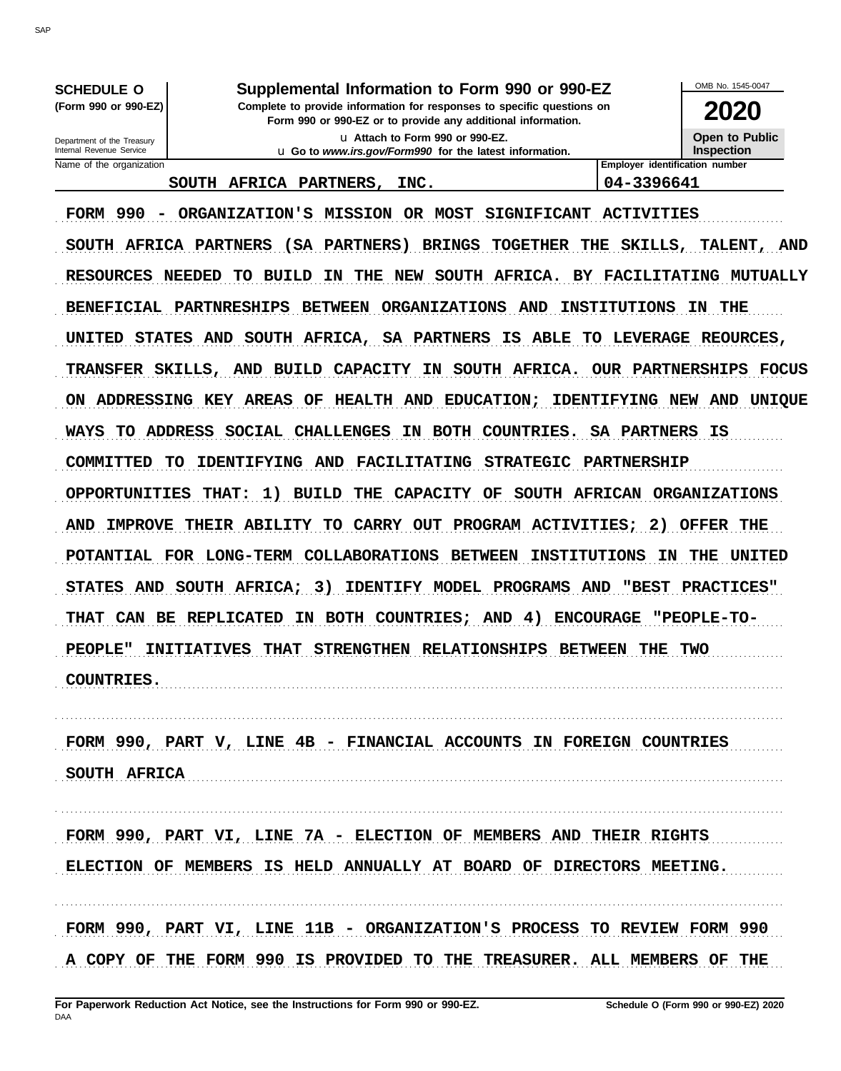**SCHEDULE O** (Form 990 or 990-EZ)

Department of the Treasury<br>Internal Revenue Service

Name of the organization

Supplemental Information to Form 990 or 990-EZ Complete to provide information for responses to specific questions on Form 990 or 990-EZ or to provide any additional information.



SOUTH AFRICA PARTNERS, INC.

2020 Open to Public **Inspection** Employer identification number

OMB No. 1545-0047

04-3396641

FORM 990 - ORGANIZATION'S MISSION OR MOST SIGNIFICANT ACTIVITIES SOUTH AFRICA PARTNERS (SA PARTNERS) BRINGS TOGETHER THE SKILLS, TALENT, AND RESOURCES NEEDED TO BUILD IN THE NEW SOUTH AFRICA. BY FACILITATING MUTUALLY BENEFICIAL PARTNRESHIPS BETWEEN ORGANIZATIONS AND INSTITUTIONS IN THE UNITED STATES AND SOUTH AFRICA, SA PARTNERS IS ABLE TO LEVERAGE REOURCES, TRANSFER SKILLS, AND BUILD CAPACITY IN SOUTH AFRICA. OUR PARTNERSHIPS FOCUS ON ADDRESSING KEY AREAS OF HEALTH AND EDUCATION; IDENTIFYING NEW AND UNIQUE WAYS TO ADDRESS SOCIAL CHALLENGES IN BOTH COUNTRIES. SA PARTNERS IS COMMITTED TO IDENTIFYING AND FACILITATING STRATEGIC PARTNERSHIP OPPORTUNITIES THAT: 1) BUILD THE CAPACITY OF SOUTH AFRICAN ORGANIZATIONS AND IMPROVE THEIR ABILITY TO CARRY OUT PROGRAM ACTIVITIES; 2) OFFER THE POTANTIAL FOR LONG-TERM COLLABORATIONS BETWEEN INSTITUTIONS IN THE UNITED STATES AND SOUTH AFRICA; 3) IDENTIFY MODEL PROGRAMS AND "BEST PRACTICES" THAT CAN BE REPLICATED IN BOTH COUNTRIES; AND 4) ENCOURAGE "PEOPLE-TO-PEOPLE" INITIATIVES THAT STRENGTHEN RELATIONSHIPS BETWEEN THE TWO **COUNTRIES.** 

FORM 990, PART V, LINE 4B - FINANCIAL ACCOUNTS IN FOREIGN COUNTRIES SOUTH AFRICA

FORM 990, PART VI, LINE 7A - ELECTION OF MEMBERS AND THEIR RIGHTS ELECTION OF MEMBERS IS HELD ANNUALLY AT BOARD OF DIRECTORS MEETING.

FORM 990, PART VI, LINE 11B - ORGANIZATION'S PROCESS TO REVIEW FORM 990 A COPY OF THE FORM 990 IS PROVIDED TO THE TREASURER. ALL MEMBERS OF THE